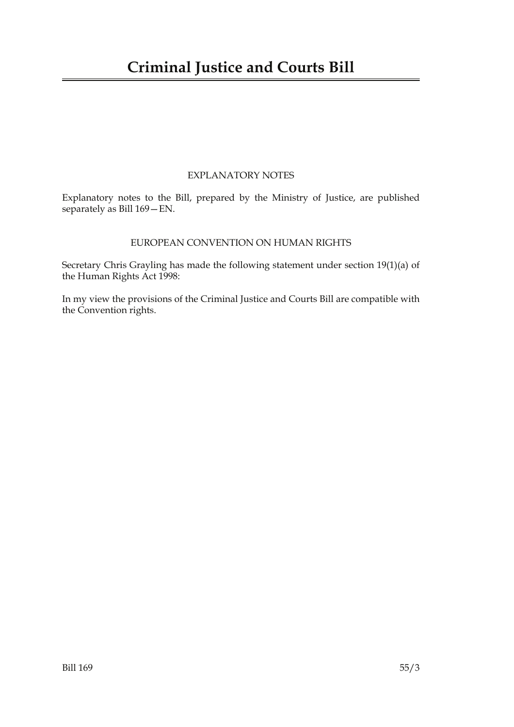# EXPLANATORY NOTES

Explanatory notes to the Bill, prepared by the Ministry of Justice, are published separately as Bill 169—EN.

# EUROPEAN CONVENTION ON HUMAN RIGHTS

Secretary Chris Grayling has made the following statement under section 19(1)(a) of the Human Rights Act 1998:

In my view the provisions of the Criminal Justice and Courts Bill are compatible with the Convention rights.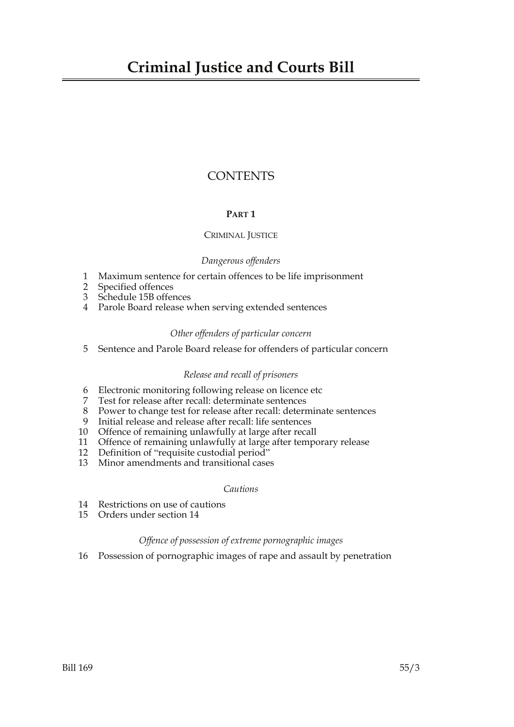# **CONTENTS**

# **PART 1**

# CRIMINAL JUSTICE

# *Dangerous offenders*

- 1 Maximum sentence for certain offences to be life imprisonment
- 2 Specified offences
- 3 Schedule 15B offences
- 4 Parole Board release when serving extended sentences

# *Other offenders of particular concern*

5 Sentence and Parole Board release for offenders of particular concern

# *Release and recall of prisoners*

- 6 Electronic monitoring following release on licence etc<br>7 Test for release after recall: determinate sentences
- 7 Test for release after recall: determinate sentences
- 8 Power to change test for release after recall: determinate sentences
- 9 Initial release and release after recall: life sentences
- 10 Offence of remaining unlawfully at large after recall
- 11 Offence of remaining unlawfully at large after temporary release
- 12 Definition of "requisite custodial period"
- 13 Minor amendments and transitional cases

#### *Cautions*

- 14 Restrictions on use of cautions<br>15 Orders under section 14
- 15 Orders under section 14

# *Offence of possession of extreme pornographic images*

16 Possession of pornographic images of rape and assault by penetration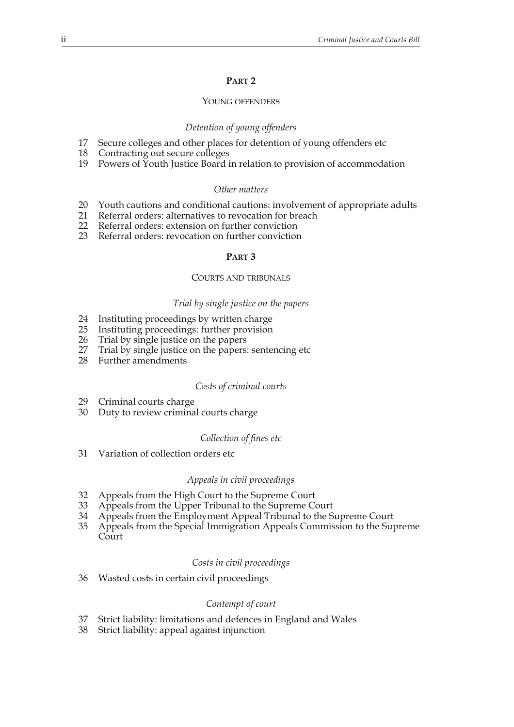# **PART 2**

#### YOUNG OFFENDERS

#### *Detention of young offenders*

- 17 Secure colleges and other places for detention of young offenders etc
- 18 Contracting out secure colleges
- 19 Powers of Youth Justice Board in relation to provision of accommodation

#### *Other matters*

- 20 Youth cautions and conditional cautions: involvement of appropriate adults
- 21 Referral orders: alternatives to revocation for breach
- 22 Referral orders: extension on further conviction
- 23 Referral orders: revocation on further conviction

#### **PART 3**

#### COURTS AND TRIBUNALS

#### *Trial by single justice on the papers*

- 24 Instituting proceedings by written charge<br>25 Instituting proceedings: further provision
- 25 Instituting proceedings: further provision
- 26 Trial by single justice on the papers
- 27 Trial by single justice on the papers: sentencing etc
- 28 Further amendments

#### *Costs of criminal courts*

- 29 Criminal courts charge
- 30 Duty to review criminal courts charge

#### *Collection of fines etc*

31 Variation of collection orders etc

#### *Appeals in civil proceedings*

- 32 Appeals from the High Court to the Supreme Court
- 33 Appeals from the Upper Tribunal to the Supreme Court
- 34 Appeals from the Employment Appeal Tribunal to the Supreme Court
- 35 Appeals from the Special Immigration Appeals Commission to the Supreme Court

#### *Costs in civil proceedings*

36 Wasted costs in certain civil proceedings

#### *Contempt of court*

- 37 Strict liability: limitations and defences in England and Wales
- 38 Strict liability: appeal against injunction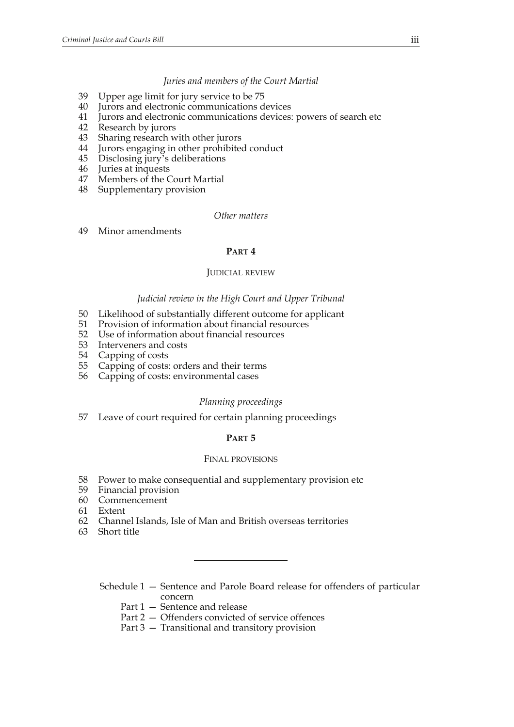# *Juries and members of the Court Martial*

- 39 Upper age limit for jury service to be 75
- 40 Jurors and electronic communications devices
- 41 Jurors and electronic communications devices: powers of search etc
- 42 Research by jurors
- 43 Sharing research with other jurors
- 44 Jurors engaging in other prohibited conduct
- 45 Disclosing jury's deliberations
- 46 Juries at inquests
- 47 Members of the Court Martial
- 48 Supplementary provision

#### *Other matters*

49 Minor amendments

#### **PART 4**

#### JUDICIAL REVIEW

#### *Judicial review in the High Court and Upper Tribunal*

- 50 Likelihood of substantially different outcome for applicant
- 51 Provision of information about financial resources<br>52 Use of information about financial resources
- 52 Use of information about financial resources<br>53 Interveners and costs
- Interveners and costs
- 54 Capping of costs
- 55 Capping of costs: orders and their terms
- 56 Capping of costs: environmental cases

# *Planning proceedings*

57 Leave of court required for certain planning proceedings

# **PART 5**

#### FINAL PROVISIONS

- 58 Power to make consequential and supplementary provision etc
- 59 Financial provision
- 60 Commencement
- 61 Extent
- 62 Channel Islands, Isle of Man and British overseas territories
- 63 Short title

Schedule 1 — Sentence and Parole Board release for offenders of particular concern

- Part 1 Sentence and release
- Part 2 Offenders convicted of service offences
- Part 3 Transitional and transitory provision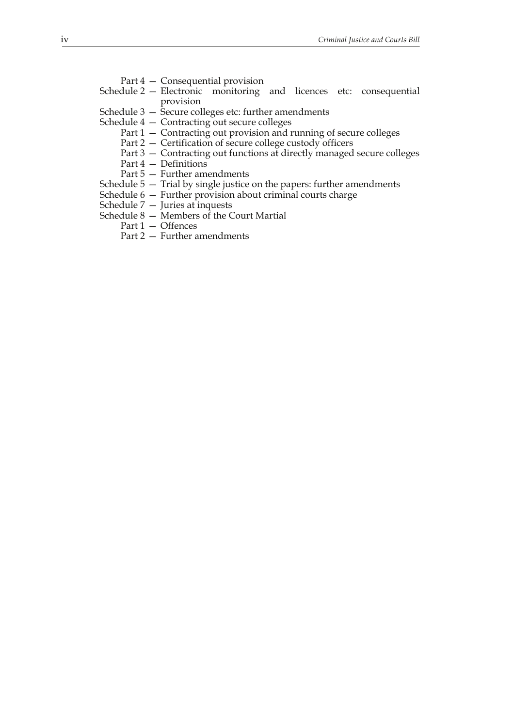- Part 4 Consequential provision
- Schedule 2 Electronic monitoring and licences etc: consequential provision
- Schedule  $3 \overline{S}$ ecure colleges etc: further amendments
- Schedule 4 Contracting out secure colleges
	- Part 1 Contracting out provision and running of secure colleges
	- Part 2 Certification of secure college custody officers
	- Part 3 Contracting out functions at directly managed secure colleges
	- Part 4 Definitions
	- Part 5 Further amendments
- Schedule 5 Trial by single justice on the papers: further amendments
- Schedule 6 Further provision about criminal courts charge
- Schedule  $7 -$  Juries at inquests
- Schedule 8 Members of the Court Martial
	- Part 1 Offences
	- Part 2 Further amendments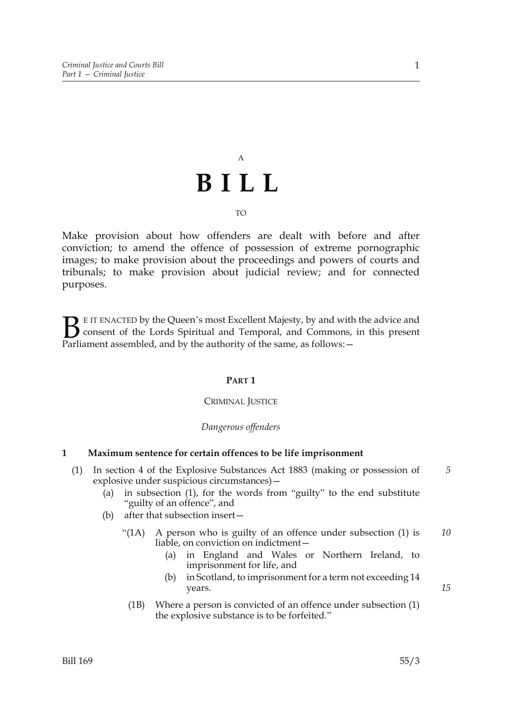# A **BILL**

#### TO

Make provision about how offenders are dealt with before and after conviction; to amend the offence of possession of extreme pornographic images; to make provision about the proceedings and powers of courts and tribunals; to make provision about judicial review; and for connected purposes.

E IT ENACTED by the Queen's most Excellent Majesty, by and with the advice and consent of the Lords Spiritual and Temporal, and Commons, in this present **B** E IT ENACTED by the Queen's most Excellent Majesty, by and with consent of the Lords Spiritual and Temporal, and Commons, Parliament assembled, and by the authority of the same, as follows:  $-$ 

#### **PART 1**

#### CRIMINAL JUSTICE

#### *Dangerous offenders*

#### **1 Maximum sentence for certain offences to be life imprisonment**

- (1) In section 4 of the Explosive Substances Act 1883 (making or possession of explosive under suspicious circumstances)— *5*
	- (a) in subsection (1), for the words from "guilty" to the end substitute "guilty of an offence", and
	- (b) after that subsection insert—
		- "(1A) A person who is guilty of an offence under subsection (1) is liable, on conviction on indictment— *10*
			- (a) in England and Wales or Northern Ireland, to imprisonment for life, and
			- (b) in Scotland, to imprisonment for a term not exceeding 14 years.
			- (1B) Where a person is convicted of an offence under subsection (1) the explosive substance is to be forfeited."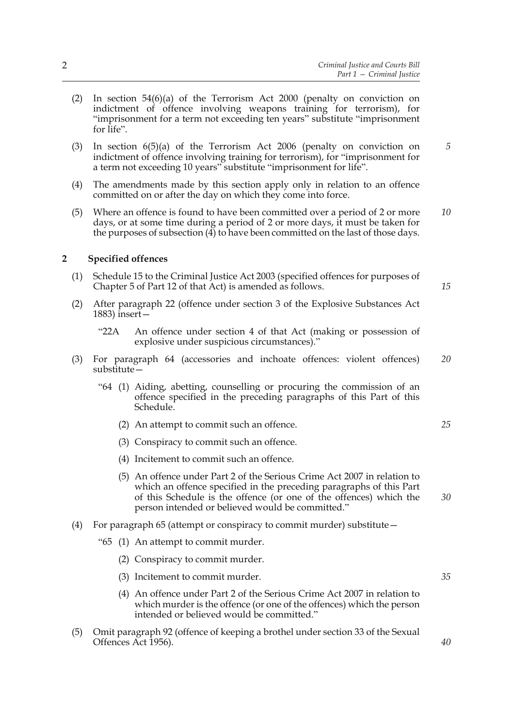- (2) In section 54(6)(a) of the Terrorism Act 2000 (penalty on conviction on indictment of offence involving weapons training for terrorism), for "imprisonment for a term not exceeding ten years" substitute "imprisonment for life".
- (3) In section  $6(5)(a)$  of the Terrorism Act 2006 (penalty on conviction on indictment of offence involving training for terrorism), for "imprisonment for a term not exceeding 10 years" substitute "imprisonment for life". *5*
- (4) The amendments made by this section apply only in relation to an offence committed on or after the day on which they come into force.
- (5) Where an offence is found to have been committed over a period of 2 or more days, or at some time during a period of 2 or more days, it must be taken for the purposes of subsection (4) to have been committed on the last of those days. *10*

# **2 Specified offences**

- (1) Schedule 15 to the Criminal Justice Act 2003 (specified offences for purposes of Chapter 5 of Part 12 of that Act) is amended as follows.
- (2) After paragraph 22 (offence under section 3 of the Explosive Substances Act 1883) insert—
	- "22A An offence under section 4 of that Act (making or possession of explosive under suspicious circumstances)."
- (3) For paragraph 64 (accessories and inchoate offences: violent offences) substitute— *20*
	- "64 (1) Aiding, abetting, counselling or procuring the commission of an offence specified in the preceding paragraphs of this Part of this Schedule.
		- (2) An attempt to commit such an offence.
		- (3) Conspiracy to commit such an offence.
		- (4) Incitement to commit such an offence.
		- (5) An offence under Part 2 of the Serious Crime Act 2007 in relation to which an offence specified in the preceding paragraphs of this Part of this Schedule is the offence (or one of the offences) which the person intended or believed would be committed."
- (4) For paragraph 65 (attempt or conspiracy to commit murder) substitute  $-$ 
	- "65 (1) An attempt to commit murder.
		- (2) Conspiracy to commit murder.
		- (3) Incitement to commit murder.
		- (4) An offence under Part 2 of the Serious Crime Act 2007 in relation to which murder is the offence (or one of the offences) which the person intended or believed would be committed."
- (5) Omit paragraph 92 (offence of keeping a brothel under section 33 of the Sexual Offences Act 1956).

*15*

*25*

*30*

*35*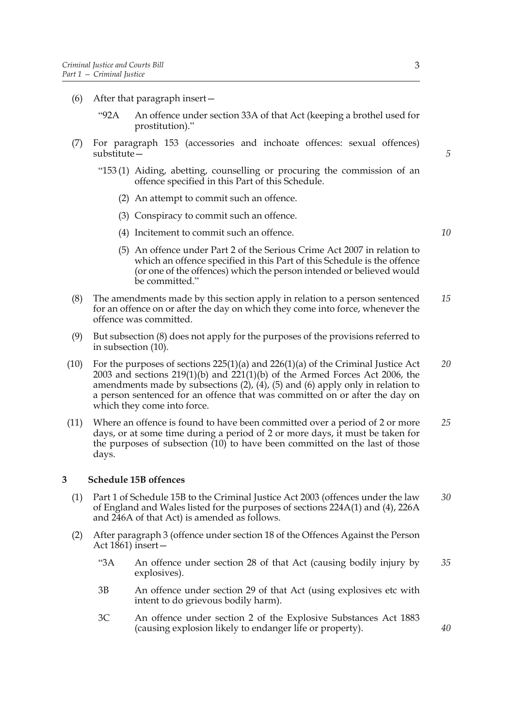- (6) After that paragraph insert—
	- "92A An offence under section 33A of that Act (keeping a brothel used for prostitution)."
- (7) For paragraph 153 (accessories and inchoate offences: sexual offences) substitute—
	- "153 (1) Aiding, abetting, counselling or procuring the commission of an offence specified in this Part of this Schedule.
		- (2) An attempt to commit such an offence.
		- (3) Conspiracy to commit such an offence.
		- (4) Incitement to commit such an offence.
		- (5) An offence under Part 2 of the Serious Crime Act 2007 in relation to which an offence specified in this Part of this Schedule is the offence (or one of the offences) which the person intended or believed would be committed."
- (8) The amendments made by this section apply in relation to a person sentenced for an offence on or after the day on which they come into force, whenever the offence was committed. *15*
- (9) But subsection (8) does not apply for the purposes of the provisions referred to in subsection (10).
- (10) For the purposes of sections 225(1)(a) and 226(1)(a) of the Criminal Justice Act 2003 and sections 219(1)(b) and 221(1)(b) of the Armed Forces Act 2006, the amendments made by subsections  $(2)$ ,  $(4)$ ,  $(5)$  and  $(6)$  apply only in relation to a person sentenced for an offence that was committed on or after the day on which they come into force. *20*
- (11) Where an offence is found to have been committed over a period of 2 or more days, or at some time during a period of 2 or more days, it must be taken for the purposes of subsection  $(10)$  to have been committed on the last of those days. *25*

#### **3 Schedule 15B offences**

- (1) Part 1 of Schedule 15B to the Criminal Justice Act 2003 (offences under the law of England and Wales listed for the purposes of sections 224A(1) and (4), 226A and 246A of that Act) is amended as follows. *30*
- (2) After paragraph 3 (offence under section 18 of the Offences Against the Person Act  $1861$  insert  $-$ 
	- "3A An offence under section 28 of that Act (causing bodily injury by explosives). *35*
	- 3B An offence under section 29 of that Act (using explosives etc with intent to do grievous bodily harm).
	- 3C An offence under section 2 of the Explosive Substances Act 1883 (causing explosion likely to endanger life or property).

*10*

*5*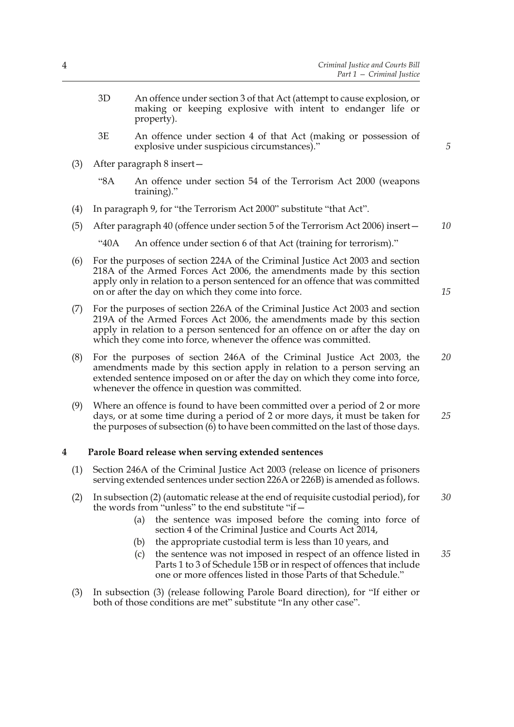- 3D An offence under section 3 of that Act (attempt to cause explosion, or making or keeping explosive with intent to endanger life or property).
- 3E An offence under section 4 of that Act (making or possession of explosive under suspicious circumstances)."
- (3) After paragraph 8 insert—
	- "8A An offence under section 54 of the Terrorism Act 2000 (weapons training)."
- (4) In paragraph 9, for "the Terrorism Act 2000" substitute "that Act".
- (5) After paragraph 40 (offence under section 5 of the Terrorism Act 2006) insert— *10*

"40A An offence under section 6 of that Act (training for terrorism)."

- (6) For the purposes of section 224A of the Criminal Justice Act 2003 and section 218A of the Armed Forces Act 2006, the amendments made by this section apply only in relation to a person sentenced for an offence that was committed on or after the day on which they come into force.
- (7) For the purposes of section 226A of the Criminal Justice Act 2003 and section 219A of the Armed Forces Act 2006, the amendments made by this section apply in relation to a person sentenced for an offence on or after the day on which they come into force, whenever the offence was committed.
- (8) For the purposes of section 246A of the Criminal Justice Act 2003, the amendments made by this section apply in relation to a person serving an extended sentence imposed on or after the day on which they come into force, whenever the offence in question was committed. *20*
- (9) Where an offence is found to have been committed over a period of 2 or more days, or at some time during a period of 2 or more days, it must be taken for the purposes of subsection  $(6)$  to have been committed on the last of those days. *25*

#### **4 Parole Board release when serving extended sentences**

- (1) Section 246A of the Criminal Justice Act 2003 (release on licence of prisoners serving extended sentences under section 226A or 226B) is amended as follows.
- (2) In subsection (2) (automatic release at the end of requisite custodial period), for the words from "unless" to the end substitute "if— *30*
	- (a) the sentence was imposed before the coming into force of section 4 of the Criminal Justice and Courts Act 2014,
	- (b) the appropriate custodial term is less than 10 years, and
	- (c) the sentence was not imposed in respect of an offence listed in Parts 1 to 3 of Schedule 15B or in respect of offences that include one or more offences listed in those Parts of that Schedule." *35*
- (3) In subsection (3) (release following Parole Board direction), for "If either or both of those conditions are met" substitute "In any other case".

*15*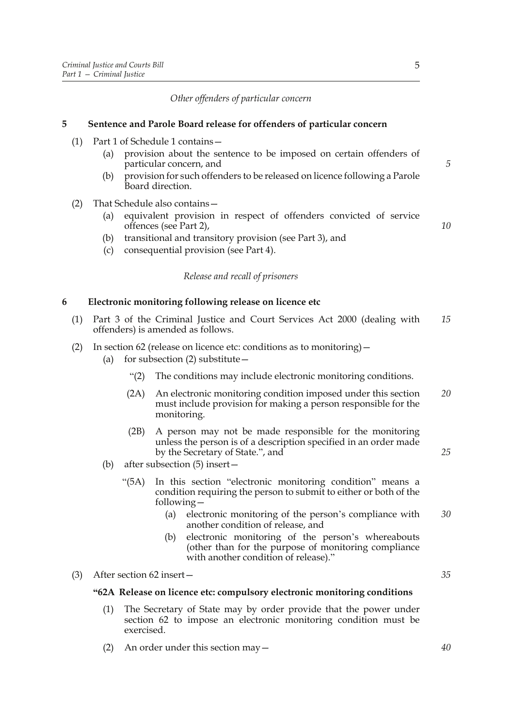*Other offenders of particular concern*

# **5 Sentence and Parole Board release for offenders of particular concern**

- (1) Part 1 of Schedule 1 contains—
	- (a) provision about the sentence to be imposed on certain offenders of particular concern, and
	- (b) provision for such offenders to be released on licence following a Parole Board direction.
- (2) That Schedule also contains—
	- (a) equivalent provision in respect of offenders convicted of service offences (see Part 2),
	- (b) transitional and transitory provision (see Part 3), and
	- (c) consequential provision (see Part 4).

# *Release and recall of prisoners*

# **6 Electronic monitoring following release on licence etc**

- (1) Part 3 of the Criminal Justice and Court Services Act 2000 (dealing with offenders) is amended as follows. *15*
- (2) In section 62 (release on licence etc: conditions as to monitoring)— (a) for subsection  $(2)$  substitute –
	- "(2) The conditions may include electronic monitoring conditions.
	- (2A) An electronic monitoring condition imposed under this section must include provision for making a person responsible for the monitoring. *20*
	- (2B) A person may not be made responsible for the monitoring unless the person is of a description specified in an order made by the Secretary of State.", and
	- (b) after subsection (5) insert—
		- "(5A) In this section "electronic monitoring condition" means a condition requiring the person to submit to either or both of the following—
			- (a) electronic monitoring of the person's compliance with another condition of release, and *30*
			- (b) electronic monitoring of the person's whereabouts (other than for the purpose of monitoring compliance with another condition of release)."
- (3) After section 62 insert—

# **"62A Release on licence etc: compulsory electronic monitoring conditions**

- (1) The Secretary of State may by order provide that the power under section 62 to impose an electronic monitoring condition must be exercised.
- (2) An order under this section may—

*5*

*10*

*35*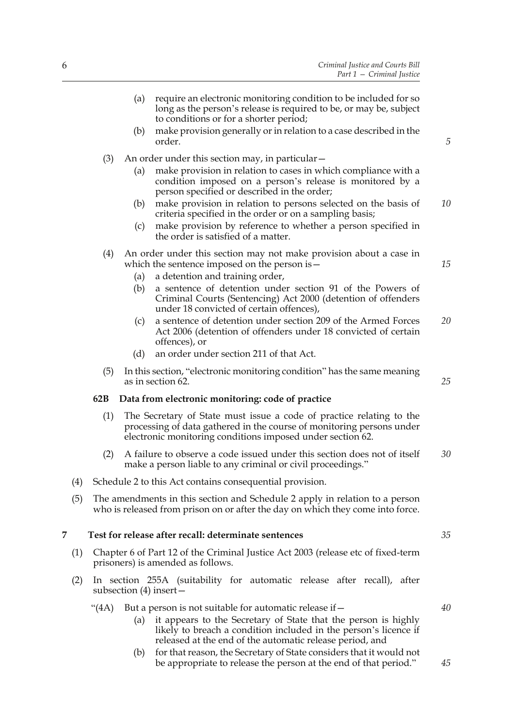6

|   |     |                                                                                                                       | (a)               | require an electronic monitoring condition to be included for so<br>long as the person's release is required to be, or may be, subject<br>to conditions or for a shorter period;                                                                                                                                                |    |
|---|-----|-----------------------------------------------------------------------------------------------------------------------|-------------------|---------------------------------------------------------------------------------------------------------------------------------------------------------------------------------------------------------------------------------------------------------------------------------------------------------------------------------|----|
|   |     |                                                                                                                       | (b)               | make provision generally or in relation to a case described in the<br>order.                                                                                                                                                                                                                                                    | 5  |
|   |     | (3)                                                                                                                   | (a)               | An order under this section may, in particular –<br>make provision in relation to cases in which compliance with a<br>condition imposed on a person's release is monitored by a<br>person specified or described in the order;                                                                                                  |    |
|   |     |                                                                                                                       | (b)<br>(c)        | make provision in relation to persons selected on the basis of<br>criteria specified in the order or on a sampling basis;<br>make provision by reference to whether a person specified in<br>the order is satisfied of a matter.                                                                                                | 10 |
|   |     | (4)                                                                                                                   | (a)               | An order under this section may not make provision about a case in<br>which the sentence imposed on the person is -<br>a detention and training order,                                                                                                                                                                          | 15 |
|   |     |                                                                                                                       | (b)               | a sentence of detention under section 91 of the Powers of<br>Criminal Courts (Sentencing) Act 2000 (detention of offenders<br>under 18 convicted of certain offences),                                                                                                                                                          |    |
|   |     |                                                                                                                       | (c)               | a sentence of detention under section 209 of the Armed Forces<br>Act 2006 (detention of offenders under 18 convicted of certain<br>offences), or                                                                                                                                                                                | 20 |
|   |     |                                                                                                                       | (d)               | an order under section 211 of that Act.                                                                                                                                                                                                                                                                                         |    |
|   |     | (5)                                                                                                                   |                   | In this section, "electronic monitoring condition" has the same meaning<br>as in section 62.                                                                                                                                                                                                                                    | 25 |
|   |     | 62B                                                                                                                   |                   | Data from electronic monitoring: code of practice                                                                                                                                                                                                                                                                               |    |
|   |     | (1)                                                                                                                   |                   | The Secretary of State must issue a code of practice relating to the<br>processing of data gathered in the course of monitoring persons under<br>electronic monitoring conditions imposed under section 62.                                                                                                                     |    |
|   |     | (2)                                                                                                                   |                   | A failure to observe a code issued under this section does not of itself<br>make a person liable to any criminal or civil proceedings."                                                                                                                                                                                         | 30 |
|   | (4) | Schedule 2 to this Act contains consequential provision.                                                              |                   |                                                                                                                                                                                                                                                                                                                                 |    |
|   | (5) |                                                                                                                       |                   | The amendments in this section and Schedule 2 apply in relation to a person<br>who is released from prison on or after the day on which they come into force.                                                                                                                                                                   |    |
| 7 |     |                                                                                                                       |                   | Test for release after recall: determinate sentences                                                                                                                                                                                                                                                                            | 35 |
|   | (1) | Chapter 6 of Part 12 of the Criminal Justice Act 2003 (release etc of fixed-term<br>prisoners) is amended as follows. |                   |                                                                                                                                                                                                                                                                                                                                 |    |
|   | (2) | In section 255A (suitability for automatic release after recall), after<br>subsection $(4)$ insert –                  |                   |                                                                                                                                                                                                                                                                                                                                 |    |
|   |     | "(4A)                                                                                                                 | (a)<br>$\sqrt{2}$ | But a person is not suitable for automatic release if –<br>it appears to the Secretary of State that the person is highly<br>likely to breach a condition included in the person's licence if<br>released at the end of the automatic release period, and<br>for that reason the Cognitive of Ctate considers that it would not | 40 |
|   |     |                                                                                                                       |                   |                                                                                                                                                                                                                                                                                                                                 |    |

(b) for that reason, the Secretary of State considers that it would not be appropriate to release the person at the end of that period."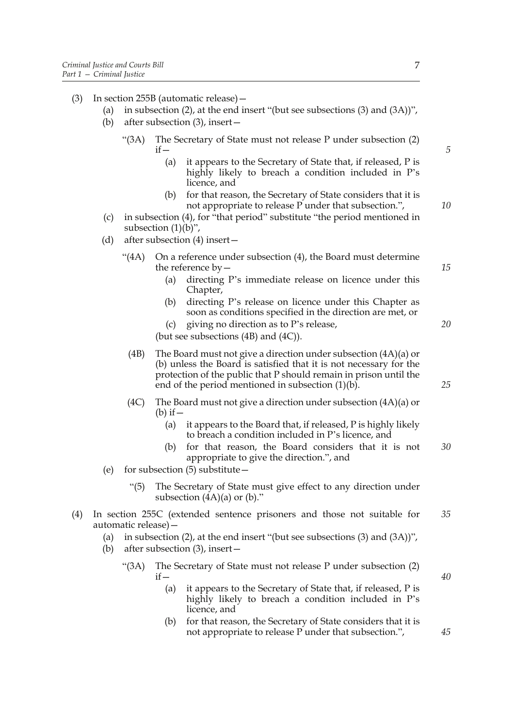(3) In section 255B (automatic release)—

- (a) in subsection (2), at the end insert "(but see subsections (3) and (3A))", (b) after subsection (3), insert— "(3A) The Secretary of State must not release P under subsection (2)  $if -$ (a) it appears to the Secretary of State that, if released, P is highly likely to breach a condition included in P's licence, and (b) for that reason, the Secretary of State considers that it is not appropriate to release P under that subsection.", (c) in subsection (4), for "that period" substitute "the period mentioned in subsection  $(1)(b)$ ", (d) after subsection (4) insert— "(4A) On a reference under subsection (4), the Board must determine the reference by— (a) directing P's immediate release on licence under this Chapter, (b) directing P's release on licence under this Chapter as soon as conditions specified in the direction are met, or (c) giving no direction as to P's release, (but see subsections  $(4B)$  and  $(4C)$ ). (4B) The Board must not give a direction under subsection (4A)(a) or (b) unless the Board is satisfied that it is not necessary for the protection of the public that P should remain in prison until the end of the period mentioned in subsection (1)(b). (4C) The Board must not give a direction under subsection (4A)(a) or  $(b)$  if  $-$ (a) it appears to the Board that, if released, P is highly likely to breach a condition included in P's licence, and (b) for that reason, the Board considers that it is not appropriate to give the direction.", and (e) for subsection (5) substitute— "(5) The Secretary of State must give effect to any direction under subsection  $(4A)(a)$  or  $(b)$ ." *5 10 15*
- (4) In section 255C (extended sentence prisoners and those not suitable for automatic release)— *35*
	- (a) in subsection (2), at the end insert "(but see subsections (3) and  $(3A)$ ",
	- (b) after subsection (3), insert—
		- "(3A) The Secretary of State must not release P under subsection (2) if—
			- (a) it appears to the Secretary of State that, if released, P is highly likely to breach a condition included in P's licence, and
			- (b) for that reason, the Secretary of State considers that it is not appropriate to release P under that subsection.",

*20*

*25*

*30*

*45*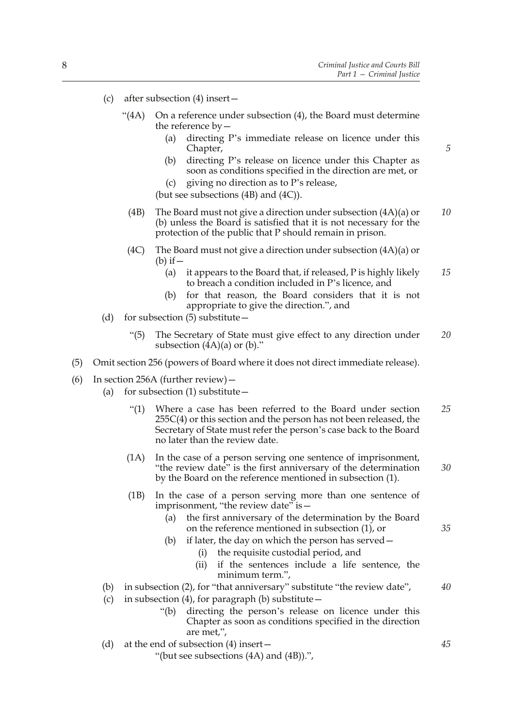*5*

- (c) after subsection (4) insert—
	- "(4A) On a reference under subsection (4), the Board must determine the reference by—
		- (a) directing P's immediate release on licence under this Chapter,
		- (b) directing P's release on licence under this Chapter as soon as conditions specified in the direction are met, or
		- (c) giving no direction as to P's release,

(but see subsections (4B) and (4C)).

- (4B) The Board must not give a direction under subsection (4A)(a) or (b) unless the Board is satisfied that it is not necessary for the protection of the public that P should remain in prison. *10*
- (4C) The Board must not give a direction under subsection (4A)(a) or  $(b)$  if  $-$ 
	- (a) it appears to the Board that, if released, P is highly likely to breach a condition included in P's licence, and *15*
	- (b) for that reason, the Board considers that it is not appropriate to give the direction.", and
- (d) for subsection (5) substitute—
	- "(5) The Secretary of State must give effect to any direction under subsection  $(4A)(a)$  or  $(b)$ ." *20*
- (5) Omit section 256 (powers of Board where it does not direct immediate release).
- (6) In section 256A (further review)—
	- (a) for subsection  $(1)$  substitute  $-$ 
		- "(1) Where a case has been referred to the Board under section 255C(4) or this section and the person has not been released, the Secretary of State must refer the person's case back to the Board no later than the review date. *25*
		- (1A) In the case of a person serving one sentence of imprisonment, "the review date" is the first anniversary of the determination by the Board on the reference mentioned in subsection (1). *30*
		- (1B) In the case of a person serving more than one sentence of imprisonment, "the review date" is -
			- (a) the first anniversary of the determination by the Board on the reference mentioned in subsection (1), or
			- (b) if later, the day on which the person has served—
				- (i) the requisite custodial period, and
				- (ii) if the sentences include a life sentence, the minimum term.",
	- (b) in subsection (2), for "that anniversary" substitute "the review date",
	- (c) in subsection (4), for paragraph (b) substitute  $-$ 
		- "(b) directing the person's release on licence under this Chapter as soon as conditions specified in the direction are met,",
	- (d) at the end of subsection (4) insert—

"(but see subsections (4A) and (4B)).",

*45*

*35*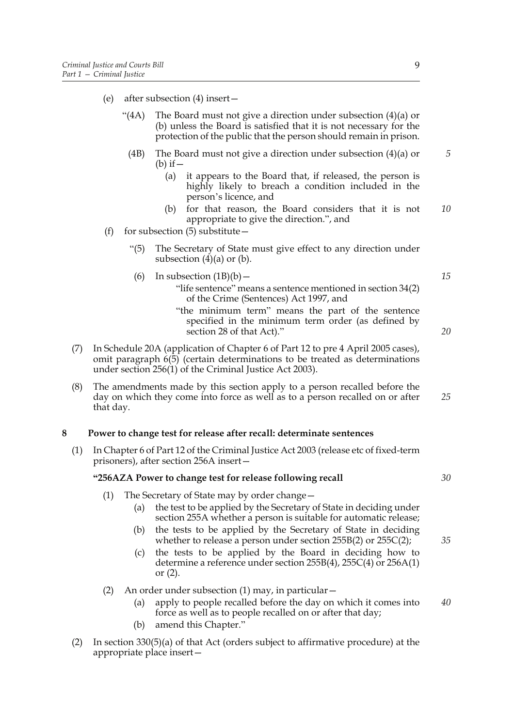- (e) after subsection (4) insert—
	- "(4A) The Board must not give a direction under subsection  $(4)(a)$  or (b) unless the Board is satisfied that it is not necessary for the protection of the public that the person should remain in prison.
		- (4B) The Board must not give a direction under subsection (4)(a) or (b) if  $-$ 
			- (a) it appears to the Board that, if released, the person is highly likely to breach a condition included in the person's licence, and
			- (b) for that reason, the Board considers that it is not appropriate to give the direction.", and *10*
- (f) for subsection  $(5)$  substitute  $-$ 
	- "(5) The Secretary of State must give effect to any direction under subsection  $(4)(a)$  or  $(b)$ .
	- (6) In subsection  $(1B)(b)$  -"life sentence" means a sentence mentioned in section 34(2) of the Crime (Sentences) Act 1997, and
		- "the minimum term" means the part of the sentence specified in the minimum term order (as defined by section 28 of that Act)."
- (7) In Schedule 20A (application of Chapter 6 of Part 12 to pre 4 April 2005 cases), omit paragraph 6(5) (certain determinations to be treated as determinations under section 256(1) of the Criminal Justice Act 2003).
- (8) The amendments made by this section apply to a person recalled before the day on which they come into force as well as to a person recalled on or after that day. *25*

# **8 Power to change test for release after recall: determinate sentences**

(1) In Chapter 6 of Part 12 of the Criminal Justice Act 2003 (release etc of fixed-term prisoners), after section 256A insert—

#### **"256AZA Power to change test for release following recall**

- (1) The Secretary of State may by order change—
	- (a) the test to be applied by the Secretary of State in deciding under section 255A whether a person is suitable for automatic release;
	- (b) the tests to be applied by the Secretary of State in deciding whether to release a person under section 255B(2) or 255C(2);
	- (c) the tests to be applied by the Board in deciding how to determine a reference under section 255B(4), 255C(4) or 256A(1) or (2).
- (2) An order under subsection  $(1)$  may, in particular  $-$ 
	- (a) apply to people recalled before the day on which it comes into force as well as to people recalled on or after that day; *40*
	- (b) amend this Chapter."
- (2) In section 330(5)(a) of that Act (orders subject to affirmative procedure) at the appropriate place insert—

*5*

*15*

*20*

*30*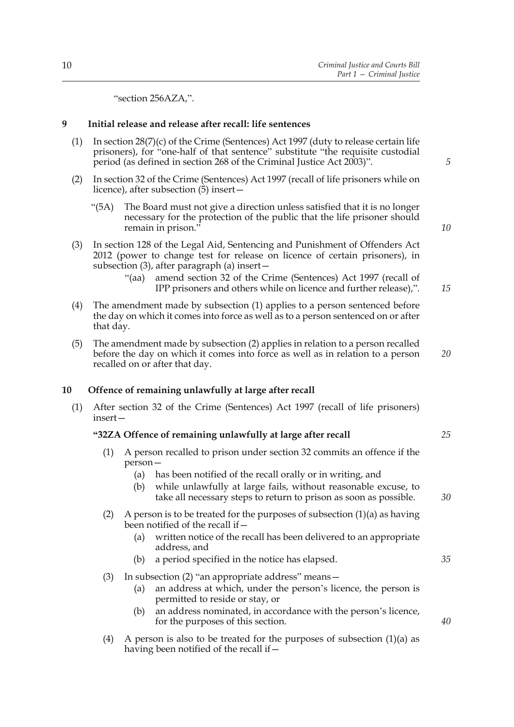"section 256AZA,".

#### **9 Initial release and release after recall: life sentences**

- (1) In section 28(7)(c) of the Crime (Sentences) Act 1997 (duty to release certain life prisoners), for "one-half of that sentence" substitute "the requisite custodial period (as defined in section 268 of the Criminal Justice Act 2003)".
- (2) In section 32 of the Crime (Sentences) Act 1997 (recall of life prisoners while on licence), after subsection (5) insert—
	- "(5A) The Board must not give a direction unless satisfied that it is no longer necessary for the protection of the public that the life prisoner should remain in prison."
- (3) In section 128 of the Legal Aid, Sentencing and Punishment of Offenders Act 2012 (power to change test for release on licence of certain prisoners), in subsection (3), after paragraph (a) insert—
	- "(aa) amend section 32 of the Crime (Sentences) Act 1997 (recall of IPP prisoners and others while on licence and further release),". *15*
- (4) The amendment made by subsection (1) applies to a person sentenced before the day on which it comes into force as well as to a person sentenced on or after that day.
- (5) The amendment made by subsection (2) applies in relation to a person recalled before the day on which it comes into force as well as in relation to a person recalled on or after that day. *20*

#### **10 Offence of remaining unlawfully at large after recall**

(1) After section 32 of the Crime (Sentences) Act 1997 (recall of life prisoners) insert—

#### **"32ZA Offence of remaining unlawfully at large after recall**

- (1) A person recalled to prison under section 32 commits an offence if the person—
	- (a) has been notified of the recall orally or in writing, and
	- (b) while unlawfully at large fails, without reasonable excuse, to take all necessary steps to return to prison as soon as possible.
- (2) A person is to be treated for the purposes of subsection  $(1)(a)$  as having been notified of the recall if—
	- (a) written notice of the recall has been delivered to an appropriate address, and
	- (b) a period specified in the notice has elapsed.
- (3) In subsection (2) "an appropriate address" means—
	- (a) an address at which, under the person's licence, the person is permitted to reside or stay, or
	- (b) an address nominated, in accordance with the person's licence, for the purposes of this section.
- (4) A person is also to be treated for the purposes of subsection  $(1)(a)$  as having been notified of the recall if—

*10*

*25*

*30*

*35*

*40*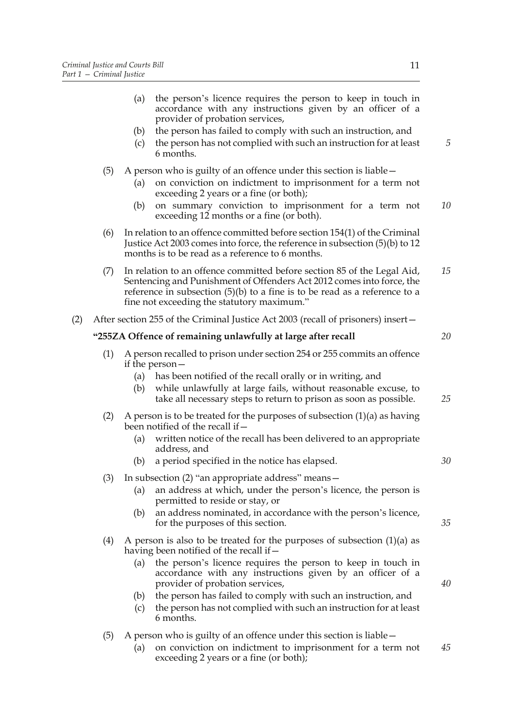|     |     | the person's licence requires the person to keep in touch in<br>(a)<br>accordance with any instructions given by an officer of a<br>provider of probation services,<br>the person has failed to comply with such an instruction, and<br>(b)<br>the person has not complied with such an instruction for at least<br>(c)<br>6 months.                                                                                                                         | 5  |
|-----|-----|--------------------------------------------------------------------------------------------------------------------------------------------------------------------------------------------------------------------------------------------------------------------------------------------------------------------------------------------------------------------------------------------------------------------------------------------------------------|----|
|     | (5) | A person who is guilty of an offence under this section is liable –<br>on conviction on indictment to imprisonment for a term not<br>(a)<br>exceeding 2 years or a fine (or both);<br>on summary conviction to imprisonment for a term not<br>(b)<br>exceeding 12 months or a fine (or both).                                                                                                                                                                | 10 |
|     | (6) | In relation to an offence committed before section 154(1) of the Criminal<br>Justice Act 2003 comes into force, the reference in subsection (5)(b) to 12<br>months is to be read as a reference to 6 months.                                                                                                                                                                                                                                                 |    |
|     | (7) | In relation to an offence committed before section 85 of the Legal Aid,<br>Sentencing and Punishment of Offenders Act 2012 comes into force, the<br>reference in subsection $(5)(b)$ to a fine is to be read as a reference to a<br>fine not exceeding the statutory maximum."                                                                                                                                                                               | 15 |
| (2) |     | After section 255 of the Criminal Justice Act 2003 (recall of prisoners) insert—                                                                                                                                                                                                                                                                                                                                                                             |    |
|     |     | "255ZA Offence of remaining unlawfully at large after recall                                                                                                                                                                                                                                                                                                                                                                                                 | 20 |
|     | (1) | A person recalled to prison under section 254 or 255 commits an offence<br>if the person $-$<br>has been notified of the recall orally or in writing, and<br>(a)<br>while unlawfully at large fails, without reasonable excuse, to<br>(b)<br>take all necessary steps to return to prison as soon as possible.                                                                                                                                               | 25 |
|     | (2) | A person is to be treated for the purposes of subsection $(1)(a)$ as having<br>been notified of the recall if -<br>written notice of the recall has been delivered to an appropriate<br>(a)<br>address, and<br>a period specified in the notice has elapsed.<br>(b)                                                                                                                                                                                          | 30 |
|     | (3) | In subsection (2) "an appropriate address" means-<br>an address at which, under the person's licence, the person is<br>(a)<br>permitted to reside or stay, or<br>an address nominated, in accordance with the person's licence,<br>(b)<br>for the purposes of this section.                                                                                                                                                                                  | 35 |
|     | (4) | A person is also to be treated for the purposes of subsection $(1)(a)$ as<br>having been notified of the recall if -<br>the person's licence requires the person to keep in touch in<br>(a)<br>accordance with any instructions given by an officer of a<br>provider of probation services,<br>the person has failed to comply with such an instruction, and<br>(b)<br>the person has not complied with such an instruction for at least<br>(c)<br>6 months. | 40 |
|     | (5) | A person who is guilty of an offence under this section is liable -                                                                                                                                                                                                                                                                                                                                                                                          |    |

(a) on conviction on indictment to imprisonment for a term not exceeding 2 years or a fine (or both); *45*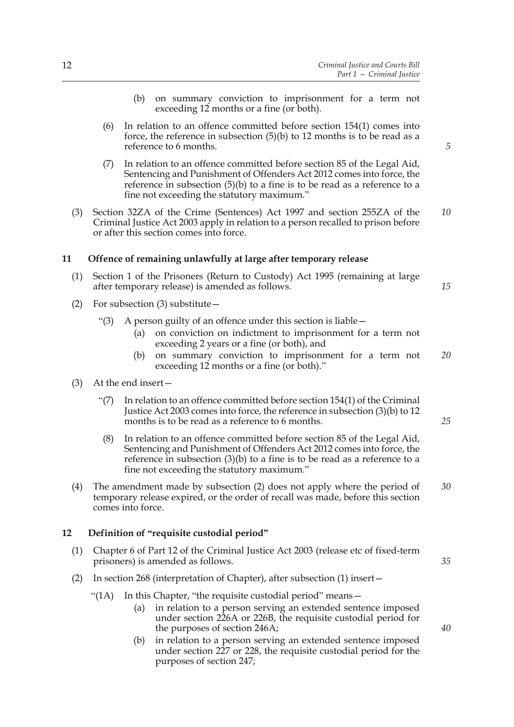- (b) on summary conviction to imprisonment for a term not exceeding 12 months or a fine (or both).
- (6) In relation to an offence committed before section 154(1) comes into force, the reference in subsection  $(5)(b)$  to 12 months is to be read as a reference to 6 months.
- (7) In relation to an offence committed before section 85 of the Legal Aid, Sentencing and Punishment of Offenders Act 2012 comes into force, the reference in subsection (5)(b) to a fine is to be read as a reference to a fine not exceeding the statutory maximum."
- (3) Section 32ZA of the Crime (Sentences) Act 1997 and section 255ZA of the Criminal Justice Act 2003 apply in relation to a person recalled to prison before or after this section comes into force. *10*

#### **11 Offence of remaining unlawfully at large after temporary release**

- (1) Section 1 of the Prisoners (Return to Custody) Act 1995 (remaining at large after temporary release) is amended as follows.
- (2) For subsection (3) substitute—
	- "(3) A person guilty of an offence under this section is liable—
		- (a) on conviction on indictment to imprisonment for a term not exceeding 2 years or a fine (or both), and
		- (b) on summary conviction to imprisonment for a term not exceeding 12 months or a fine (or both)." *20*
- (3) At the end insert—
	- "(7) In relation to an offence committed before section 154(1) of the Criminal Justice Act 2003 comes into force, the reference in subsection (3)(b) to 12 months is to be read as a reference to 6 months.
	- (8) In relation to an offence committed before section 85 of the Legal Aid, Sentencing and Punishment of Offenders Act 2012 comes into force, the reference in subsection (3)(b) to a fine is to be read as a reference to a fine not exceeding the statutory maximum."
- (4) The amendment made by subsection (2) does not apply where the period of temporary release expired, or the order of recall was made, before this section comes into force. *30*

#### **12 Definition of "requisite custodial period"**

- (1) Chapter 6 of Part 12 of the Criminal Justice Act 2003 (release etc of fixed-term prisoners) is amended as follows.
- (2) In section 268 (interpretation of Chapter), after subsection (1) insert—
	- "(1A) In this Chapter, "the requisite custodial period" means—
		- (a) in relation to a person serving an extended sentence imposed under section 226A or 226B, the requisite custodial period for the purposes of section 246A;
		- (b) in relation to a person serving an extended sentence imposed under section 227 or 228, the requisite custodial period for the purposes of section 247;

*5*

*15*

*25*

*35*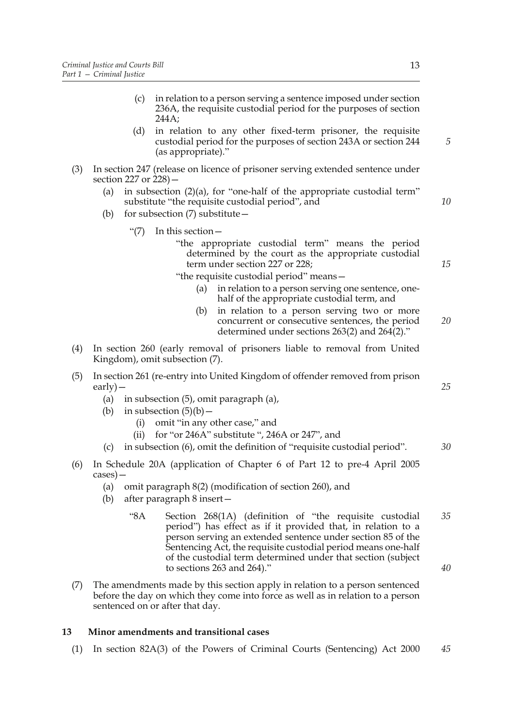- (c) in relation to a person serving a sentence imposed under section 236A, the requisite custodial period for the purposes of section 244A;
- (d) in relation to any other fixed-term prisoner, the requisite custodial period for the purposes of section 243A or section 244 (as appropriate)."
- (3) In section 247 (release on licence of prisoner serving extended sentence under section 227 or 228)—
	- (a) in subsection  $(2)(a)$ , for "one-half of the appropriate custodial term" substitute "the requisite custodial period", and
	- (b) for subsection (7) substitute—
		- "(7) In this section—
			- "the appropriate custodial term" means the period determined by the court as the appropriate custodial term under section 227 or 228;
			- "the requisite custodial period" means—
				- (a) in relation to a person serving one sentence, onehalf of the appropriate custodial term, and
				- (b) in relation to a person serving two or more concurrent or consecutive sentences, the period determined under sections 263(2) and 264(2)." *20*
- (4) In section 260 (early removal of prisoners liable to removal from United Kingdom), omit subsection (7).
- (5) In section 261 (re-entry into United Kingdom of offender removed from prison early)—
	- (a) in subsection (5), omit paragraph (a),
	- (b) in subsection  $(5)(b)$  -
		- (i) omit "in any other case," and
		- (ii) for "or 246A" substitute ", 246A or 247", and
	- (c) in subsection (6), omit the definition of "requisite custodial period". *30*
- (6) In Schedule 20A (application of Chapter 6 of Part 12 to pre-4 April 2005 cases)—
	- (a) omit paragraph 8(2) (modification of section 260), and
	- (b) after paragraph 8 insert—
		- "8A Section 268(1A) (definition of "the requisite custodial period") has effect as if it provided that, in relation to a person serving an extended sentence under section 85 of the Sentencing Act, the requisite custodial period means one-half of the custodial term determined under that section (subject to sections 263 and 264)." *35 40*
- (7) The amendments made by this section apply in relation to a person sentenced before the day on which they come into force as well as in relation to a person sentenced on or after that day.

#### **13 Minor amendments and transitional cases**

(1) In section 82A(3) of the Powers of Criminal Courts (Sentencing) Act 2000 *45*

*5*

*10*

*15*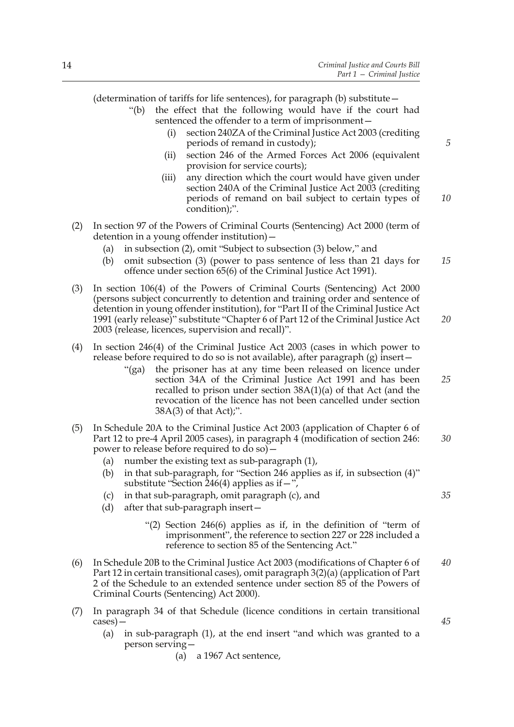(determination of tariffs for life sentences), for paragraph (b) substitute— "(b) the effect that the following would have if the court had sentenced the offender to a term of imprisonment— (i) section 240ZA of the Criminal Justice Act 2003 (crediting periods of remand in custody); (ii) section 246 of the Armed Forces Act 2006 (equivalent provision for service courts); (iii) any direction which the court would have given under section 240A of the Criminal Justice Act 2003 (crediting periods of remand on bail subject to certain types of condition);". (2) In section 97 of the Powers of Criminal Courts (Sentencing) Act 2000 (term of detention in a young offender institution)— (a) in subsection (2), omit "Subject to subsection (3) below," and (b) omit subsection (3) (power to pass sentence of less than 21 days for offence under section 65(6) of the Criminal Justice Act 1991). (3) In section 106(4) of the Powers of Criminal Courts (Sentencing) Act 2000 (persons subject concurrently to detention and training order and sentence of detention in young offender institution), for "Part II of the Criminal Justice Act 1991 (early release)" substitute "Chapter 6 of Part 12 of the Criminal Justice Act 2003 (release, licences, supervision and recall)". (4) In section 246(4) of the Criminal Justice Act 2003 (cases in which power to release before required to do so is not available), after paragraph (g) insert— "(ga) the prisoner has at any time been released on licence under section 34A of the Criminal Justice Act 1991 and has been recalled to prison under section 38A(1)(a) of that Act (and the revocation of the licence has not been cancelled under section 38A(3) of that Act);". (5) In Schedule 20A to the Criminal Justice Act 2003 (application of Chapter 6 of Part 12 to pre-4 April 2005 cases), in paragraph 4 (modification of section 246: power to release before required to do so)— (a) number the existing text as sub-paragraph (1), (b) in that sub-paragraph, for "Section 246 applies as if, in subsection (4)" substitute "Section 246(4) applies as if  $-\overline{v}$ , (c) in that sub-paragraph, omit paragraph (c), and (d) after that sub-paragraph insert— "(2) Section 246(6) applies as if, in the definition of "term of imprisonment", the reference to section 227 or 228 included a reference to section 85 of the Sentencing Act." (6) In Schedule 20B to the Criminal Justice Act 2003 (modifications of Chapter 6 of Part 12 in certain transitional cases), omit paragraph 3(2)(a) (application of Part 2 of the Schedule to an extended sentence under section 85 of the Powers of *5 10 15 25 30 35 40*

- (7) In paragraph 34 of that Schedule (licence conditions in certain transitional cases)—
	- (a) in sub-paragraph (1), at the end insert "and which was granted to a person serving—

(a) a 1967 Act sentence,

Criminal Courts (Sentencing) Act 2000).

*20*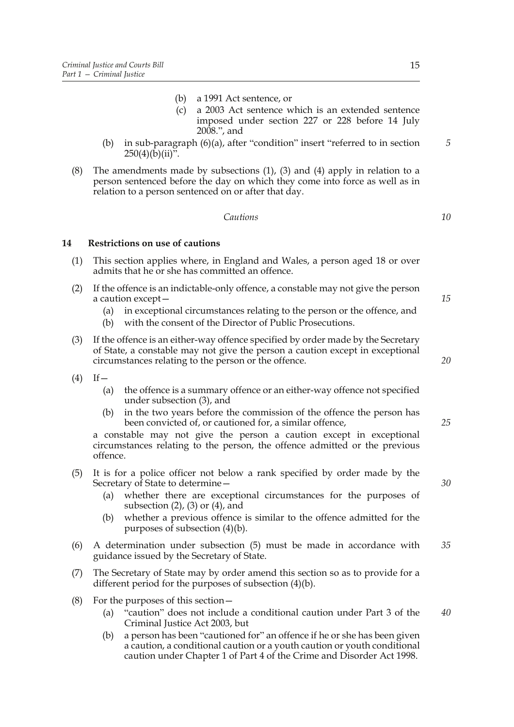- (b) a 1991 Act sentence, or
- (c) a 2003 Act sentence which is an extended sentence imposed under section 227 or 228 before 14 July 2008.", and
- (b) in sub-paragraph (6)(a), after "condition" insert "referred to in section  $250(4)(\bar{b})(ii)^{5}$ .
- (8) The amendments made by subsections (1), (3) and (4) apply in relation to a person sentenced before the day on which they come into force as well as in relation to a person sentenced on or after that day.

#### *Cautions*

# **14 Restrictions on use of cautions**

- (1) This section applies where, in England and Wales, a person aged 18 or over admits that he or she has committed an offence.
- (2) If the offence is an indictable-only offence, a constable may not give the person a caution except—
	- (a) in exceptional circumstances relating to the person or the offence, and
	- (b) with the consent of the Director of Public Prosecutions.
- (3) If the offence is an either-way offence specified by order made by the Secretary of State, a constable may not give the person a caution except in exceptional circumstances relating to the person or the offence.
- $(4)$  If
	- (a) the offence is a summary offence or an either-way offence not specified under subsection (3), and
	- (b) in the two years before the commission of the offence the person has been convicted of, or cautioned for, a similar offence,

a constable may not give the person a caution except in exceptional circumstances relating to the person, the offence admitted or the previous offence.

- (5) It is for a police officer not below a rank specified by order made by the Secretary of State to determine—
	- (a) whether there are exceptional circumstances for the purposes of subsection  $(2)$ ,  $(3)$  or  $(4)$ , and
	- (b) whether a previous offence is similar to the offence admitted for the purposes of subsection (4)(b).
- (6) A determination under subsection (5) must be made in accordance with guidance issued by the Secretary of State. *35*
- (7) The Secretary of State may by order amend this section so as to provide for a different period for the purposes of subsection (4)(b).
- (8) For the purposes of this section—
	- (a) "caution" does not include a conditional caution under Part 3 of the Criminal Justice Act 2003, but *40*
	- (b) a person has been "cautioned for" an offence if he or she has been given a caution, a conditional caution or a youth caution or youth conditional caution under Chapter 1 of Part 4 of the Crime and Disorder Act 1998.

*15*

*10*

*5*

*20*

*25*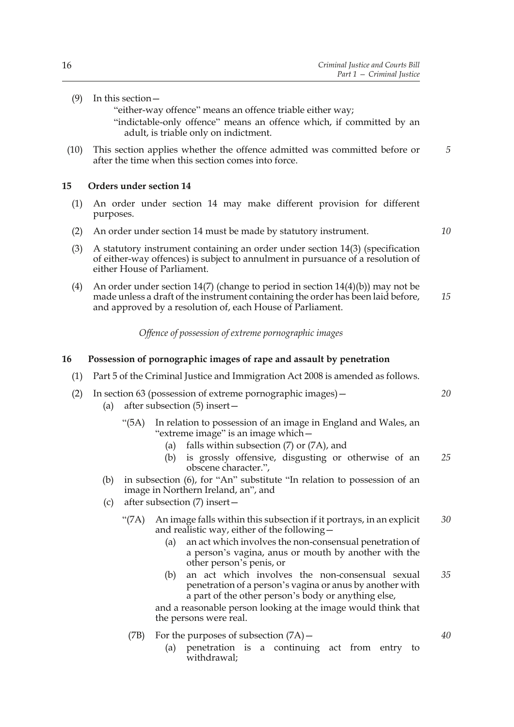"either-way offence" means an offence triable either way;

- "indictable-only offence" means an offence which, if committed by an adult, is triable only on indictment.
- (10) This section applies whether the offence admitted was committed before or after the time when this section comes into force.

#### **15 Orders under section 14**

- (1) An order under section 14 may make different provision for different purposes.
- (2) An order under section 14 must be made by statutory instrument.

*10*

*5*

- (3) A statutory instrument containing an order under section 14(3) (specification of either-way offences) is subject to annulment in pursuance of a resolution of either House of Parliament.
- (4) An order under section 14(7) (change to period in section 14(4)(b)) may not be made unless a draft of the instrument containing the order has been laid before, and approved by a resolution of, each House of Parliament. *15*

*Offence of possession of extreme pornographic images*

#### **16 Possession of pornographic images of rape and assault by penetration**

- (1) Part 5 of the Criminal Justice and Immigration Act 2008 is amended as follows.
- (2) In section 63 (possession of extreme pornographic images)— (a) after subsection (5) insert— *20*
	- "(5A) In relation to possession of an image in England and Wales, an "extreme image" is an image which—
		- (a) falls within subsection  $(7)$  or  $(7A)$ , and
		- (b) is grossly offensive, disgusting or otherwise of an obscene character.", *25*
	- (b) in subsection (6), for "An" substitute "In relation to possession of an image in Northern Ireland, an", and
	- (c) after subsection (7) insert—
		- "(7A) An image falls within this subsection if it portrays, in an explicit and realistic way, either of the following— *30*
			- (a) an act which involves the non-consensual penetration of a person's vagina, anus or mouth by another with the other person's penis, or
			- (b) an act which involves the non-consensual sexual penetration of a person's vagina or anus by another with a part of the other person's body or anything else, *35*

and a reasonable person looking at the image would think that the persons were real.

- (7B) For the purposes of subsection  $(7A)$ 
	- (a) penetration is a continuing act from entry to withdrawal;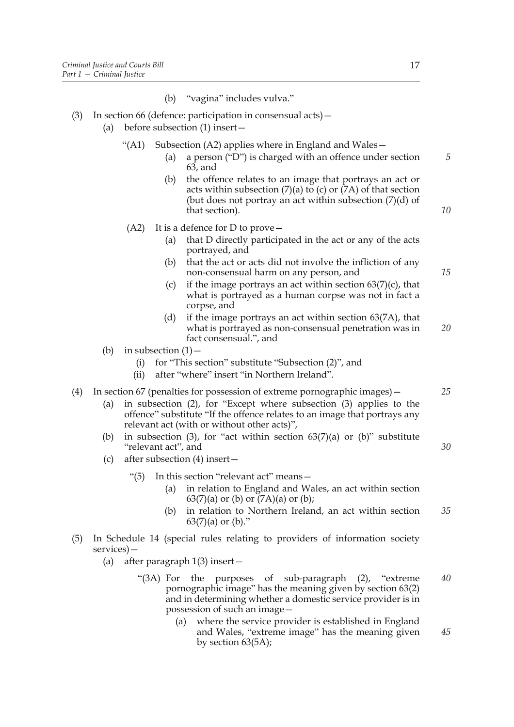(b) "vagina" includes vulva." (3) In section 66 (defence: participation in consensual acts)— (a) before subsection (1) insert— "(A1) Subsection (A2) applies where in England and Wales— (a) a person ("D") is charged with an offence under section  $6\overline{3}$ , and (b) the offence relates to an image that portrays an act or acts within subsection  $(7)(a)$  to (c) or  $(7A)$  of that section (but does not portray an act within subsection  $(7)(d)$  of that section).  $(A2)$  It is a defence for D to prove that D directly participated in the act or any of the acts portrayed, and (b) that the act or acts did not involve the infliction of any non-consensual harm on any person, and (c) if the image portrays an act within section  $63(7)(c)$ , that what is portrayed as a human corpse was not in fact a corpse, and (d) if the image portrays an act within section 63(7A), that what is portrayed as non-consensual penetration was in fact consensual.", and (b) in subsection  $(1)$  – (i) for "This section" substitute "Subsection (2)", and (ii) after "where" insert "in Northern Ireland". (4) In section 67 (penalties for possession of extreme pornographic images)— (a) in subsection (2), for "Except where subsection (3) applies to the offence" substitute "If the offence relates to an image that portrays any relevant act (with or without other acts)", (b) in subsection (3), for "act within section  $63(7)(a)$  or (b)" substitute "relevant act", and (c) after subsection (4) insert— "(5) In this section "relevant act" means— (a) in relation to England and Wales, an act within section  $63(7)(a)$  or (b) or  $(7A)(a)$  or (b); (b) in relation to Northern Ireland, an act within section  $63(7)(a)$  or  $(b)$ ." (5) In Schedule 14 (special rules relating to providers of information society services)— (a) after paragraph 1(3) insert— "(3A) For the purposes of sub-paragraph (2), "extreme pornographic image" has the meaning given by section 63(2) and in determining whether a domestic service provider is in *5 10 15 20 25 30 35 40*

> (a) where the service provider is established in England and Wales, "extreme image" has the meaning given by section 63(5A); *45*

possession of such an image—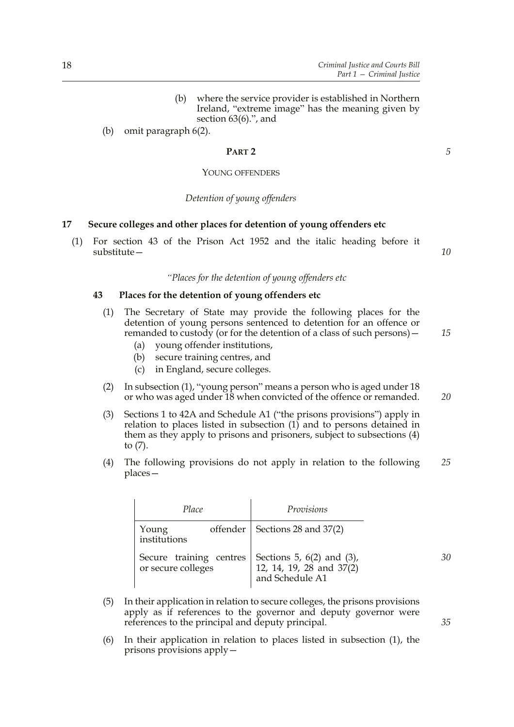- (b) where the service provider is established in Northern Ireland, "extreme image" has the meaning given by section 63(6).", and
- (b) omit paragraph 6(2).

#### **PART 2**

YOUNG OFFENDERS

*Detention of young offenders*

# **17 Secure colleges and other places for detention of young offenders etc**

(1) For section 43 of the Prison Act 1952 and the italic heading before it substitute—

*"Places for the detention of young offenders etc*

#### **43 Places for the detention of young offenders etc**

- (1) The Secretary of State may provide the following places for the detention of young persons sentenced to detention for an offence or remanded to custody (or for the detention of a class of such persons)—
	- (a) young offender institutions,
	- (b) secure training centres, and
	- (c) in England, secure colleges.
- (2) In subsection (1), "young person" means a person who is aged under 18 or who was aged under 18 when convicted of the offence or remanded.
- (3) Sections 1 to 42A and Schedule A1 ("the prisons provisions") apply in relation to places listed in subsection (1) and to persons detained in them as they apply to prisons and prisoners, subject to subsections (4) to  $(7)$ .
- (4) The following provisions do not apply in relation to the following places— *25*

| Place                                         | Provisions                                                                      |    |
|-----------------------------------------------|---------------------------------------------------------------------------------|----|
| Young<br>institutions                         | offender   Sections 28 and 37(2)                                                |    |
| Secure training centres<br>or secure colleges | Sections 5, $6(2)$ and $(3)$ ,<br>12, 14, 19, 28 and $37(2)$<br>and Schedule A1 | 30 |

- (5) In their application in relation to secure colleges, the prisons provisions apply as if references to the governor and deputy governor were references to the principal and deputy principal.
- (6) In their application in relation to places listed in subsection (1), the prisons provisions apply—

*5*

*15*

*20*

*35*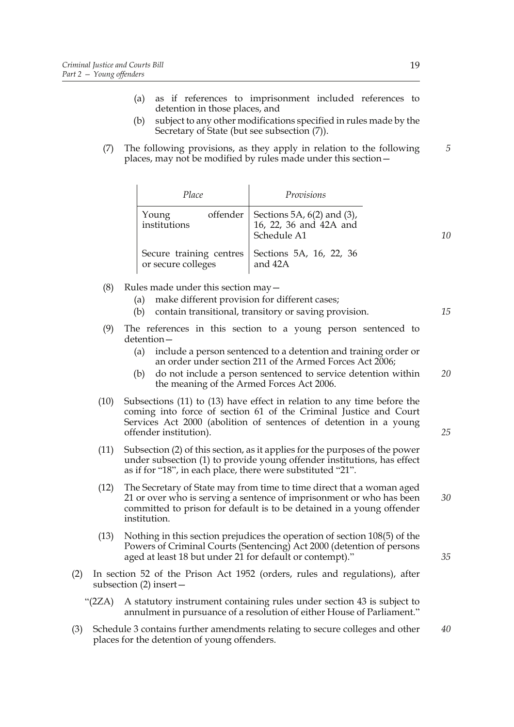- (a) as if references to imprisonment included references to detention in those places, and
- (b) subject to any other modifications specified in rules made by the Secretary of State (but see subsection (7)).
- (7) The following provisions, as they apply in relation to the following places, may not be modified by rules made under this section—

| Place                                         | Provisions                                                                          |    |
|-----------------------------------------------|-------------------------------------------------------------------------------------|----|
| Young<br>institutions                         | offender   Sections 5A, $6(2)$ and $(3)$ ,<br>16, 22, 36 and 42A and<br>Schedule A1 | 10 |
| Secure training centres<br>or secure colleges | Sections 5A, 16, 22, 36<br>and 42A                                                  |    |

- (8) Rules made under this section may  $-$ 
	- (a) make different provision for different cases;
	- (b) contain transitional, transitory or saving provision.
- (9) The references in this section to a young person sentenced to detention—
	- (a) include a person sentenced to a detention and training order or an order under section 211 of the Armed Forces Act 2006;
	- (b) do not include a person sentenced to service detention within the meaning of the Armed Forces Act 2006. *20*
- (10) Subsections (11) to (13) have effect in relation to any time before the coming into force of section 61 of the Criminal Justice and Court Services Act 2000 (abolition of sentences of detention in a young offender institution).
- (11) Subsection (2) of this section, as it applies for the purposes of the power under subsection (1) to provide young offender institutions, has effect as if for "18", in each place, there were substituted "21".
- (12) The Secretary of State may from time to time direct that a woman aged 21 or over who is serving a sentence of imprisonment or who has been committed to prison for default is to be detained in a young offender institution.
- (13) Nothing in this section prejudices the operation of section 108(5) of the Powers of Criminal Courts (Sentencing) Act 2000 (detention of persons aged at least 18 but under 21 for default or contempt)."
- (2) In section 52 of the Prison Act 1952 (orders, rules and regulations), after subsection (2) insert—
	- "(2ZA) A statutory instrument containing rules under section 43 is subject to annulment in pursuance of a resolution of either House of Parliament."
- (3) Schedule 3 contains further amendments relating to secure colleges and other places for the detention of young offenders. *40*

*5*

*25*

*15*

*35*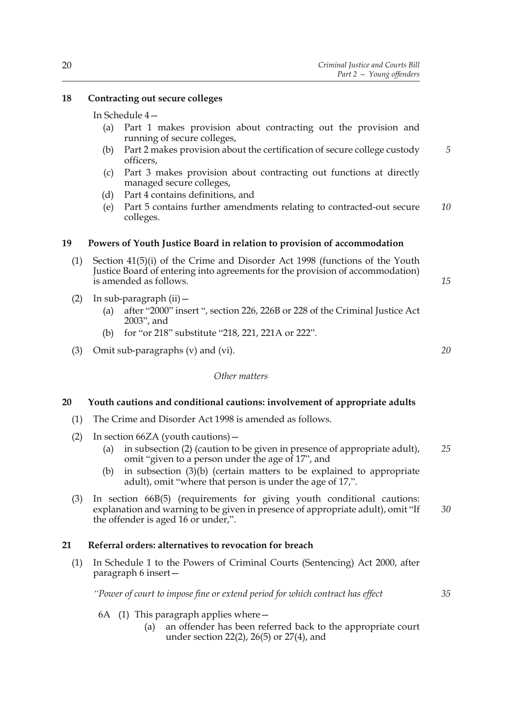# **18 Contracting out secure colleges**

In Schedule 4—

- (a) Part 1 makes provision about contracting out the provision and running of secure colleges,
- (b) Part 2 makes provision about the certification of secure college custody officers,
- (c) Part 3 makes provision about contracting out functions at directly managed secure colleges,
- (d) Part 4 contains definitions, and
- (e) Part 5 contains further amendments relating to contracted-out secure colleges. *10*

# **19 Powers of Youth Justice Board in relation to provision of accommodation**

- (1) Section 41(5)(i) of the Crime and Disorder Act 1998 (functions of the Youth Justice Board of entering into agreements for the provision of accommodation) is amended as follows.
- (2) In sub-paragraph  $(ii)$  -
	- (a) after "2000" insert ", section 226, 226B or 228 of the Criminal Justice Act 2003", and
	- (b) for "or 218" substitute "218, 221, 221A or 222".
- (3) Omit sub-paragraphs (v) and (vi).

# *Other matters*

# **20 Youth cautions and conditional cautions: involvement of appropriate adults**

- (1) The Crime and Disorder Act 1998 is amended as follows.
- (2) In section 66ZA (youth cautions)—
	- (a) in subsection (2) (caution to be given in presence of appropriate adult), omit "given to a person under the age of 17", and *25*
	- (b) in subsection (3)(b) (certain matters to be explained to appropriate adult), omit "where that person is under the age of 17,".
- (3) In section 66B(5) (requirements for giving youth conditional cautions: explanation and warning to be given in presence of appropriate adult), omit "If the offender is aged 16 or under,". *30*

#### **21 Referral orders: alternatives to revocation for breach**

(1) In Schedule 1 to the Powers of Criminal Courts (Sentencing) Act 2000, after paragraph 6 insert—

*"Power of court to impose fine or extend period for which contract has effect*

*35*

- 6A (1) This paragraph applies where  $-$ 
	- (a) an offender has been referred back to the appropriate court under section 22(2), 26(5) or 27(4), and

*20*

*15*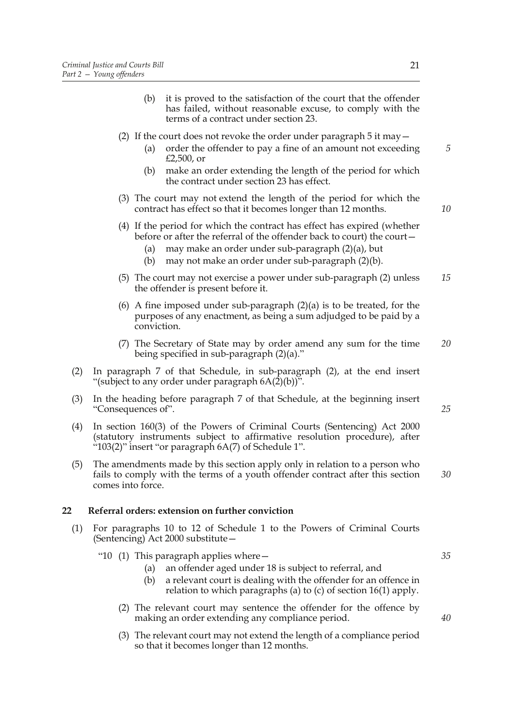#### (2) If the court does not revoke the order under paragraph 5 it may—

- (a) order the offender to pay a fine of an amount not exceeding £2,500, or
- (b) make an order extending the length of the period for which the contract under section 23 has effect.
- (3) The court may not extend the length of the period for which the contract has effect so that it becomes longer than 12 months.
- (4) If the period for which the contract has effect has expired (whether before or after the referral of the offender back to court) the court—
	- (a) may make an order under sub-paragraph (2)(a), but
	- (b) may not make an order under sub-paragraph (2)(b).
- (5) The court may not exercise a power under sub-paragraph (2) unless the offender is present before it. *15*
- (6) A fine imposed under sub-paragraph  $(2)(a)$  is to be treated, for the purposes of any enactment, as being a sum adjudged to be paid by a conviction.
- (7) The Secretary of State may by order amend any sum for the time being specified in sub-paragraph (2)(a)." *20*
- (2) In paragraph 7 of that Schedule, in sub-paragraph (2), at the end insert "(subject to any order under paragraph  $6A(2)(b)$ ".
- (3) In the heading before paragraph 7 of that Schedule, at the beginning insert "Consequences of".
- (4) In section 160(3) of the Powers of Criminal Courts (Sentencing) Act 2000 (statutory instruments subject to affirmative resolution procedure), after "103(2)" insert "or paragraph 6A(7) of Schedule 1".
- (5) The amendments made by this section apply only in relation to a person who fails to comply with the terms of a youth offender contract after this section comes into force. *30*

#### **22 Referral orders: extension on further conviction**

- (1) For paragraphs 10 to 12 of Schedule 1 to the Powers of Criminal Courts (Sentencing) Act 2000 substitute—
	- "10 (1) This paragraph applies where  $-$ 
		- (a) an offender aged under 18 is subject to referral, and
		- (b) a relevant court is dealing with the offender for an offence in relation to which paragraphs (a) to (c) of section 16(1) apply.
		- (2) The relevant court may sentence the offender for the offence by making an order extending any compliance period.
		- (3) The relevant court may not extend the length of a compliance period so that it becomes longer than 12 months.

*5*

*10*

*35*

*25*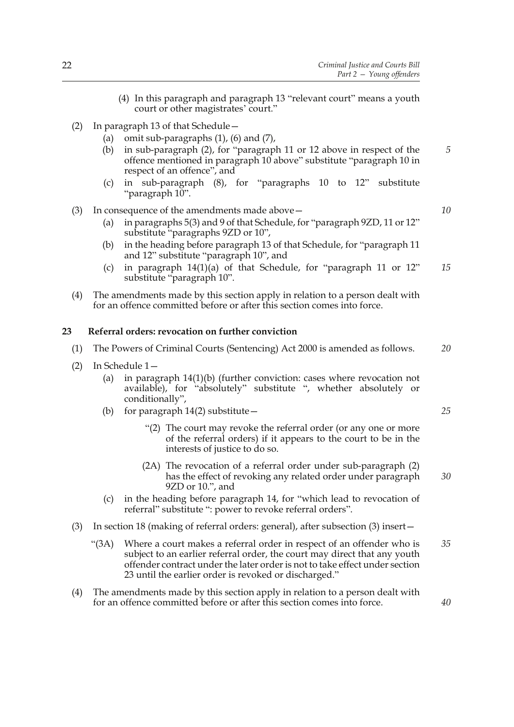- (2) In paragraph 13 of that Schedule—
	- (a) omit sub-paragraphs  $(1)$ ,  $(6)$  and  $(7)$ ,
	- (b) in sub-paragraph (2), for "paragraph 11 or 12 above in respect of the offence mentioned in paragraph 10 above" substitute "paragraph 10 in respect of an offence", and
	- (c) in sub-paragraph (8), for "paragraphs 10 to 12" substitute "paragraph  $10$ ".
- (3) In consequence of the amendments made above—
	- (a) in paragraphs 5(3) and 9 of that Schedule, for "paragraph 9ZD, 11 or 12" substitute "paragraphs 9ZD or 10",
	- (b) in the heading before paragraph 13 of that Schedule, for "paragraph 11 and 12" substitute "paragraph 10", and
	- (c) in paragraph 14(1)(a) of that Schedule, for "paragraph 11 or 12" substitute "paragraph 10". *15*
- (4) The amendments made by this section apply in relation to a person dealt with for an offence committed before or after this section comes into force.

#### **23 Referral orders: revocation on further conviction**

- (1) The Powers of Criminal Courts (Sentencing) Act 2000 is amended as follows. *20*
- (2) In Schedule 1—
	- (a) in paragraph 14(1)(b) (further conviction: cases where revocation not available), for "absolutely" substitute ", whether absolutely or conditionally",
	- (b) for paragraph  $14(2)$  substitute
		- "(2) The court may revoke the referral order (or any one or more of the referral orders) if it appears to the court to be in the interests of justice to do so.
		- (2A) The revocation of a referral order under sub-paragraph (2) has the effect of revoking any related order under paragraph 9ZD or 10.", and *30*
	- (c) in the heading before paragraph 14, for "which lead to revocation of referral" substitute ": power to revoke referral orders".
- (3) In section 18 (making of referral orders: general), after subsection (3) insert—
	- "(3A) Where a court makes a referral order in respect of an offender who is subject to an earlier referral order, the court may direct that any youth offender contract under the later order is not to take effect under section 23 until the earlier order is revoked or discharged." *35*
- (4) The amendments made by this section apply in relation to a person dealt with for an offence committed before or after this section comes into force.

*10*

*5*

*25*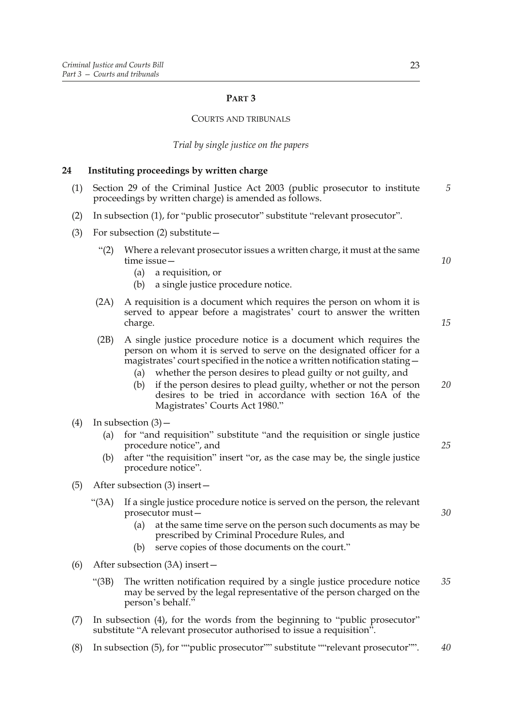#### **PART 3**

#### COURTS AND TRIBUNALS

#### *Trial by single justice on the papers*

# **24 Instituting proceedings by written charge**

- (1) Section 29 of the Criminal Justice Act 2003 (public prosecutor to institute proceedings by written charge) is amended as follows. *5*
- (2) In subsection (1), for "public prosecutor" substitute "relevant prosecutor".
- (3) For subsection (2) substitute—
	- "(2) Where a relevant prosecutor issues a written charge, it must at the same time issue—
		- (a) a requisition, or
		- (b) a single justice procedure notice.
	- (2A) A requisition is a document which requires the person on whom it is served to appear before a magistrates' court to answer the written charge.
	- (2B) A single justice procedure notice is a document which requires the person on whom it is served to serve on the designated officer for a magistrates' court specified in the notice a written notification stating—
		- (a) whether the person desires to plead guilty or not guilty, and
		- (b) if the person desires to plead guilty, whether or not the person desires to be tried in accordance with section 16A of the Magistrates' Courts Act 1980." *20*

# (4) In subsection  $(3)$  –

- (a) for "and requisition" substitute "and the requisition or single justice procedure notice", and
- (b) after "the requisition" insert "or, as the case may be, the single justice procedure notice".
- (5) After subsection (3) insert—
	- "(3A) If a single justice procedure notice is served on the person, the relevant prosecutor must—
		- (a) at the same time serve on the person such documents as may be prescribed by Criminal Procedure Rules, and
		- (b) serve copies of those documents on the court."
- (6) After subsection (3A) insert—
	- "(3B) The written notification required by a single justice procedure notice may be served by the legal representative of the person charged on the person's behalf." *35*
- (7) In subsection (4), for the words from the beginning to "public prosecutor" substitute "A relevant prosecutor authorised to issue a requisition".
- (8) In subsection (5), for ""public prosecutor"" substitute ""relevant prosecutor"". *40*

*25*

*30*

*10*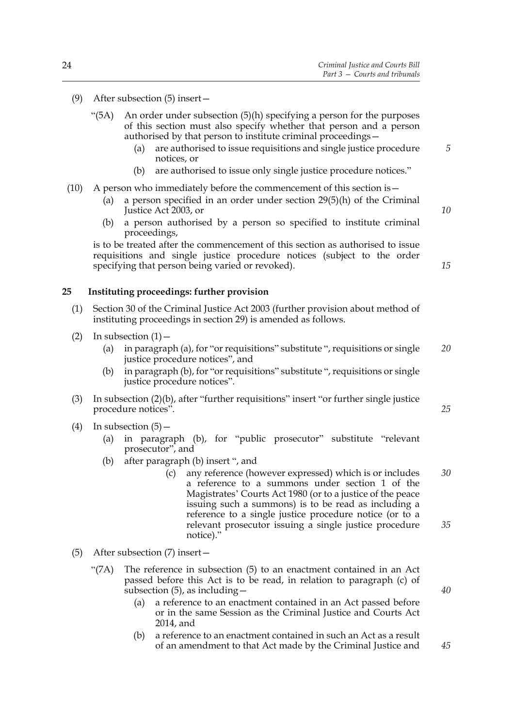(9) After subsection (5) insert—

| "(5A) An order under subsection (5)(h) specifying a person for the purposes |  |  |  |  |  |
|-----------------------------------------------------------------------------|--|--|--|--|--|
| of this section must also specify whether that person and a person          |  |  |  |  |  |
| authorised by that person to institute criminal proceedings—                |  |  |  |  |  |

- (a) are authorised to issue requisitions and single justice procedure notices, or *5*
- (b) are authorised to issue only single justice procedure notices."
- (10) A person who immediately before the commencement of this section is—
	- (a) a person specified in an order under section 29(5)(h) of the Criminal Justice Act 2003, or
	- (b) a person authorised by a person so specified to institute criminal proceedings,

is to be treated after the commencement of this section as authorised to issue requisitions and single justice procedure notices (subject to the order specifying that person being varied or revoked).

**25 Instituting proceedings: further provision**

- (1) Section 30 of the Criminal Justice Act 2003 (further provision about method of instituting proceedings in section 29) is amended as follows.
- (2) In subsection  $(1)$ 
	- (a) in paragraph (a), for "or requisitions" substitute ", requisitions or single justice procedure notices", and *20*
	- (b) in paragraph (b), for "or requisitions" substitute ", requisitions or single justice procedure notices".
- (3) In subsection (2)(b), after "further requisitions" insert "or further single justice procedure notices".
- (4) In subsection  $(5)$  -
	- (a) in paragraph (b), for "public prosecutor" substitute "relevant prosecutor", and
	- (b) after paragraph (b) insert ", and
		- (c) any reference (however expressed) which is or includes a reference to a summons under section 1 of the Magistrates' Courts Act 1980 (or to a justice of the peace issuing such a summons) is to be read as including a reference to a single justice procedure notice (or to a relevant prosecutor issuing a single justice procedure notice)." *30 35*
- (5) After subsection (7) insert—
	- "(7A) The reference in subsection (5) to an enactment contained in an Act passed before this Act is to be read, in relation to paragraph (c) of subsection  $(5)$ , as including  $-$ 
		- (a) a reference to an enactment contained in an Act passed before or in the same Session as the Criminal Justice and Courts Act 2014, and
		- (b) a reference to an enactment contained in such an Act as a result of an amendment to that Act made by the Criminal Justice and

*25*

*10*

*15*

*40*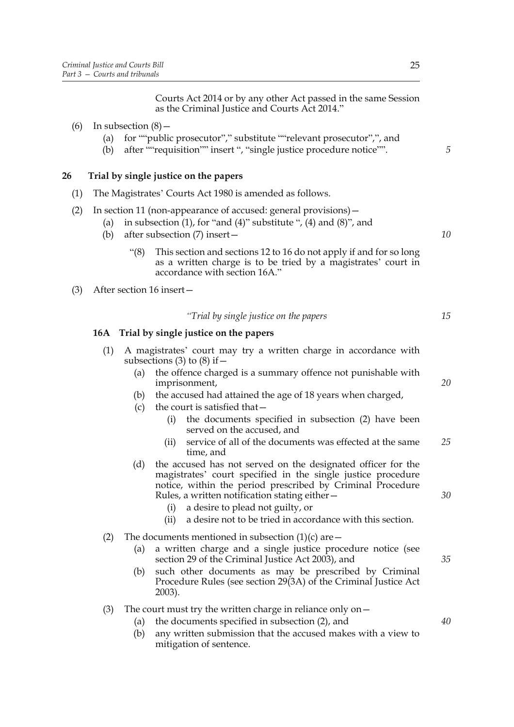Courts Act 2014 or by any other Act passed in the same Session as the Criminal Justice and Courts Act 2014."

- (6) In subsection  $(8)$ 
	- (a) for ""public prosecutor"," substitute ""relevant prosecutor",", and
	- (b) after ""requisition"" insert ", "single justice procedure notice"".

# **26 Trial by single justice on the papers**

- (1) The Magistrates' Courts Act 1980 is amended as follows.
- (2) In section 11 (non-appearance of accused: general provisions)—
	- (a) in subsection (1), for "and (4)" substitute ", (4) and  $(8)$ ", and
		- (b) after subsection (7) insert—
			- "(8) This section and sections 12 to 16 do not apply if and for so long as a written charge is to be tried by a magistrates' court in accordance with section 16A."
- (3) After section 16 insert—

#### *"Trial by single justice on the papers*

# **16A Trial by single justice on the papers**

- (1) A magistrates' court may try a written charge in accordance with subsections (3) to (8) if  $-$ 
	- (a) the offence charged is a summary offence not punishable with imprisonment,
	- (b) the accused had attained the age of 18 years when charged,
	- (c) the court is satisfied that  $-$ 
		- (i) the documents specified in subsection (2) have been served on the accused, and
		- (ii) service of all of the documents was effected at the same time, and *25*
	- (d) the accused has not served on the designated officer for the magistrates' court specified in the single justice procedure notice, within the period prescribed by Criminal Procedure Rules, a written notification stating either—
		- (i) a desire to plead not guilty, or
		- (ii) a desire not to be tried in accordance with this section.
- (2) The documents mentioned in subsection  $(1)(c)$  are  $-$ 
	- (a) a written charge and a single justice procedure notice (see section 29 of the Criminal Justice Act 2003), and
	- (b) such other documents as may be prescribed by Criminal Procedure Rules (see section 29(3A) of the Criminal Justice Act 2003).
- (3) The court must try the written charge in reliance only on  $-$ 
	- (a) the documents specified in subsection (2), and
	- (b) any written submission that the accused makes with a view to mitigation of sentence.

*15*

*5*

*10*

*20*

*35*

*30*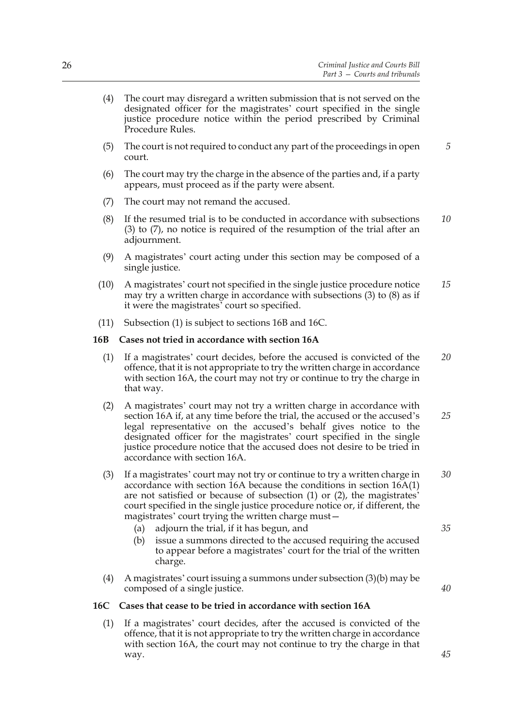- (4) The court may disregard a written submission that is not served on the designated officer for the magistrates' court specified in the single justice procedure notice within the period prescribed by Criminal Procedure Rules.
- (5) The court is not required to conduct any part of the proceedings in open court. *5*
- (6) The court may try the charge in the absence of the parties and, if a party appears, must proceed as if the party were absent.
- (7) The court may not remand the accused.
- (8) If the resumed trial is to be conducted in accordance with subsections (3) to (7), no notice is required of the resumption of the trial after an adjournment. *10*
- (9) A magistrates' court acting under this section may be composed of a single justice.
- (10) A magistrates' court not specified in the single justice procedure notice may try a written charge in accordance with subsections (3) to (8) as if it were the magistrates' court so specified. *15*
- (11) Subsection (1) is subject to sections 16B and 16C.

#### **16B Cases not tried in accordance with section 16A**

- (1) If a magistrates' court decides, before the accused is convicted of the offence, that it is not appropriate to try the written charge in accordance with section 16A, the court may not try or continue to try the charge in that way. *20*
- (2) A magistrates' court may not try a written charge in accordance with section 16A if, at any time before the trial, the accused or the accused's legal representative on the accused's behalf gives notice to the designated officer for the magistrates' court specified in the single justice procedure notice that the accused does not desire to be tried in accordance with section 16A. *25*
- (3) If a magistrates' court may not try or continue to try a written charge in accordance with section 16A because the conditions in section 16A(1) are not satisfied or because of subsection (1) or (2), the magistrates' court specified in the single justice procedure notice or, if different, the magistrates' court trying the written charge must— *30*
	- (a) adjourn the trial, if it has begun, and
	- (b) issue a summons directed to the accused requiring the accused to appear before a magistrates' court for the trial of the written charge.
- (4) A magistrates' court issuing a summons under subsection (3)(b) may be composed of a single justice.

#### **16C Cases that cease to be tried in accordance with section 16A**

(1) If a magistrates' court decides, after the accused is convicted of the offence, that it is not appropriate to try the written charge in accordance with section 16A, the court may not continue to try the charge in that way.

*35*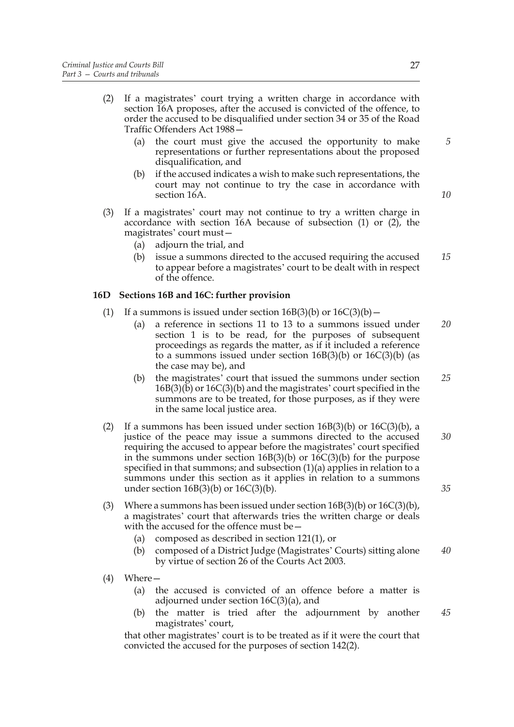- (2) If a magistrates' court trying a written charge in accordance with section 16A proposes, after the accused is convicted of the offence, to order the accused to be disqualified under section 34 or 35 of the Road Traffic Offenders Act 1988—
	- (a) the court must give the accused the opportunity to make representations or further representations about the proposed disqualification, and
	- (b) if the accused indicates a wish to make such representations, the court may not continue to try the case in accordance with section 16A.
- (3) If a magistrates' court may not continue to try a written charge in accordance with section 16A because of subsection (1) or (2), the magistrates' court must—
	- (a) adjourn the trial, and
	- (b) issue a summons directed to the accused requiring the accused to appear before a magistrates' court to be dealt with in respect of the offence. *15*

# **16D Sections 16B and 16C: further provision**

- (1) If a summons is issued under section  $16B(3)(b)$  or  $16C(3)(b)$  -
	- (a) a reference in sections 11 to 13 to a summons issued under section 1 is to be read, for the purposes of subsequent proceedings as regards the matter, as if it included a reference to a summons issued under section  $16B(3)(b)$  or  $16C(3)(b)$  (as the case may be), and *20*
	- (b) the magistrates' court that issued the summons under section 16B(3)(b) or 16C(3)(b) and the magistrates' court specified in the summons are to be treated, for those purposes, as if they were in the same local justice area. *25*
- (2) If a summons has been issued under section  $16B(3)(b)$  or  $16C(3)(b)$ , a justice of the peace may issue a summons directed to the accused requiring the accused to appear before the magistrates' court specified in the summons under section  $16B(3)(b)$  or  $16C(3)(b)$  for the purpose specified in that summons; and subsection (1)(a) applies in relation to a summons under this section as it applies in relation to a summons under section 16B(3)(b) or 16C(3)(b). *30*
- (3) Where a summons has been issued under section  $16B(3)(b)$  or  $16C(3)(b)$ , a magistrates' court that afterwards tries the written charge or deals with the accused for the offence must be -
	- (a) composed as described in section 121(1), or
	- (b) composed of a District Judge (Magistrates' Courts) sitting alone by virtue of section 26 of the Courts Act 2003. *40*
- (4) Where—
	- (a) the accused is convicted of an offence before a matter is adjourned under section 16C(3)(a), and
	- (b) the matter is tried after the adjournment by another magistrates' court, *45*

that other magistrates' court is to be treated as if it were the court that convicted the accused for the purposes of section 142(2).

*5*

*10*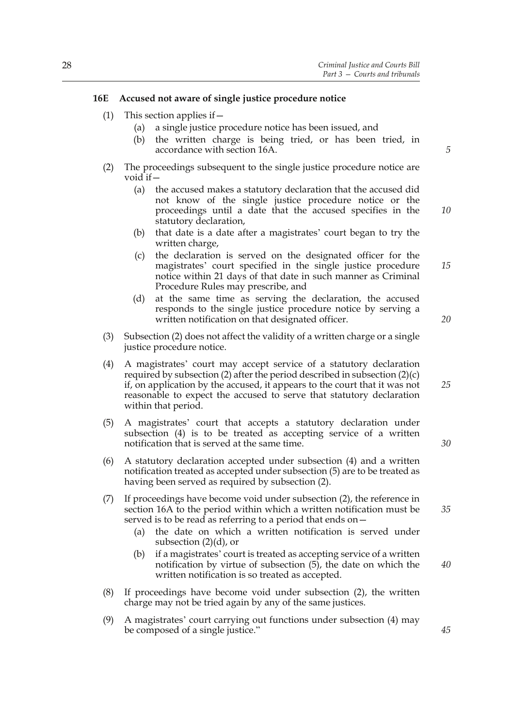#### **16E Accused not aware of single justice procedure notice**

- (1) This section applies if  $-$ 
	- (a) a single justice procedure notice has been issued, and
	- (b) the written charge is being tried, or has been tried, in accordance with section 16A.
- (2) The proceedings subsequent to the single justice procedure notice are void if—
	- (a) the accused makes a statutory declaration that the accused did not know of the single justice procedure notice or the proceedings until a date that the accused specifies in the statutory declaration,
	- (b) that date is a date after a magistrates' court began to try the written charge,
	- (c) the declaration is served on the designated officer for the magistrates' court specified in the single justice procedure notice within 21 days of that date in such manner as Criminal Procedure Rules may prescribe, and *15*
	- (d) at the same time as serving the declaration, the accused responds to the single justice procedure notice by serving a written notification on that designated officer.
- (3) Subsection (2) does not affect the validity of a written charge or a single justice procedure notice.
- (4) A magistrates' court may accept service of a statutory declaration required by subsection (2) after the period described in subsection  $(2)(c)$ if, on application by the accused, it appears to the court that it was not reasonable to expect the accused to serve that statutory declaration within that period.
- (5) A magistrates' court that accepts a statutory declaration under subsection (4) is to be treated as accepting service of a written notification that is served at the same time.
- (6) A statutory declaration accepted under subsection (4) and a written notification treated as accepted under subsection (5) are to be treated as having been served as required by subsection (2).
- (7) If proceedings have become void under subsection (2), the reference in section 16A to the period within which a written notification must be served is to be read as referring to a period that ends on  $-$ 
	- (a) the date on which a written notification is served under subsection  $(2)(d)$ , or
	- (b) if a magistrates' court is treated as accepting service of a written notification by virtue of subsection (5), the date on which the written notification is so treated as accepted. *40*
- (8) If proceedings have become void under subsection (2), the written charge may not be tried again by any of the same justices.
- (9) A magistrates' court carrying out functions under subsection (4) may be composed of a single justice."

*5*

*10*

*20*

*25*

*30*

*45*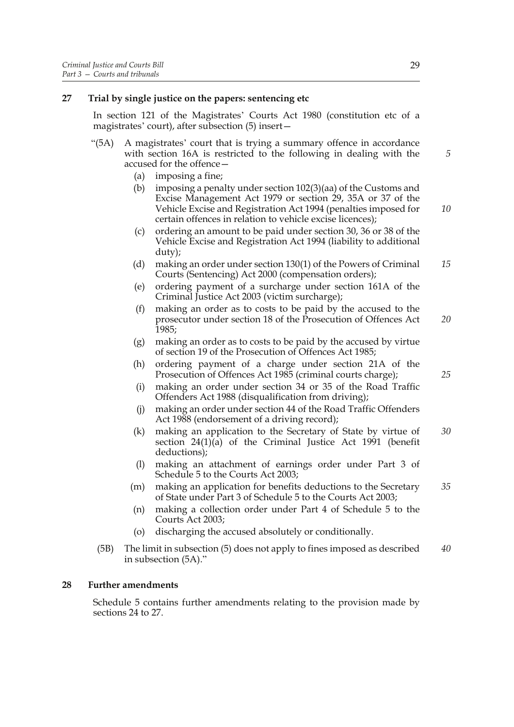# **27 Trial by single justice on the papers: sentencing etc**

In section 121 of the Magistrates' Courts Act 1980 (constitution etc of a magistrates' court), after subsection (5) insert—

- "(5A) A magistrates' court that is trying a summary offence in accordance with section 16A is restricted to the following in dealing with the accused for the offence—
	- (a) imposing a fine;
	- (b) imposing a penalty under section 102(3)(aa) of the Customs and Excise Management Act 1979 or section 29, 35A or 37 of the Vehicle Excise and Registration Act 1994 (penalties imposed for certain offences in relation to vehicle excise licences);
	- (c) ordering an amount to be paid under section 30, 36 or 38 of the Vehicle Excise and Registration Act 1994 (liability to additional duty);
	- (d) making an order under section 130(1) of the Powers of Criminal Courts (Sentencing) Act 2000 (compensation orders); *15*
	- (e) ordering payment of a surcharge under section 161A of the Criminal Justice Act 2003 (victim surcharge);
	- (f) making an order as to costs to be paid by the accused to the prosecutor under section 18 of the Prosecution of Offences Act 1985; *20*
	- (g) making an order as to costs to be paid by the accused by virtue of section 19 of the Prosecution of Offences Act 1985;
	- (h) ordering payment of a charge under section 21A of the Prosecution of Offences Act 1985 (criminal courts charge);
	- (i) making an order under section 34 or 35 of the Road Traffic Offenders Act 1988 (disqualification from driving);
	- (j) making an order under section 44 of the Road Traffic Offenders Act 1988 (endorsement of a driving record);
	- (k) making an application to the Secretary of State by virtue of section  $24(1)(a)$  of the Criminal Justice Act 1991 (benefit deductions); *30*
	- (l) making an attachment of earnings order under Part 3 of Schedule 5 to the Courts Act 2003;
	- (m) making an application for benefits deductions to the Secretary of State under Part 3 of Schedule 5 to the Courts Act 2003; *35*
	- (n) making a collection order under Part 4 of Schedule 5 to the Courts Act 2003;
	- (o) discharging the accused absolutely or conditionally.
	- (5B) The limit in subsection (5) does not apply to fines imposed as described in subsection (5A)." *40*

# **28 Further amendments**

Schedule 5 contains further amendments relating to the provision made by sections 24 to 27.

*5*

*10*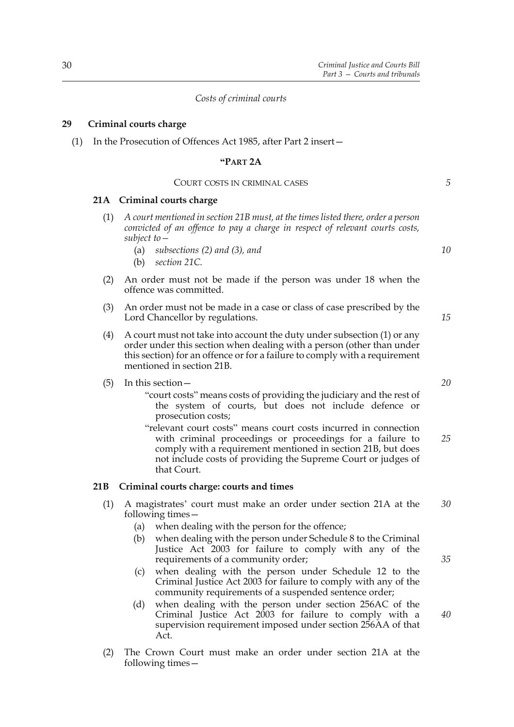#### *Costs of criminal courts*

#### **29 Criminal courts charge**

(1) In the Prosecution of Offences Act 1985, after Part 2 insert—

#### **"PART 2A**

#### COURT COSTS IN CRIMINAL CASES

#### **21A Criminal courts charge**

- (1) *A court mentioned in section 21B must, at the times listed there, order a person convicted of an offence to pay a charge in respect of relevant courts costs, subject to—*
	- (a) *subsections (2) and (3), and*
	- (b) *section 21C.*
- (2) An order must not be made if the person was under 18 when the offence was committed.
- (3) An order must not be made in a case or class of case prescribed by the Lord Chancellor by regulations.
- (4) A court must not take into account the duty under subsection (1) or any order under this section when dealing with a person (other than under this section) for an offence or for a failure to comply with a requirement mentioned in section 21B.

#### (5) In this section—

- "court costs" means costs of providing the judiciary and the rest of the system of courts, but does not include defence or prosecution costs;
- "relevant court costs" means court costs incurred in connection with criminal proceedings or proceedings for a failure to comply with a requirement mentioned in section 21B, but does not include costs of providing the Supreme Court or judges of that Court. *25*

#### **21B Criminal courts charge: courts and times**

- (1) A magistrates' court must make an order under section 21A at the following times— *30*
	- (a) when dealing with the person for the offence;
	- (b) when dealing with the person under Schedule 8 to the Criminal Justice Act 2003 for failure to comply with any of the requirements of a community order;
	- (c) when dealing with the person under Schedule 12 to the Criminal Justice Act 2003 for failure to comply with any of the community requirements of a suspended sentence order;
	- (d) when dealing with the person under section 256AC of the Criminal Justice Act 2003 for failure to comply with a supervision requirement imposed under section 256AA of that Act.
- (2) The Crown Court must make an order under section 21A at the following times—

*20*

*15*

*5*

*10*

*35*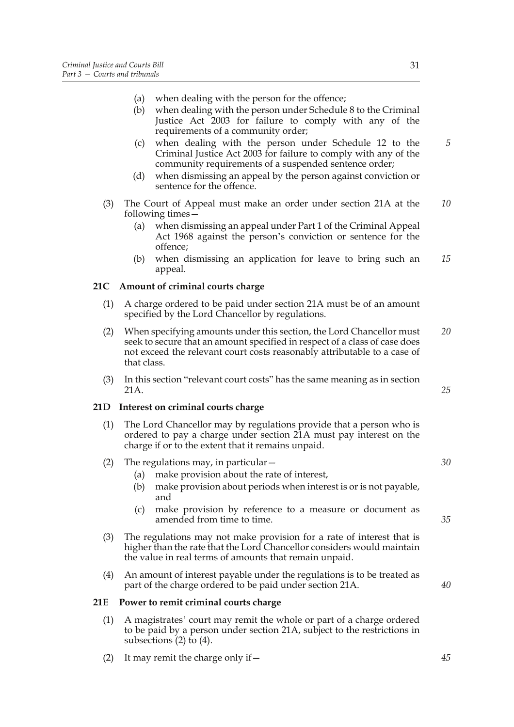- (a) when dealing with the person for the offence;
- (b) when dealing with the person under Schedule 8 to the Criminal Justice Act 2003 for failure to comply with any of the requirements of a community order;
- (c) when dealing with the person under Schedule 12 to the Criminal Justice Act 2003 for failure to comply with any of the community requirements of a suspended sentence order;
- (d) when dismissing an appeal by the person against conviction or sentence for the offence.
- (3) The Court of Appeal must make an order under section 21A at the following times— *10*
	- (a) when dismissing an appeal under Part 1 of the Criminal Appeal Act 1968 against the person's conviction or sentence for the offence;
	- (b) when dismissing an application for leave to bring such an appeal. *15*

# **21C Amount of criminal courts charge**

- (1) A charge ordered to be paid under section 21A must be of an amount specified by the Lord Chancellor by regulations.
- (2) When specifying amounts under this section, the Lord Chancellor must seek to secure that an amount specified in respect of a class of case does not exceed the relevant court costs reasonably attributable to a case of that class. *20*
- (3) In this section "relevant court costs" has the same meaning as in section 21A.

# **21D Interest on criminal courts charge**

(1) The Lord Chancellor may by regulations provide that a person who is ordered to pay a charge under section 21A must pay interest on the charge if or to the extent that it remains unpaid.

#### (2) The regulations may, in particular—

- (a) make provision about the rate of interest,
- (b) make provision about periods when interest is or is not payable, and
- (c) make provision by reference to a measure or document as amended from time to time.
- (3) The regulations may not make provision for a rate of interest that is higher than the rate that the Lord Chancellor considers would maintain the value in real terms of amounts that remain unpaid.
- (4) An amount of interest payable under the regulations is to be treated as part of the charge ordered to be paid under section 21A.

#### **21E Power to remit criminal courts charge**

- (1) A magistrates' court may remit the whole or part of a charge ordered to be paid by a person under section 21A, subject to the restrictions in subsections (2) to (4).
- (2) It may remit the charge only if  $-$

*5*

*30*

*25*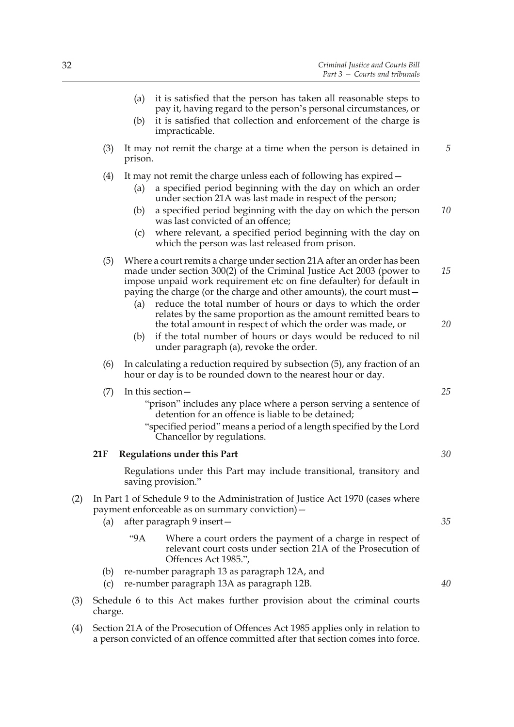|     |     | it is satisfied that the person has taken all reasonable steps to<br>(a)<br>pay it, having regard to the person's personal circumstances, or<br>it is satisfied that collection and enforcement of the charge is<br>(b)<br>impracticable.                                                                                                                                                                                                                                                                                                                                                                                |          |
|-----|-----|--------------------------------------------------------------------------------------------------------------------------------------------------------------------------------------------------------------------------------------------------------------------------------------------------------------------------------------------------------------------------------------------------------------------------------------------------------------------------------------------------------------------------------------------------------------------------------------------------------------------------|----------|
|     | (3) | It may not remit the charge at a time when the person is detained in<br>prison.                                                                                                                                                                                                                                                                                                                                                                                                                                                                                                                                          | 5        |
|     | (4) | It may not remit the charge unless each of following has expired –<br>a specified period beginning with the day on which an order<br>(a)<br>under section 21A was last made in respect of the person;<br>a specified period beginning with the day on which the person<br>(b)<br>was last convicted of an offence;<br>where relevant, a specified period beginning with the day on<br>(c)<br>which the person was last released from prison.                                                                                                                                                                             | 10       |
|     | (5) | Where a court remits a charge under section 21A after an order has been<br>made under section 300(2) of the Criminal Justice Act 2003 (power to<br>impose unpaid work requirement etc on fine defaulter) for default in<br>paying the charge (or the charge and other amounts), the court must –<br>reduce the total number of hours or days to which the order<br>(a)<br>relates by the same proportion as the amount remitted bears to<br>the total amount in respect of which the order was made, or<br>if the total number of hours or days would be reduced to nil<br>(b)<br>under paragraph (a), revoke the order. | 15<br>20 |
|     | (6) | In calculating a reduction required by subsection (5), any fraction of an<br>hour or day is to be rounded down to the nearest hour or day.                                                                                                                                                                                                                                                                                                                                                                                                                                                                               |          |
|     | (7) | In this section $-$<br>"prison" includes any place where a person serving a sentence of<br>detention for an offence is liable to be detained;<br>"specified period" means a period of a length specified by the Lord<br>Chancellor by regulations.                                                                                                                                                                                                                                                                                                                                                                       | 25       |
|     | 21F | <b>Regulations under this Part</b>                                                                                                                                                                                                                                                                                                                                                                                                                                                                                                                                                                                       | 30       |
|     |     | Regulations under this Part may include transitional, transitory and<br>saving provision."                                                                                                                                                                                                                                                                                                                                                                                                                                                                                                                               |          |
| (2) | (a) | In Part 1 of Schedule 9 to the Administration of Justice Act 1970 (cases where<br>payment enforceable as on summary conviction) -<br>after paragraph 9 insert-                                                                                                                                                                                                                                                                                                                                                                                                                                                           | 35       |
|     |     | 9A<br>Where a court orders the payment of a charge in respect of<br>relevant court costs under section 21A of the Prosecution of                                                                                                                                                                                                                                                                                                                                                                                                                                                                                         |          |

- (b) re-number paragraph 13 as paragraph 12A, and
- (c) re-number paragraph 13A as paragraph 12B.

Offences Act 1985.",

- (3) Schedule 6 to this Act makes further provision about the criminal courts charge.
- (4) Section 21A of the Prosecution of Offences Act 1985 applies only in relation to a person convicted of an offence committed after that section comes into force.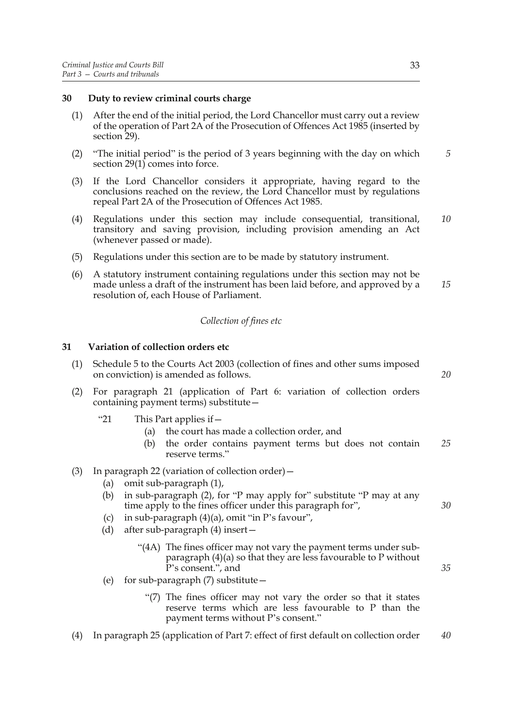## **30 Duty to review criminal courts charge**

- (1) After the end of the initial period, the Lord Chancellor must carry out a review of the operation of Part 2A of the Prosecution of Offences Act 1985 (inserted by section 29).
- (2) "The initial period" is the period of 3 years beginning with the day on which section  $29(1)$  comes into force.
- (3) If the Lord Chancellor considers it appropriate, having regard to the conclusions reached on the review, the Lord Chancellor must by regulations repeal Part 2A of the Prosecution of Offences Act 1985.
- (4) Regulations under this section may include consequential, transitional, transitory and saving provision, including provision amending an Act (whenever passed or made). *10*
- (5) Regulations under this section are to be made by statutory instrument.
- (6) A statutory instrument containing regulations under this section may not be made unless a draft of the instrument has been laid before, and approved by a resolution of, each House of Parliament. *15*

### *Collection of fines etc*

## **31 Variation of collection orders etc**

| (1) | Schedule 5 to the Courts Act 2003 (collection of fines and other sums imposed<br>on conviction) is amended as follows.                                                                                                                                 |    |
|-----|--------------------------------------------------------------------------------------------------------------------------------------------------------------------------------------------------------------------------------------------------------|----|
| (2) | For paragraph 21 (application of Part 6: variation of collection orders<br>containing payment terms) substitute-                                                                                                                                       |    |
|     | "21"<br>This Part applies if $-$<br>the court has made a collection order, and<br>(a)<br>the order contains payment terms but does not contain<br>(b)<br>reserve terms."                                                                               | 25 |
| (3) | In paragraph 22 (variation of collection order) -<br>omit sub-paragraph (1),                                                                                                                                                                           |    |
|     | (a)<br>in sub-paragraph (2), for "P may apply for" substitute "P may at any<br>(b)<br>time apply to the fines officer under this paragraph for",<br>in sub-paragraph $(4)(a)$ , omit "in P's favour",<br>(c)<br>after sub-paragraph (4) insert-<br>(d) | 30 |
|     | "(4A) The fines officer may not vary the payment terms under sub-<br>paragraph $(4)(a)$ so that they are less favourable to P without<br>P's consent.", and<br>for sub-paragraph $(7)$ substitute $-$<br>(e)                                           | 35 |
|     | "(7) The fines officer may not vary the order so that it states<br>reserve terms which are less favourable to P than the<br>payment terms without P's consent."                                                                                        |    |
| (4) | In paragraph 25 (application of Part 7: effect of first default on collection order                                                                                                                                                                    | 40 |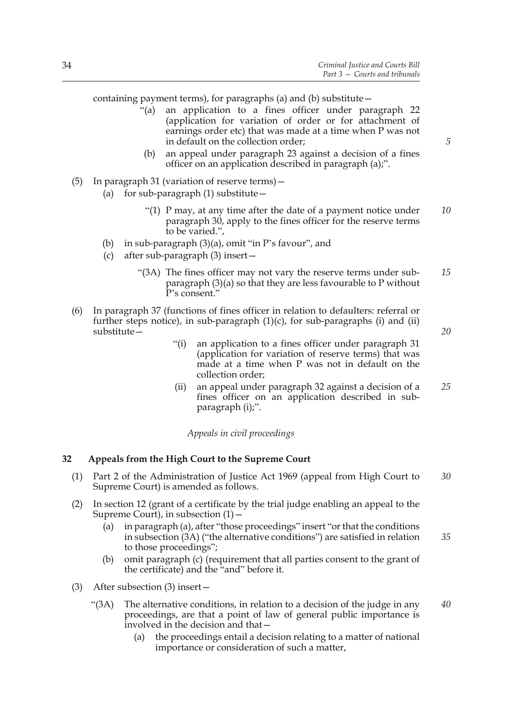*5*

*20*

containing payment terms), for paragraphs (a) and (b) substitute—

- "(a) an application to a fines officer under paragraph 22 (application for variation of order or for attachment of earnings order etc) that was made at a time when P was not in default on the collection order;
- (b) an appeal under paragraph 23 against a decision of a fines officer on an application described in paragraph (a);".
- (5) In paragraph 31 (variation of reserve terms)—
	- (a) for sub-paragraph  $(1)$  substitute  $-$ 
		- "(1) P may, at any time after the date of a payment notice under paragraph 30, apply to the fines officer for the reserve terms to be varied.", *10*
	- (b) in sub-paragraph (3)(a), omit "in P's favour", and
	- (c) after sub-paragraph (3) insert—
		- "(3A) The fines officer may not vary the reserve terms under subparagraph (3)(a) so that they are less favourable to P without P's consent." *15*
- (6) In paragraph 37 (functions of fines officer in relation to defaulters: referral or further steps notice), in sub-paragraph  $(1)(c)$ , for sub-paragraphs  $(i)$  and  $(ii)$ substitute—
	- "(i) an application to a fines officer under paragraph 31 (application for variation of reserve terms) that was made at a time when P was not in default on the collection order;
	- (ii) an appeal under paragraph 32 against a decision of a fines officer on an application described in subparagraph (i);". *25*

*Appeals in civil proceedings*

## **32 Appeals from the High Court to the Supreme Court**

- (1) Part 2 of the Administration of Justice Act 1969 (appeal from High Court to Supreme Court) is amended as follows. *30*
- (2) In section 12 (grant of a certificate by the trial judge enabling an appeal to the Supreme Court), in subsection  $(1)$  –
	- (a) in paragraph (a), after "those proceedings" insert "or that the conditions in subsection (3A) ("the alternative conditions") are satisfied in relation to those proceedings"; *35*
	- (b) omit paragraph (c) (requirement that all parties consent to the grant of the certificate) and the "and" before it.
- (3) After subsection (3) insert—
	- "( $3A$ ) The alternative conditions, in relation to a decision of the judge in any proceedings, are that a point of law of general public importance is involved in the decision and that— *40*
		- (a) the proceedings entail a decision relating to a matter of national importance or consideration of such a matter,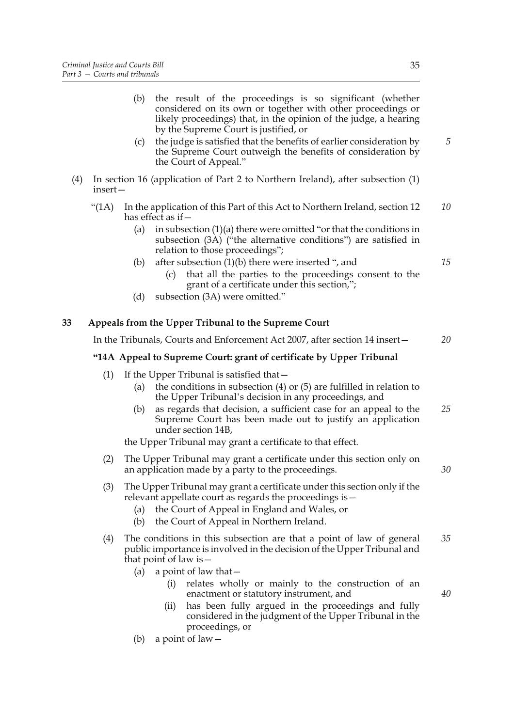| 5  | the result of the proceedings is so significant (whether<br>(b)<br>considered on its own or together with other proceedings or<br>likely proceedings) that, in the opinion of the judge, a hearing<br>by the Supreme Court is justified, or<br>the judge is satisfied that the benefits of earlier consideration by<br>(c)<br>the Supreme Court outweigh the benefits of consideration by<br>the Court of Appeal." |          |     |
|----|--------------------------------------------------------------------------------------------------------------------------------------------------------------------------------------------------------------------------------------------------------------------------------------------------------------------------------------------------------------------------------------------------------------------|----------|-----|
|    | In section 16 (application of Part 2 to Northern Ireland), after subsection (1)<br>insert-                                                                                                                                                                                                                                                                                                                         |          | (4) |
| 10 | In the application of this Part of this Act to Northern Ireland, section 12<br>has effect as if –                                                                                                                                                                                                                                                                                                                  | " $(1A)$ |     |
|    | in subsection $(1)(a)$ there were omitted "or that the conditions in<br>(a)<br>subsection (3A) ("the alternative conditions") are satisfied in<br>relation to those proceedings";                                                                                                                                                                                                                                  |          |     |
| 15 | after subsection $(1)(b)$ there were inserted ", and<br>(b)<br>that all the parties to the proceedings consent to the<br>(c)<br>grant of a certificate under this section,";                                                                                                                                                                                                                                       |          |     |
|    | subsection (3A) were omitted."<br>(d)                                                                                                                                                                                                                                                                                                                                                                              |          |     |
|    | Appeals from the Upper Tribunal to the Supreme Court                                                                                                                                                                                                                                                                                                                                                               |          | 33  |
| 20 | In the Tribunals, Courts and Enforcement Act 2007, after section 14 insert –                                                                                                                                                                                                                                                                                                                                       |          |     |
|    | "14A Appeal to Supreme Court: grant of certificate by Upper Tribunal                                                                                                                                                                                                                                                                                                                                               |          |     |
| 25 | If the Upper Tribunal is satisfied that -<br>(1)<br>the conditions in subsection $(4)$ or $(5)$ are fulfilled in relation to<br>(a)<br>the Upper Tribunal's decision in any proceedings, and<br>as regards that decision, a sufficient case for an appeal to the<br>(b)<br>Supreme Court has been made out to justify an application<br>under section 14B,                                                         |          |     |
|    | the Upper Tribunal may grant a certificate to that effect.                                                                                                                                                                                                                                                                                                                                                         |          |     |
| 30 | (2)<br>The Upper Tribunal may grant a certificate under this section only on<br>an application made by a party to the proceedings.                                                                                                                                                                                                                                                                                 |          |     |
|    | The Upper Tribunal may grant a certificate under this section only if the<br>(3)<br>relevant appellate court as regards the proceedings is –<br>the Court of Appeal in England and Wales, or<br>(a)<br>the Court of Appeal in Northern Ireland.<br>(b)                                                                                                                                                             |          |     |
| 35 | (4)<br>The conditions in this subsection are that a point of law of general<br>public importance is involved in the decision of the Upper Tribunal and<br>that point of law is $-$<br>a point of law that –<br>(a)                                                                                                                                                                                                 |          |     |
| 40 | (i)<br>relates wholly or mainly to the construction of an<br>enactment or statutory instrument, and<br>has been fully argued in the proceedings and fully<br>(i)<br>considered in the judgment of the Upper Tribunal in the<br>proceedings, or                                                                                                                                                                     |          |     |

(b) a point of law  $-$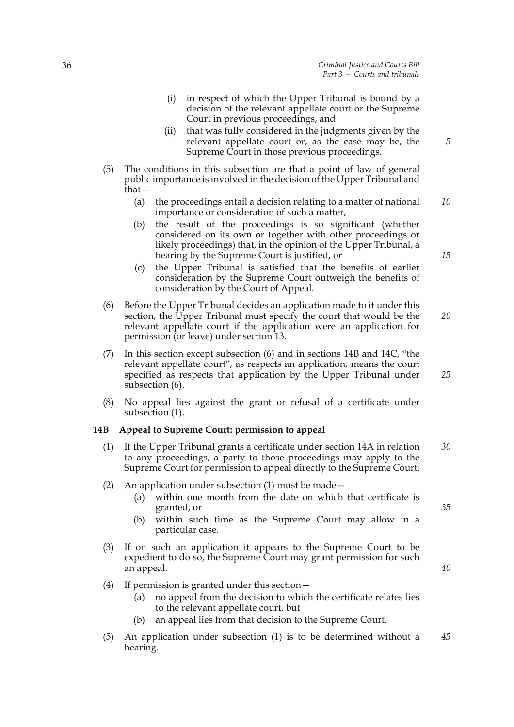- (i) in respect of which the Upper Tribunal is bound by a decision of the relevant appellate court or the Supreme Court in previous proceedings, and
- (ii) that was fully considered in the judgments given by the relevant appellate court or, as the case may be, the Supreme Court in those previous proceedings.
- (5) The conditions in this subsection are that a point of law of general public importance is involved in the decision of the Upper Tribunal and that—
	- (a) the proceedings entail a decision relating to a matter of national importance or consideration of such a matter, *10*
	- (b) the result of the proceedings is so significant (whether considered on its own or together with other proceedings or likely proceedings) that, in the opinion of the Upper Tribunal, a hearing by the Supreme Court is justified, or
	- (c) the Upper Tribunal is satisfied that the benefits of earlier consideration by the Supreme Court outweigh the benefits of consideration by the Court of Appeal.
- (6) Before the Upper Tribunal decides an application made to it under this section, the Upper Tribunal must specify the court that would be the relevant appellate court if the application were an application for permission (or leave) under section 13. *20*
- (7) In this section except subsection (6) and in sections 14B and 14C, "the relevant appellate court", as respects an application, means the court specified as respects that application by the Upper Tribunal under subsection (6).
- (8) No appeal lies against the grant or refusal of a certificate under subsection (1).

# **14B Appeal to Supreme Court: permission to appeal**

- (1) If the Upper Tribunal grants a certificate under section 14A in relation to any proceedings, a party to those proceedings may apply to the Supreme Court for permission to appeal directly to the Supreme Court. *30*
- (2) An application under subsection (1) must be made—
	- (a) within one month from the date on which that certificate is granted, or
	- (b) within such time as the Supreme Court may allow in a particular case.
- (3) If on such an application it appears to the Supreme Court to be expedient to do so, the Supreme Court may grant permission for such an appeal.
- (4) If permission is granted under this section—
	- (a) no appeal from the decision to which the certificate relates lies to the relevant appellate court, but
	- (b) an appeal lies from that decision to the Supreme Court.
- (5) An application under subsection (1) is to be determined without a hearing. *45*

*15*

*5*

*25*

*35*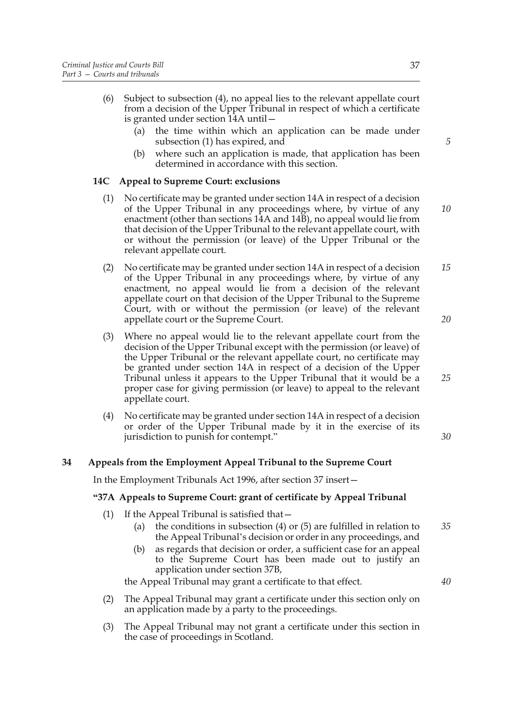- (6) Subject to subsection (4), no appeal lies to the relevant appellate court from a decision of the Upper Tribunal in respect of which a certificate is granted under section 14A until—
	- (a) the time within which an application can be made under subsection (1) has expired, and
	- (b) where such an application is made, that application has been determined in accordance with this section.

# **14C Appeal to Supreme Court: exclusions**

- (1) No certificate may be granted under section 14A in respect of a decision of the Upper Tribunal in any proceedings where, by virtue of any enactment (other than sections 14A and 14B), no appeal would lie from that decision of the Upper Tribunal to the relevant appellate court, with or without the permission (or leave) of the Upper Tribunal or the relevant appellate court.
- (2) No certificate may be granted under section 14A in respect of a decision of the Upper Tribunal in any proceedings where, by virtue of any enactment, no appeal would lie from a decision of the relevant appellate court on that decision of the Upper Tribunal to the Supreme Court, with or without the permission (or leave) of the relevant appellate court or the Supreme Court. *15 20*
- (3) Where no appeal would lie to the relevant appellate court from the decision of the Upper Tribunal except with the permission (or leave) of the Upper Tribunal or the relevant appellate court, no certificate may be granted under section 14A in respect of a decision of the Upper Tribunal unless it appears to the Upper Tribunal that it would be a proper case for giving permission (or leave) to appeal to the relevant appellate court.
- (4) No certificate may be granted under section 14A in respect of a decision or order of the Upper Tribunal made by it in the exercise of its jurisdiction to punish for contempt."

# **34 Appeals from the Employment Appeal Tribunal to the Supreme Court**

In the Employment Tribunals Act 1996, after section 37 insert—

# **"37A Appeals to Supreme Court: grant of certificate by Appeal Tribunal**

- (1) If the Appeal Tribunal is satisfied that—
	- (a) the conditions in subsection (4) or (5) are fulfilled in relation to the Appeal Tribunal's decision or order in any proceedings, and *35*
	- (b) as regards that decision or order, a sufficient case for an appeal to the Supreme Court has been made out to justify an application under section 37B,

the Appeal Tribunal may grant a certificate to that effect.

- (2) The Appeal Tribunal may grant a certificate under this section only on an application made by a party to the proceedings.
- (3) The Appeal Tribunal may not grant a certificate under this section in the case of proceedings in Scotland.

*5*

*10*

*25*

*30*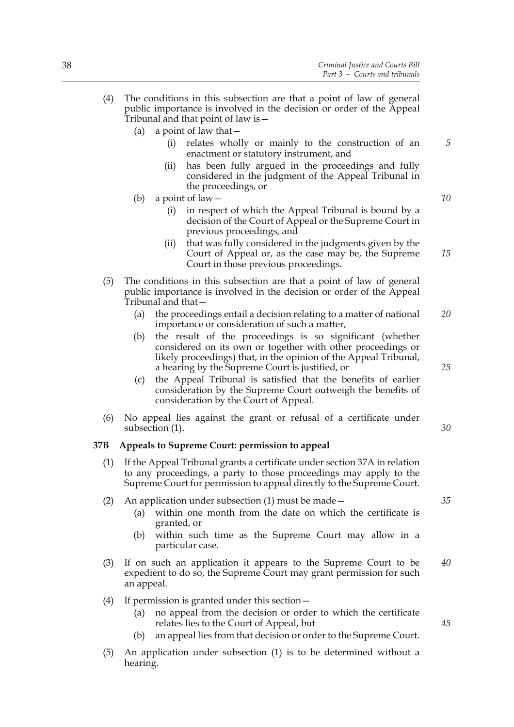- (4) The conditions in this subsection are that a point of law of general public importance is involved in the decision or order of the Appeal Tribunal and that point of law is—
	- (a) a point of law that—
		- (i) relates wholly or mainly to the construction of an enactment or statutory instrument, and
		- (ii) has been fully argued in the proceedings and fully considered in the judgment of the Appeal Tribunal in the proceedings, or

(b) a point of law  $-$ 

- (i) in respect of which the Appeal Tribunal is bound by a decision of the Court of Appeal or the Supreme Court in previous proceedings, and
- (ii) that was fully considered in the judgments given by the Court of Appeal or, as the case may be, the Supreme Court in those previous proceedings.
- (5) The conditions in this subsection are that a point of law of general public importance is involved in the decision or order of the Appeal Tribunal and that—
	- (a) the proceedings entail a decision relating to a matter of national importance or consideration of such a matter, *20*
	- (b) the result of the proceedings is so significant (whether considered on its own or together with other proceedings or likely proceedings) that, in the opinion of the Appeal Tribunal, a hearing by the Supreme Court is justified, or
	- (c) the Appeal Tribunal is satisfied that the benefits of earlier consideration by the Supreme Court outweigh the benefits of consideration by the Court of Appeal.
- (6) No appeal lies against the grant or refusal of a certificate under subsection (1).

# **37B Appeals to Supreme Court: permission to appeal**

- (1) If the Appeal Tribunal grants a certificate under section 37A in relation to any proceedings, a party to those proceedings may apply to the Supreme Court for permission to appeal directly to the Supreme Court.
- (2) An application under subsection (1) must be made—
	- (a) within one month from the date on which the certificate is granted, or
	- (b) within such time as the Supreme Court may allow in a particular case.
- (3) If on such an application it appears to the Supreme Court to be expedient to do so, the Supreme Court may grant permission for such an appeal. *40*
- (4) If permission is granted under this section—
	- (a) no appeal from the decision or order to which the certificate relates lies to the Court of Appeal, but
	- (b) an appeal lies from that decision or order to the Supreme Court.
- (5) An application under subsection (1) is to be determined without a hearing.

*15*

*10*

*5*

*25*

*30*

*35*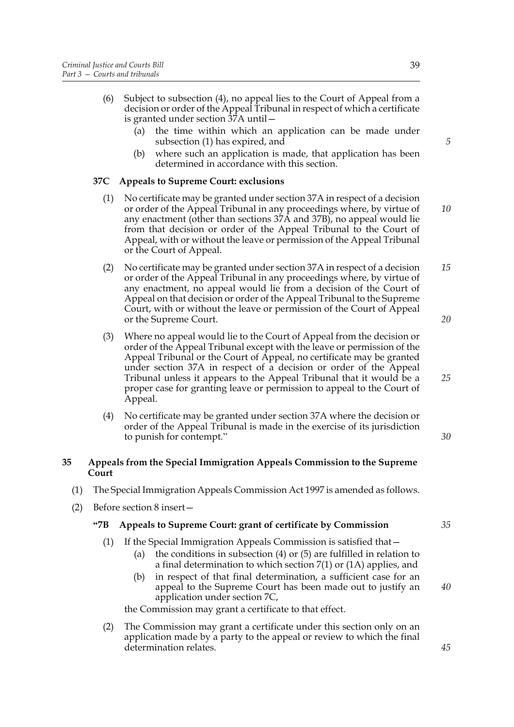- (6) Subject to subsection (4), no appeal lies to the Court of Appeal from a decision or order of the Appeal Tribunal in respect of which a certificate is granted under section 37A until—
	- (a) the time within which an application can be made under subsection (1) has expired, and
	- (b) where such an application is made, that application has been determined in accordance with this section.

# **37C Appeals to Supreme Court: exclusions**

- (1) No certificate may be granted under section 37A in respect of a decision or order of the Appeal Tribunal in any proceedings where, by virtue of any enactment (other than sections 37A and 37B), no appeal would lie from that decision or order of the Appeal Tribunal to the Court of Appeal, with or without the leave or permission of the Appeal Tribunal or the Court of Appeal.
- (2) No certificate may be granted under section 37A in respect of a decision or order of the Appeal Tribunal in any proceedings where, by virtue of any enactment, no appeal would lie from a decision of the Court of Appeal on that decision or order of the Appeal Tribunal to the Supreme Court, with or without the leave or permission of the Court of Appeal or the Supreme Court. *15*
- (3) Where no appeal would lie to the Court of Appeal from the decision or order of the Appeal Tribunal except with the leave or permission of the Appeal Tribunal or the Court of Appeal, no certificate may be granted under section 37A in respect of a decision or order of the Appeal Tribunal unless it appears to the Appeal Tribunal that it would be a proper case for granting leave or permission to appeal to the Court of Appeal.
- (4) No certificate may be granted under section 37A where the decision or order of the Appeal Tribunal is made in the exercise of its jurisdiction to punish for contempt."

# **35 Appeals from the Special Immigration Appeals Commission to the Supreme Court**

- (1) The Special Immigration Appeals Commission Act 1997 is amended as follows.
- (2) Before section 8 insert—

# **"7B Appeals to Supreme Court: grant of certificate by Commission**

- (1) If the Special Immigration Appeals Commission is satisfied that—
	- (a) the conditions in subsection (4) or (5) are fulfilled in relation to a final determination to which section 7(1) or (1A) applies, and
	- (b) in respect of that final determination, a sufficient case for an appeal to the Supreme Court has been made out to justify an application under section 7C,

the Commission may grant a certificate to that effect.

(2) The Commission may grant a certificate under this section only on an application made by a party to the appeal or review to which the final determination relates.

*5*

*10*

*20*

*25*

*30*

*40*

*35*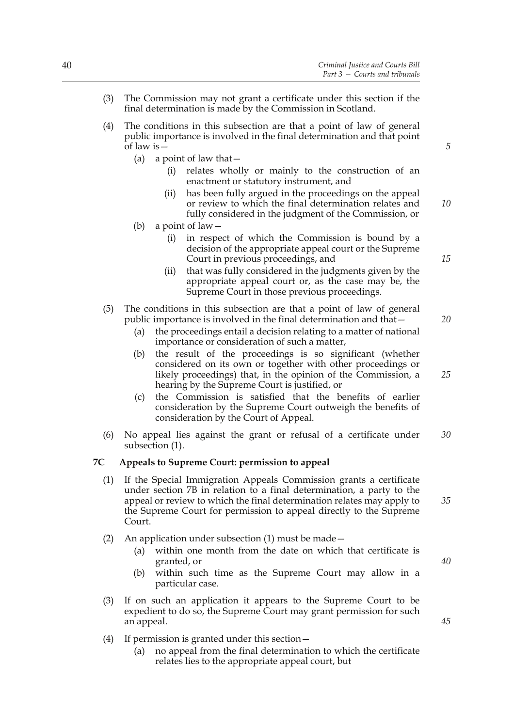- (3) The Commission may not grant a certificate under this section if the final determination is made by the Commission in Scotland.
- (4) The conditions in this subsection are that a point of law of general public importance is involved in the final determination and that point of law is—
	- (a) a point of law that  $-$ 
		- (i) relates wholly or mainly to the construction of an enactment or statutory instrument, and
		- (ii) has been fully argued in the proceedings on the appeal or review to which the final determination relates and fully considered in the judgment of the Commission, or *10*
	- (b) a point of law—
		- (i) in respect of which the Commission is bound by a decision of the appropriate appeal court or the Supreme Court in previous proceedings, and
		- (ii) that was fully considered in the judgments given by the appropriate appeal court or, as the case may be, the Supreme Court in those previous proceedings.
- (5) The conditions in this subsection are that a point of law of general public importance is involved in the final determination and that—
	- (a) the proceedings entail a decision relating to a matter of national importance or consideration of such a matter,
	- (b) the result of the proceedings is so significant (whether considered on its own or together with other proceedings or likely proceedings) that, in the opinion of the Commission, a hearing by the Supreme Court is justified, or
	- (c) the Commission is satisfied that the benefits of earlier consideration by the Supreme Court outweigh the benefits of consideration by the Court of Appeal.
- (6) No appeal lies against the grant or refusal of a certificate under subsection (1). *30*

## **7C Appeals to Supreme Court: permission to appeal**

- (1) If the Special Immigration Appeals Commission grants a certificate under section 7B in relation to a final determination, a party to the appeal or review to which the final determination relates may apply to the Supreme Court for permission to appeal directly to the Supreme Court.
- (2) An application under subsection (1) must be made—
	- (a) within one month from the date on which that certificate is granted, or
	- (b) within such time as the Supreme Court may allow in a particular case.
- (3) If on such an application it appears to the Supreme Court to be expedient to do so, the Supreme Court may grant permission for such an appeal.
- (4) If permission is granted under this section—
	- (a) no appeal from the final determination to which the certificate relates lies to the appropriate appeal court, but

*15*

*5*

*20*

*25*

*35*

*40*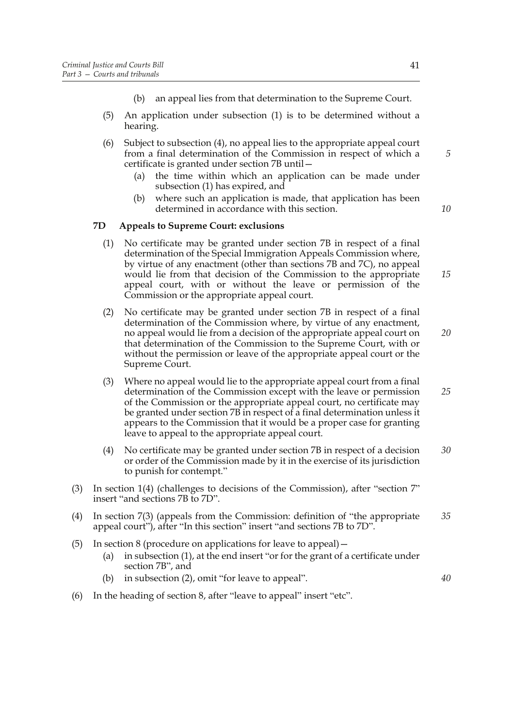- (b) an appeal lies from that determination to the Supreme Court.
- (5) An application under subsection (1) is to be determined without a hearing.
- (6) Subject to subsection (4), no appeal lies to the appropriate appeal court from a final determination of the Commission in respect of which a certificate is granted under section 7B until—
	- (a) the time within which an application can be made under subsection (1) has expired, and
	- (b) where such an application is made, that application has been determined in accordance with this section.

## **7D Appeals to Supreme Court: exclusions**

- (1) No certificate may be granted under section 7B in respect of a final determination of the Special Immigration Appeals Commission where, by virtue of any enactment (other than sections 7B and 7C), no appeal would lie from that decision of the Commission to the appropriate appeal court, with or without the leave or permission of the Commission or the appropriate appeal court.
- (2) No certificate may be granted under section 7B in respect of a final determination of the Commission where, by virtue of any enactment, no appeal would lie from a decision of the appropriate appeal court on that determination of the Commission to the Supreme Court, with or without the permission or leave of the appropriate appeal court or the Supreme Court. *20*
- (3) Where no appeal would lie to the appropriate appeal court from a final determination of the Commission except with the leave or permission of the Commission or the appropriate appeal court, no certificate may be granted under section 7B in respect of a final determination unless it appears to the Commission that it would be a proper case for granting leave to appeal to the appropriate appeal court. *25*
- (4) No certificate may be granted under section 7B in respect of a decision or order of the Commission made by it in the exercise of its jurisdiction to punish for contempt." *30*
- (3) In section 1(4) (challenges to decisions of the Commission), after "section 7" insert "and sections 7B to 7D".
- (4) In section 7(3) (appeals from the Commission: definition of "the appropriate appeal court"), after "In this section" insert "and sections 7B to 7D". *35*
- (5) In section 8 (procedure on applications for leave to appeal)—
	- (a) in subsection (1), at the end insert "or for the grant of a certificate under section 7B", and
	- (b) in subsection (2), omit "for leave to appeal".
- (6) In the heading of section 8, after "leave to appeal" insert "etc".

*5*

*10*

*15*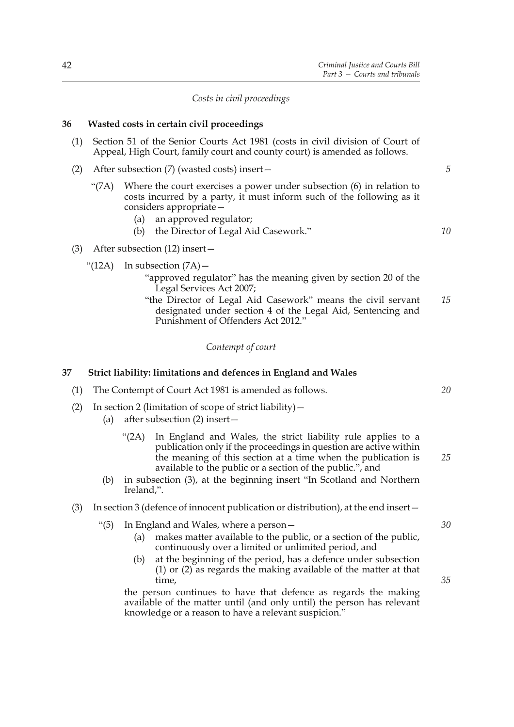*Costs in civil proceedings*

## **36 Wasted costs in certain civil proceedings**

- (1) Section 51 of the Senior Courts Act 1981 (costs in civil division of Court of Appeal, High Court, family court and county court) is amended as follows.
- (2) After subsection (7) (wasted costs) insert—
	- "(7A) Where the court exercises a power under subsection (6) in relation to costs incurred by a party, it must inform such of the following as it considers appropriate—
		- (a) an approved regulator;
		- (b) the Director of Legal Aid Casework."
- (3) After subsection (12) insert—

## " $(12A)$  In subsection  $(7A)$  -

- "approved regulator" has the meaning given by section 20 of the Legal Services Act 2007;
- "the Director of Legal Aid Casework" means the civil servant designated under section 4 of the Legal Aid, Sentencing and Punishment of Offenders Act 2012." *15*

# *Contempt of court*

### **37 Strict liability: limitations and defences in England and Wales**

- (1) The Contempt of Court Act 1981 is amended as follows.
- (2) In section 2 (limitation of scope of strict liability)—
	- (a) after subsection (2) insert—
		- "(2A) In England and Wales, the strict liability rule applies to a publication only if the proceedings in question are active within the meaning of this section at a time when the publication is available to the public or a section of the public.", and
	- (b) in subsection (3), at the beginning insert "In Scotland and Northern Ireland,".

# (3) In section 3 (defence of innocent publication or distribution), at the end insert—

- "(5) In England and Wales, where a person—
	- (a) makes matter available to the public, or a section of the public, continuously over a limited or unlimited period, and
	- (b) at the beginning of the period, has a defence under subsection (1) or (2) as regards the making available of the matter at that time,

the person continues to have that defence as regards the making available of the matter until (and only until) the person has relevant knowledge or a reason to have a relevant suspicion."

*5*

*10*

*20*

*25*

*30*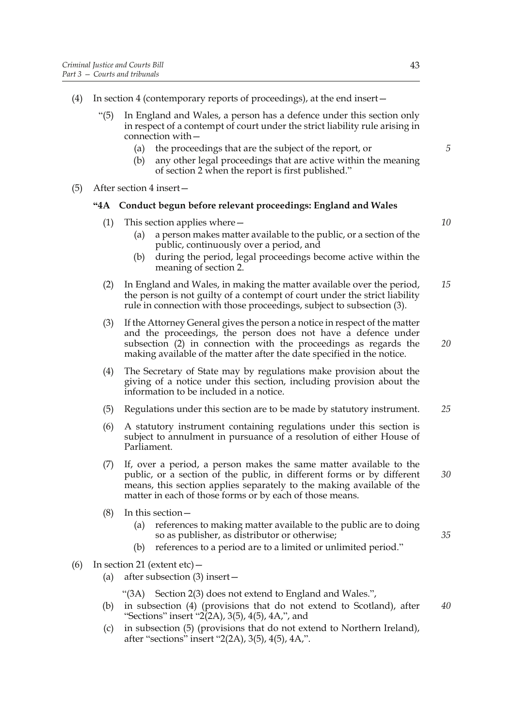- In England and Wales, a person has a defence under this section only in respect of a contempt of court under the strict liability rule arising in connection with—
	- (a) the proceedings that are the subject of the report, or
	- (b) any other legal proceedings that are active within the meaning of section 2 when the report is first published."
- (5) After section 4 insert—

# **"4A Conduct begun before relevant proceedings: England and Wales**

- (1) This section applies where—
	- (a) a person makes matter available to the public, or a section of the public, continuously over a period, and
	- (b) during the period, legal proceedings become active within the meaning of section 2.
- (2) In England and Wales, in making the matter available over the period, the person is not guilty of a contempt of court under the strict liability rule in connection with those proceedings, subject to subsection (3). *15*
- (3) If the Attorney General gives the person a notice in respect of the matter and the proceedings, the person does not have a defence under subsection (2) in connection with the proceedings as regards the making available of the matter after the date specified in the notice.
- (4) The Secretary of State may by regulations make provision about the giving of a notice under this section, including provision about the information to be included in a notice.
- (5) Regulations under this section are to be made by statutory instrument. *25*
- (6) A statutory instrument containing regulations under this section is subject to annulment in pursuance of a resolution of either House of Parliament.
- (7) If, over a period, a person makes the same matter available to the public, or a section of the public, in different forms or by different means, this section applies separately to the making available of the matter in each of those forms or by each of those means. *30*
- (8) In this section—
	- (a) references to making matter available to the public are to doing so as publisher, as distributor or otherwise;
	- (b) references to a period are to a limited or unlimited period."
- (6) In section 21 (extent etc)  $-$ 
	- (a) after subsection (3) insert—

"(3A) Section 2(3) does not extend to England and Wales.",

- (b) in subsection (4) (provisions that do not extend to Scotland), after "Sections" insert "2 $(2A)$ , 3(5), 4(5), 4A,", and *40*
- (c) in subsection (5) (provisions that do not extend to Northern Ireland), after "sections" insert "2(2A), 3(5), 4(5), 4A,".

*5*

*10*

*20*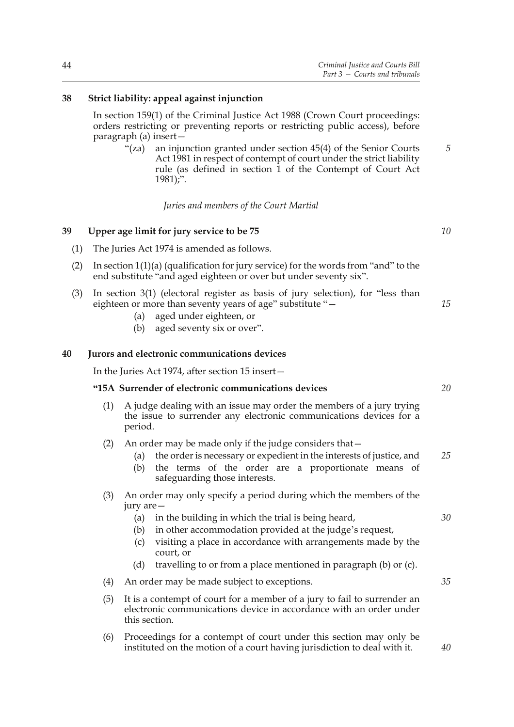# **38 Strict liability: appeal against injunction**

In section 159(1) of the Criminal Justice Act 1988 (Crown Court proceedings: orders restricting or preventing reports or restricting public access), before paragraph (a) insert—

"(za) an injunction granted under section 45(4) of the Senior Courts Act 1981 in respect of contempt of court under the strict liability rule (as defined in section 1 of the Contempt of Court Act  $1981$ ;". *5*

*Juries and members of the Court Martial*

# **39 Upper age limit for jury service to be 75**

- (1) The Juries Act 1974 is amended as follows.
- (2) In section 1(1)(a) (qualification for jury service) for the words from "and" to the end substitute "and aged eighteen or over but under seventy six".
- (3) In section 3(1) (electoral register as basis of jury selection), for "less than eighteen or more than seventy years of age" substitute "— *15*
	- (a) aged under eighteen, or
	- (b) aged seventy six or over".

## **40 Jurors and electronic communications devices**

In the Juries Act 1974, after section 15 insert—

# **"15A Surrender of electronic communications devices**

- (1) A judge dealing with an issue may order the members of a jury trying the issue to surrender any electronic communications devices for a period.
- (2) An order may be made only if the judge considers that—
	- (a) the order is necessary or expedient in the interests of justice, and *25*
	- (b) the terms of the order are a proportionate means of safeguarding those interests.

## (3) An order may only specify a period during which the members of the jury are—

- (a) in the building in which the trial is being heard,
- (b) in other accommodation provided at the judge's request,
- (c) visiting a place in accordance with arrangements made by the court, or
- (d) travelling to or from a place mentioned in paragraph (b) or (c).
- (4) An order may be made subject to exceptions.
- (5) It is a contempt of court for a member of a jury to fail to surrender an electronic communications device in accordance with an order under this section.
- (6) Proceedings for a contempt of court under this section may only be instituted on the motion of a court having jurisdiction to deal with it.

*10*

*20*

*30*

*35*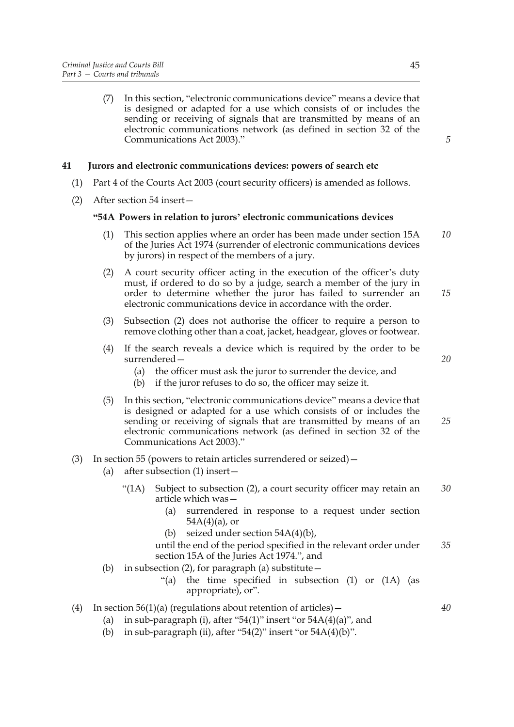(7) In this section, "electronic communications device" means a device that is designed or adapted for a use which consists of or includes the sending or receiving of signals that are transmitted by means of an electronic communications network (as defined in section 32 of the Communications Act 2003)."

# **41 Jurors and electronic communications devices: powers of search etc**

- (1) Part 4 of the Courts Act 2003 (court security officers) is amended as follows.
- (2) After section 54 insert—

#### **"54A Powers in relation to jurors' electronic communications devices**

- (1) This section applies where an order has been made under section 15A of the Juries Act 1974 (surrender of electronic communications devices by jurors) in respect of the members of a jury. *10*
- (2) A court security officer acting in the execution of the officer's duty must, if ordered to do so by a judge, search a member of the jury in order to determine whether the juror has failed to surrender an electronic communications device in accordance with the order. *15*
- (3) Subsection (2) does not authorise the officer to require a person to remove clothing other than a coat, jacket, headgear, gloves or footwear.
- (4) If the search reveals a device which is required by the order to be surrendered—
	- (a) the officer must ask the juror to surrender the device, and
	- (b) if the juror refuses to do so, the officer may seize it.
- (5) In this section, "electronic communications device" means a device that is designed or adapted for a use which consists of or includes the sending or receiving of signals that are transmitted by means of an electronic communications network (as defined in section 32 of the Communications Act 2003)."
- (3) In section 55 (powers to retain articles surrendered or seized)—
	- (a) after subsection (1) insert—
		- "(1A) Subject to subsection (2), a court security officer may retain an article which was— *30*
			- (a) surrendered in response to a request under section  $54A(4)(a)$ , or
			- (b) seized under section 54A(4)(b),
			- until the end of the period specified in the relevant order under section 15A of the Juries Act 1974.", and *35*
	- (b) in subsection (2), for paragraph (a) substitute  $-$ 
		- "(a) the time specified in subsection (1) or (1A) (as appropriate), or".
- (4) In section  $56(1)(a)$  (regulations about retention of articles)
	- (a) in sub-paragraph (i), after "54(1)" insert "or  $54A(4)(a)$ ", and
	- (b) in sub-paragraph (ii), after "54(2)" insert "or  $54A(4)(b)$ ".

*5*

*20*

*25*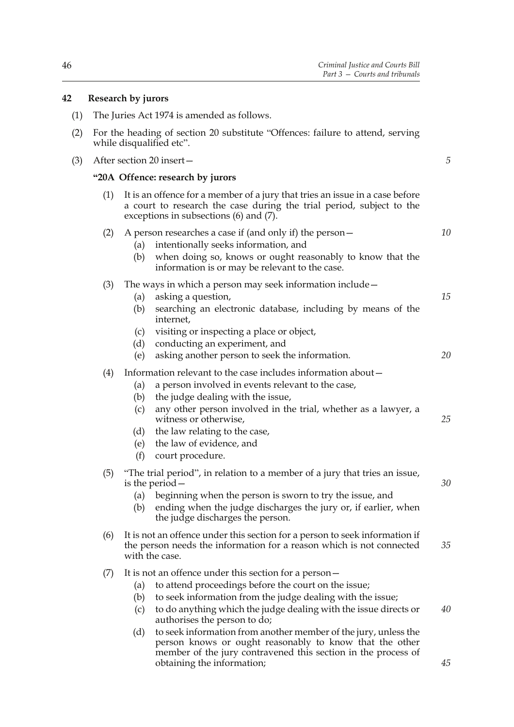*5*

*10*

*15*

*30*

*45*

# **42 Research by jurors**

- (1) The Juries Act 1974 is amended as follows.
- (2) For the heading of section 20 substitute "Offences: failure to attend, serving while disqualified etc".
- (3) After section 20 insert—

#### **"20A Offence: research by jurors**

(1) It is an offence for a member of a jury that tries an issue in a case before a court to research the case during the trial period, subject to the exceptions in subsections (6) and (7).

# (2) A person researches a case if (and only if) the person—

- (a) intentionally seeks information, and
- (b) when doing so, knows or ought reasonably to know that the information is or may be relevant to the case.

#### (3) The ways in which a person may seek information include—

- (a) asking a question,
- (b) searching an electronic database, including by means of the internet,
- (c) visiting or inspecting a place or object,
- (d) conducting an experiment, and

| (e) asking another person to seek the information. |  |
|----------------------------------------------------|--|
|                                                    |  |

## (4) Information relevant to the case includes information about—

- (a) a person involved in events relevant to the case,
- (b) the judge dealing with the issue,
- (c) any other person involved in the trial, whether as a lawyer, a witness or otherwise, *25*
- (d) the law relating to the case,
- (e) the law of evidence, and
- (f) court procedure.
- (5) "The trial period", in relation to a member of a jury that tries an issue, is the period—
	- (a) beginning when the person is sworn to try the issue, and
	- (b) ending when the judge discharges the jury or, if earlier, when the judge discharges the person.
- (6) It is not an offence under this section for a person to seek information if the person needs the information for a reason which is not connected with the case. *35*
- (7) It is not an offence under this section for a person—
	- (a) to attend proceedings before the court on the issue;
	- (b) to seek information from the judge dealing with the issue;
	- (c) to do anything which the judge dealing with the issue directs or authorises the person to do; *40*
	- (d) to seek information from another member of the jury, unless the person knows or ought reasonably to know that the other member of the jury contravened this section in the process of obtaining the information;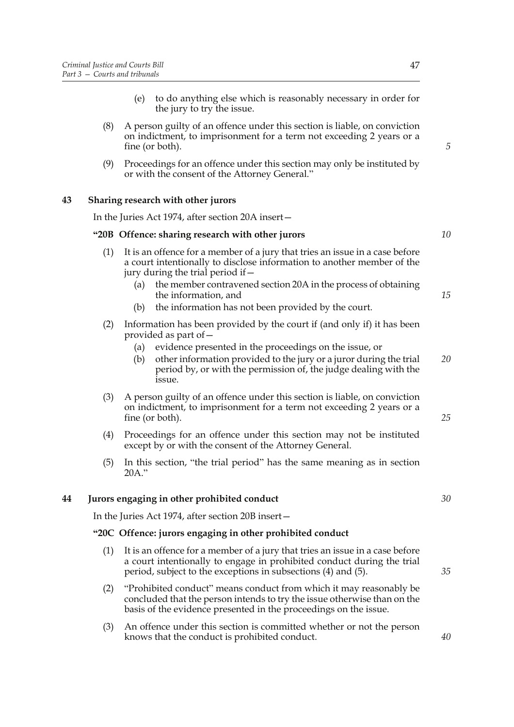- (e) to do anything else which is reasonably necessary in order for the jury to try the issue.
- (8) A person guilty of an offence under this section is liable, on conviction on indictment, to imprisonment for a term not exceeding 2 years or a fine (or both).
- (9) Proceedings for an offence under this section may only be instituted by or with the consent of the Attorney General."

# **43 Sharing research with other jurors**

In the Juries Act 1974, after section 20A insert—

#### **"20B Offence: sharing research with other jurors**

- (1) It is an offence for a member of a jury that tries an issue in a case before a court intentionally to disclose information to another member of the jury during the trial period if—
	- (a) the member contravened section 20A in the process of obtaining the information, and
	- (b) the information has not been provided by the court.
- (2) Information has been provided by the court if (and only if) it has been provided as part of—
	- (a) evidence presented in the proceedings on the issue, or
	- (b) other information provided to the jury or a juror during the trial period by, or with the permission of, the judge dealing with the issue. *20*
- (3) A person guilty of an offence under this section is liable, on conviction on indictment, to imprisonment for a term not exceeding 2 years or a fine (or both).
- (4) Proceedings for an offence under this section may not be instituted except by or with the consent of the Attorney General.
- (5) In this section, "the trial period" has the same meaning as in section 20A."

## **44 Jurors engaging in other prohibited conduct**

In the Juries Act 1974, after section 20B insert—

## **"20C Offence: jurors engaging in other prohibited conduct**

- (1) It is an offence for a member of a jury that tries an issue in a case before a court intentionally to engage in prohibited conduct during the trial period, subject to the exceptions in subsections (4) and (5).
- (2) "Prohibited conduct" means conduct from which it may reasonably be concluded that the person intends to try the issue otherwise than on the basis of the evidence presented in the proceedings on the issue.
- (3) An offence under this section is committed whether or not the person knows that the conduct is prohibited conduct.

*5*

*15*

*10*

*30*

*25*

*35*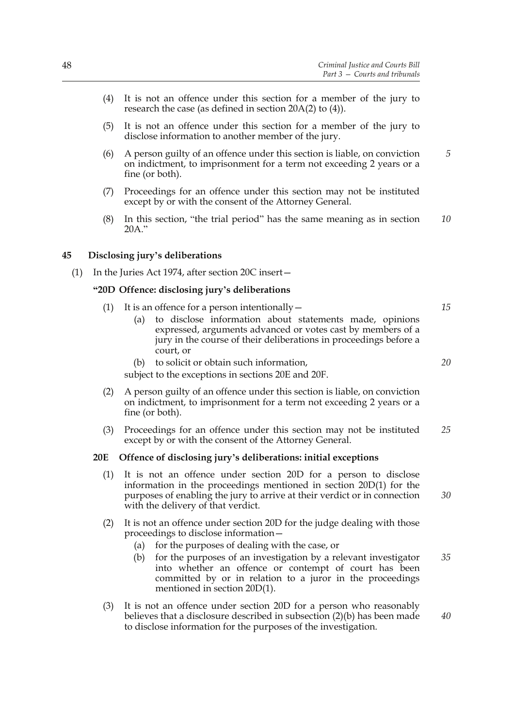- (4) It is not an offence under this section for a member of the jury to research the case (as defined in section 20A(2) to (4)).
- (5) It is not an offence under this section for a member of the jury to disclose information to another member of the jury.
- (6) A person guilty of an offence under this section is liable, on conviction on indictment, to imprisonment for a term not exceeding 2 years or a fine (or both).
- (7) Proceedings for an offence under this section may not be instituted except by or with the consent of the Attorney General.
- (8) In this section, "the trial period" has the same meaning as in section 20A." *10*

### **45 Disclosing jury's deliberations**

(1) In the Juries Act 1974, after section 20C insert—

#### **"20D Offence: disclosing jury's deliberations**

- (1) It is an offence for a person intentionally  $-$ 
	- (a) to disclose information about statements made, opinions expressed, arguments advanced or votes cast by members of a jury in the course of their deliberations in proceedings before a court, or
	- (b) to solicit or obtain such information,
	- subject to the exceptions in sections 20E and 20F.
- (2) A person guilty of an offence under this section is liable, on conviction on indictment, to imprisonment for a term not exceeding 2 years or a fine (or both).
- (3) Proceedings for an offence under this section may not be instituted except by or with the consent of the Attorney General. *25*

# **20E Offence of disclosing jury's deliberations: initial exceptions**

- (1) It is not an offence under section 20D for a person to disclose information in the proceedings mentioned in section 20D(1) for the purposes of enabling the jury to arrive at their verdict or in connection with the delivery of that verdict.
- (2) It is not an offence under section 20D for the judge dealing with those proceedings to disclose information—
	- (a) for the purposes of dealing with the case, or
	- (b) for the purposes of an investigation by a relevant investigator into whether an offence or contempt of court has been committed by or in relation to a juror in the proceedings mentioned in section 20D(1). *35*
- (3) It is not an offence under section 20D for a person who reasonably believes that a disclosure described in subsection (2)(b) has been made to disclose information for the purposes of the investigation. *40*

*15*

*20*

*30*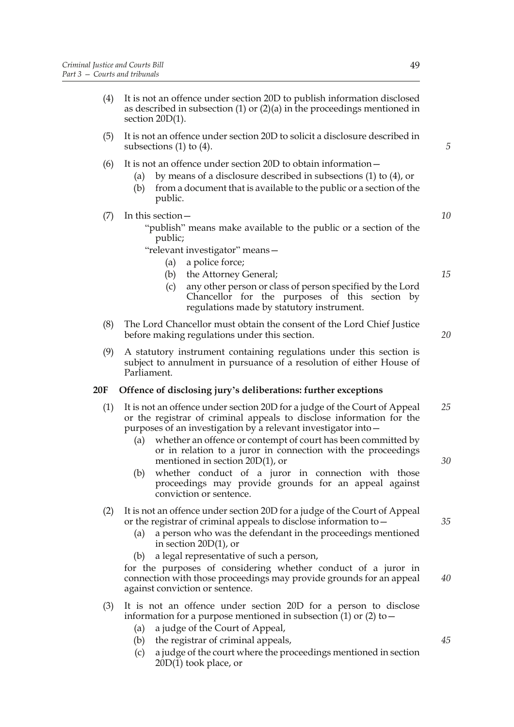section 20D(1).

- (5) It is not an offence under section 20D to solicit a disclosure described in subsections (1) to (4).
- (6) It is not an offence under section 20D to obtain information—
	- (a) by means of a disclosure described in subsections (1) to (4), or
	- (b) from a document that is available to the public or a section of the public.

(7) In this section— "publish" means make available to the public or a section of the public;

"relevant investigator" means—

- (a) a police force;
- (b) the Attorney General;
- (c) any other person or class of person specified by the Lord Chancellor for the purposes of this section by regulations made by statutory instrument.
- (8) The Lord Chancellor must obtain the consent of the Lord Chief Justice before making regulations under this section.
- (9) A statutory instrument containing regulations under this section is subject to annulment in pursuance of a resolution of either House of Parliament.

# **20F Offence of disclosing jury's deliberations: further exceptions**

- (1) It is not an offence under section 20D for a judge of the Court of Appeal or the registrar of criminal appeals to disclose information for the purposes of an investigation by a relevant investigator into— *25*
	- (a) whether an offence or contempt of court has been committed by or in relation to a juror in connection with the proceedings mentioned in section 20D(1), or
	- (b) whether conduct of a juror in connection with those proceedings may provide grounds for an appeal against conviction or sentence.

# (2) It is not an offence under section 20D for a judge of the Court of Appeal or the registrar of criminal appeals to disclose information to—

- (a) a person who was the defendant in the proceedings mentioned in section 20D(1), or
- (b) a legal representative of such a person,

for the purposes of considering whether conduct of a juror in connection with those proceedings may provide grounds for an appeal against conviction or sentence.

- (3) It is not an offence under section 20D for a person to disclose information for a purpose mentioned in subsection  $(1)$  or  $(2)$  to  $-$ 
	- (a) a judge of the Court of Appeal,
	- (b) the registrar of criminal appeals,
	- (c) a judge of the court where the proceedings mentioned in section 20D(1) took place, or

*10*

*5*

*15*

*20*

*30*

*35*

*45*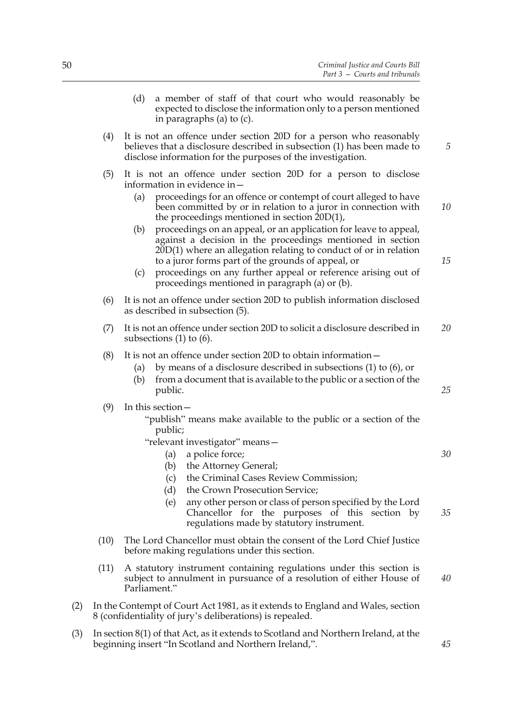*5*

*15*

*25*

*30*

*35*

- (d) a member of staff of that court who would reasonably be expected to disclose the information only to a person mentioned in paragraphs (a) to (c).
- (4) It is not an offence under section 20D for a person who reasonably believes that a disclosure described in subsection (1) has been made to disclose information for the purposes of the investigation.
- (5) It is not an offence under section 20D for a person to disclose information in evidence in—
	- (a) proceedings for an offence or contempt of court alleged to have been committed by or in relation to a juror in connection with the proceedings mentioned in section 20D(1), *10*
	- (b) proceedings on an appeal, or an application for leave to appeal, against a decision in the proceedings mentioned in section  $20D(1)$  where an allegation relating to conduct of or in relation to a juror forms part of the grounds of appeal, or
	- (c) proceedings on any further appeal or reference arising out of proceedings mentioned in paragraph (a) or (b).
- (6) It is not an offence under section 20D to publish information disclosed as described in subsection (5).
- (7) It is not an offence under section 20D to solicit a disclosure described in subsections (1) to (6). *20*

## (8) It is not an offence under section 20D to obtain information—

- (a) by means of a disclosure described in subsections (1) to (6), or
- (b) from a document that is available to the public or a section of the public.

### (9) In this section—

"publish" means make available to the public or a section of the public;

"relevant investigator" means—

- (a) a police force;
- (b) the Attorney General;
- (c) the Criminal Cases Review Commission;
- (d) the Crown Prosecution Service;
- (e) any other person or class of person specified by the Lord Chancellor for the purposes of this section by regulations made by statutory instrument.
- (10) The Lord Chancellor must obtain the consent of the Lord Chief Justice before making regulations under this section.
- (11) A statutory instrument containing regulations under this section is subject to annulment in pursuance of a resolution of either House of Parliament." *40*
- (2) In the Contempt of Court Act 1981, as it extends to England and Wales, section 8 (confidentiality of jury's deliberations) is repealed.
- (3) In section 8(1) of that Act, as it extends to Scotland and Northern Ireland, at the beginning insert "In Scotland and Northern Ireland,".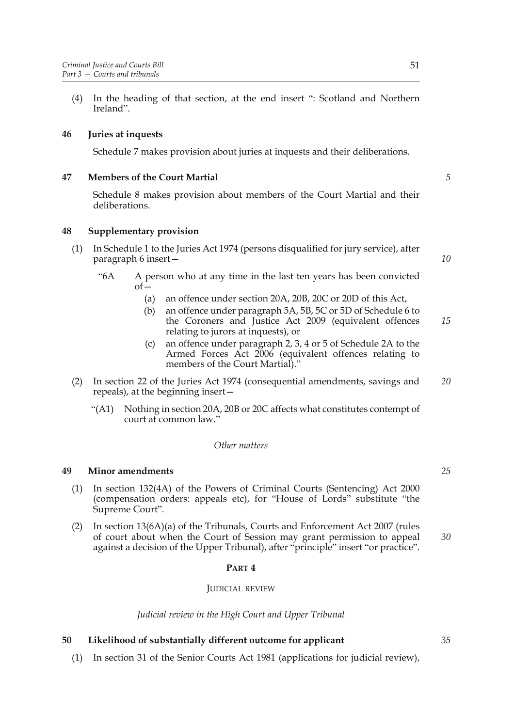(4) In the heading of that section, at the end insert ": Scotland and Northern Ireland".

# **46 Juries at inquests**

Schedule 7 makes provision about juries at inquests and their deliberations.

# **47 Members of the Court Martial**

Schedule 8 makes provision about members of the Court Martial and their deliberations.

# **48 Supplementary provision**

- (1) In Schedule 1 to the Juries Act 1974 (persons disqualified for jury service), after paragraph 6 insert—
	- "6A A person who at any time in the last ten years has been convicted  $of$  $\bar{=}$ 
		- (a) an offence under section 20A, 20B, 20C or 20D of this Act,
		- (b) an offence under paragraph 5A, 5B, 5C or 5D of Schedule 6 to the Coroners and Justice Act 2009 (equivalent offences relating to jurors at inquests), or *15*
		- (c) an offence under paragraph 2, 3, 4 or 5 of Schedule 2A to the Armed Forces Act 2006 (equivalent offences relating to members of the Court Martial)."
- (2) In section 22 of the Juries Act 1974 (consequential amendments, savings and repeals), at the beginning insert— *20*
	- "(A1) Nothing in section 20A, 20B or 20C affects what constitutes contempt of court at common law."

### *Other matters*

## **49 Minor amendments**

- (1) In section 132(4A) of the Powers of Criminal Courts (Sentencing) Act 2000 (compensation orders: appeals etc), for "House of Lords" substitute "the Supreme Court".
- (2) In section 13(6A)(a) of the Tribunals, Courts and Enforcement Act 2007 (rules of court about when the Court of Session may grant permission to appeal against a decision of the Upper Tribunal), after "principle" insert "or practice". *30*

#### **PART 4**

### JUDICIAL REVIEW

*Judicial review in the High Court and Upper Tribunal*

## **50 Likelihood of substantially different outcome for applicant**

(1) In section 31 of the Senior Courts Act 1981 (applications for judicial review),

*5*

*10*

*25*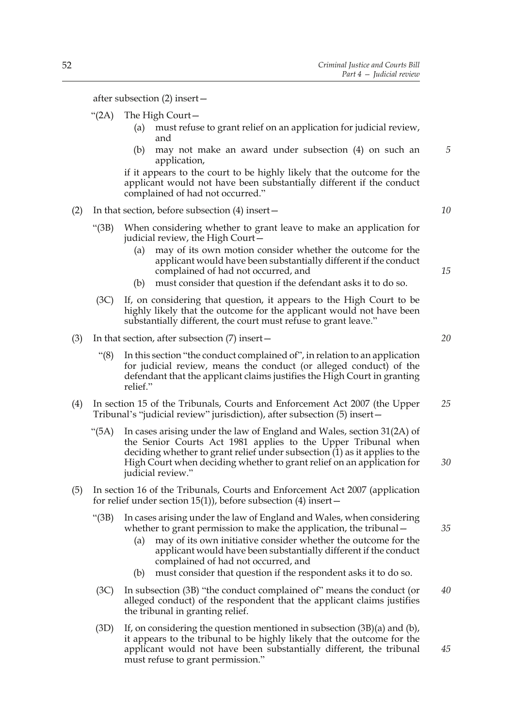after subsection (2) insert—

- "(2A) The High Court—
	- (a) must refuse to grant relief on an application for judicial review, and
	- (b) may not make an award under subsection (4) on such an application,

if it appears to the court to be highly likely that the outcome for the applicant would not have been substantially different if the conduct complained of had not occurred."

- (2) In that section, before subsection (4) insert—
	- "(3B) When considering whether to grant leave to make an application for judicial review, the High Court—
		- (a) may of its own motion consider whether the outcome for the applicant would have been substantially different if the conduct complained of had not occurred, and
		- (b) must consider that question if the defendant asks it to do so.
	- (3C) If, on considering that question, it appears to the High Court to be highly likely that the outcome for the applicant would not have been substantially different, the court must refuse to grant leave."
- (3) In that section, after subsection (7) insert—
	- "(8) In this section "the conduct complained of", in relation to an application for judicial review, means the conduct (or alleged conduct) of the defendant that the applicant claims justifies the High Court in granting relief."
- (4) In section 15 of the Tribunals, Courts and Enforcement Act 2007 (the Upper Tribunal's "judicial review" jurisdiction), after subsection (5) insert— *25*
	- " $(5A)$  In cases arising under the law of England and Wales, section 31(2A) of the Senior Courts Act 1981 applies to the Upper Tribunal when deciding whether to grant relief under subsection  $(1)$  as it applies to the High Court when deciding whether to grant relief on an application for judicial review."
- (5) In section 16 of the Tribunals, Courts and Enforcement Act 2007 (application for relief under section 15(1)), before subsection (4) insert—
	- "(3B) In cases arising under the law of England and Wales, when considering whether to grant permission to make the application, the tribunal -
		- (a) may of its own initiative consider whether the outcome for the applicant would have been substantially different if the conduct complained of had not occurred, and
		- (b) must consider that question if the respondent asks it to do so.
	- (3C) In subsection (3B) "the conduct complained of" means the conduct (or alleged conduct) of the respondent that the applicant claims justifies the tribunal in granting relief.
	- (3D) If, on considering the question mentioned in subsection (3B)(a) and (b), it appears to the tribunal to be highly likely that the outcome for the applicant would not have been substantially different, the tribunal must refuse to grant permission."

*15*

*10*

*5*

*20*

*30*

*35*

*40*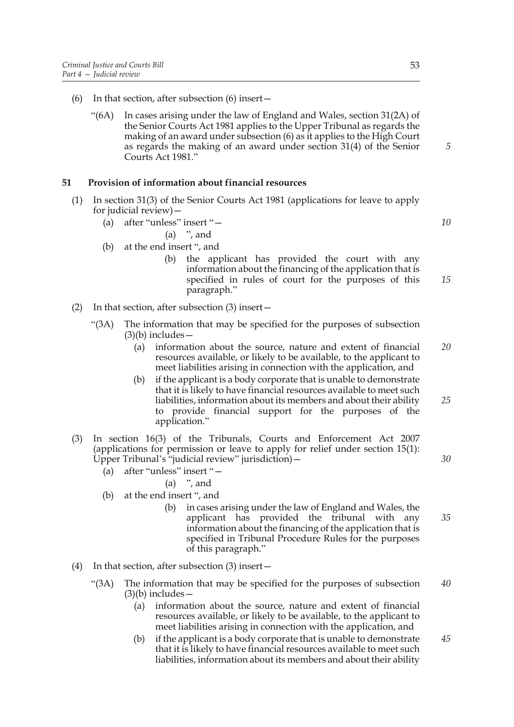- (6) In that section, after subsection (6) insert—
	- "(6A) In cases arising under the law of England and Wales, section 31(2A) of the Senior Courts Act 1981 applies to the Upper Tribunal as regards the making of an award under subsection (6) as it applies to the High Court as regards the making of an award under section 31(4) of the Senior Courts Act 1981."

# **51 Provision of information about financial resources**

- (1) In section 31(3) of the Senior Courts Act 1981 (applications for leave to apply for judicial review)—
	- (a) after "unless" insert "—
		- $(a)$  ", and
	- (b) at the end insert ", and
		- (b) the applicant has provided the court with any information about the financing of the application that is specified in rules of court for the purposes of this paragraph."
- (2) In that section, after subsection (3) insert—
	- "(3A) The information that may be specified for the purposes of subsection  $(3)(b)$  includes –
		- (a) information about the source, nature and extent of financial resources available, or likely to be available, to the applicant to meet liabilities arising in connection with the application, and *20*
		- (b) if the applicant is a body corporate that is unable to demonstrate that it is likely to have financial resources available to meet such liabilities, information about its members and about their ability to provide financial support for the purposes of the application." *25*
- (3) In section 16(3) of the Tribunals, Courts and Enforcement Act 2007 (applications for permission or leave to apply for relief under section 15(1): Upper Tribunal's "judicial review" jurisdiction)—
	- (a) after "unless" insert "—

(a) 
$$
\cdot
$$
, and

- (b) at the end insert ", and
	- (b) in cases arising under the law of England and Wales, the applicant has provided the tribunal with any information about the financing of the application that is specified in Tribunal Procedure Rules for the purposes of this paragraph."
- (4) In that section, after subsection (3) insert—
	- "(3A) The information that may be specified for the purposes of subsection  $(3)(b)$  includes – *40*
		- (a) information about the source, nature and extent of financial resources available, or likely to be available, to the applicant to meet liabilities arising in connection with the application, and
		- (b) if the applicant is a body corporate that is unable to demonstrate that it is likely to have financial resources available to meet such liabilities, information about its members and about their ability *45*

*15*

*10*

*5*

*30*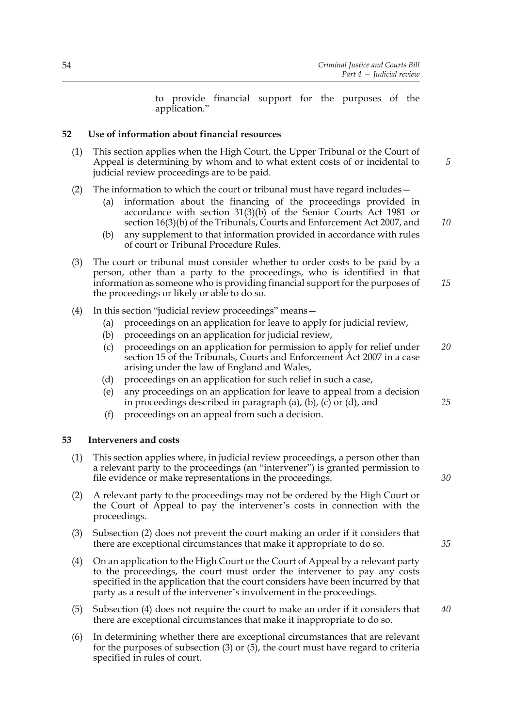to provide financial support for the purposes of the application."

## **52 Use of information about financial resources**

- (1) This section applies when the High Court, the Upper Tribunal or the Court of Appeal is determining by whom and to what extent costs of or incidental to judicial review proceedings are to be paid.
- (2) The information to which the court or tribunal must have regard includes—
	- (a) information about the financing of the proceedings provided in accordance with section 31(3)(b) of the Senior Courts Act 1981 or section 16(3)(b) of the Tribunals, Courts and Enforcement Act 2007, and
	- (b) any supplement to that information provided in accordance with rules of court or Tribunal Procedure Rules.
- (3) The court or tribunal must consider whether to order costs to be paid by a person, other than a party to the proceedings, who is identified in that information as someone who is providing financial support for the purposes of the proceedings or likely or able to do so.
- (4) In this section "judicial review proceedings" means—
	- (a) proceedings on an application for leave to apply for judicial review,
	- (b) proceedings on an application for judicial review,
	- (c) proceedings on an application for permission to apply for relief under section 15 of the Tribunals, Courts and Enforcement Act 2007 in a case arising under the law of England and Wales, *20*
	- (d) proceedings on an application for such relief in such a case,
	- (e) any proceedings on an application for leave to appeal from a decision in proceedings described in paragraph (a), (b), (c) or (d), and *25*
	- (f) proceedings on an appeal from such a decision.

#### **53 Interveners and costs**

- (1) This section applies where, in judicial review proceedings, a person other than a relevant party to the proceedings (an "intervener") is granted permission to file evidence or make representations in the proceedings.
- (2) A relevant party to the proceedings may not be ordered by the High Court or the Court of Appeal to pay the intervener's costs in connection with the proceedings.
- (3) Subsection (2) does not prevent the court making an order if it considers that there are exceptional circumstances that make it appropriate to do so.
- (4) On an application to the High Court or the Court of Appeal by a relevant party to the proceedings, the court must order the intervener to pay any costs specified in the application that the court considers have been incurred by that party as a result of the intervener's involvement in the proceedings.
- (5) Subsection (4) does not require the court to make an order if it considers that there are exceptional circumstances that make it inappropriate to do so.
- (6) In determining whether there are exceptional circumstances that are relevant for the purposes of subsection (3) or (5), the court must have regard to criteria specified in rules of court.

*5*

*10*

*15*

*30*

*35*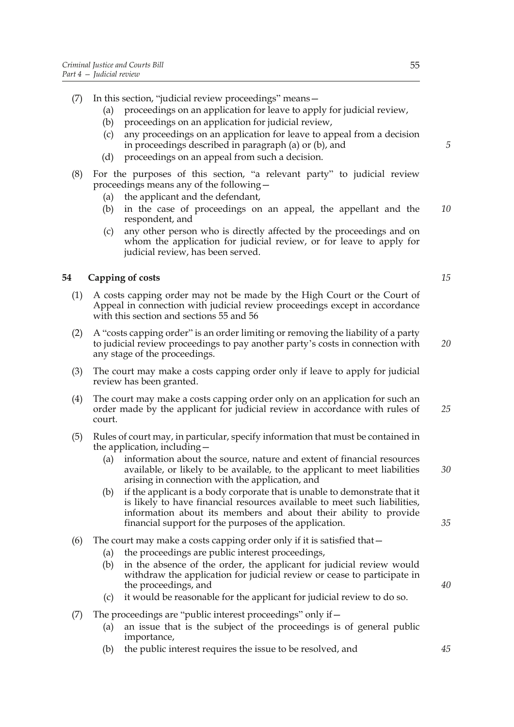- (7) In this section, "judicial review proceedings" means—
	- (a) proceedings on an application for leave to apply for judicial review,
	- (b) proceedings on an application for judicial review,
	- (c) any proceedings on an application for leave to appeal from a decision in proceedings described in paragraph (a) or (b), and
	- (d) proceedings on an appeal from such a decision.
- (8) For the purposes of this section, "a relevant party" to judicial review proceedings means any of the following—
	- (a) the applicant and the defendant,
	- (b) in the case of proceedings on an appeal, the appellant and the respondent, and *10*
	- (c) any other person who is directly affected by the proceedings and on whom the application for judicial review, or for leave to apply for judicial review, has been served.

# **54 Capping of costs**

- (1) A costs capping order may not be made by the High Court or the Court of Appeal in connection with judicial review proceedings except in accordance with this section and sections 55 and 56
- (2) A "costs capping order" is an order limiting or removing the liability of a party to judicial review proceedings to pay another party's costs in connection with any stage of the proceedings.
- (3) The court may make a costs capping order only if leave to apply for judicial review has been granted.
- (4) The court may make a costs capping order only on an application for such an order made by the applicant for judicial review in accordance with rules of court. *25*
- (5) Rules of court may, in particular, specify information that must be contained in the application, including—
	- (a) information about the source, nature and extent of financial resources available, or likely to be available, to the applicant to meet liabilities arising in connection with the application, and
	- (b) if the applicant is a body corporate that is unable to demonstrate that it is likely to have financial resources available to meet such liabilities, information about its members and about their ability to provide financial support for the purposes of the application.

### (6) The court may make a costs capping order only if it is satisfied that—

- (a) the proceedings are public interest proceedings,
- (b) in the absence of the order, the applicant for judicial review would withdraw the application for judicial review or cease to participate in the proceedings, and
- (c) it would be reasonable for the applicant for judicial review to do so.
- (7) The proceedings are "public interest proceedings" only if—
	- (a) an issue that is the subject of the proceedings is of general public importance,
	- (b) the public interest requires the issue to be resolved, and

*5*

*15*

*20*

*30*

*35*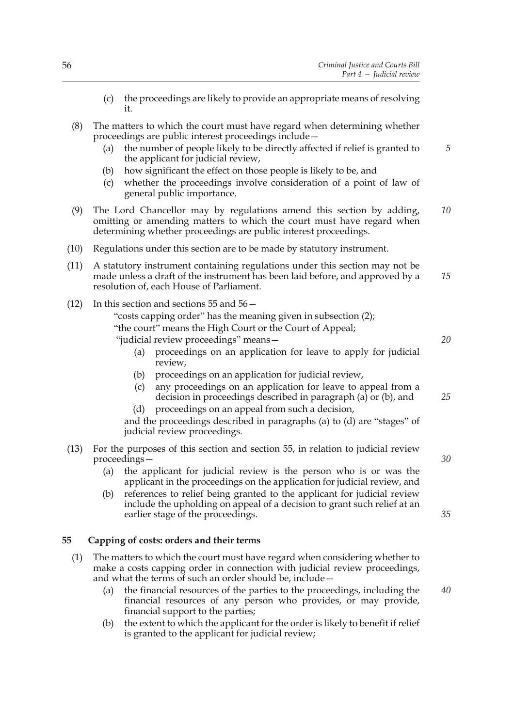- (c) the proceedings are likely to provide an appropriate means of resolving it.
- (8) The matters to which the court must have regard when determining whether proceedings are public interest proceedings include—
	- (a) the number of people likely to be directly affected if relief is granted to the applicant for judicial review, *5*
	- (b) how significant the effect on those people is likely to be, and
	- (c) whether the proceedings involve consideration of a point of law of general public importance.
- (9) The Lord Chancellor may by regulations amend this section by adding, omitting or amending matters to which the court must have regard when determining whether proceedings are public interest proceedings. *10*
- (10) Regulations under this section are to be made by statutory instrument.
- (11) A statutory instrument containing regulations under this section may not be made unless a draft of the instrument has been laid before, and approved by a resolution of, each House of Parliament. *15*
- (12) In this section and sections 55 and 56—

"costs capping order" has the meaning given in subsection (2);

"the court" means the High Court or the Court of Appeal;

- "judicial review proceedings" means—
	- (a) proceedings on an application for leave to apply for judicial review,
	- (b) proceedings on an application for judicial review,
	- (c) any proceedings on an application for leave to appeal from a decision in proceedings described in paragraph (a) or (b), and
	- (d) proceedings on an appeal from such a decision,
- and the proceedings described in paragraphs (a) to (d) are "stages" of judicial review proceedings.
- (13) For the purposes of this section and section 55, in relation to judicial review proceedings—
	- (a) the applicant for judicial review is the person who is or was the applicant in the proceedings on the application for judicial review, and
	- (b) references to relief being granted to the applicant for judicial review include the upholding on appeal of a decision to grant such relief at an earlier stage of the proceedings.

# **55 Capping of costs: orders and their terms**

- (1) The matters to which the court must have regard when considering whether to make a costs capping order in connection with judicial review proceedings, and what the terms of such an order should be, include—
	- (a) the financial resources of the parties to the proceedings, including the financial resources of any person who provides, or may provide, financial support to the parties;
	- (b) the extent to which the applicant for the order is likely to benefit if relief is granted to the applicant for judicial review;

*30*

*20*

*25*

*40*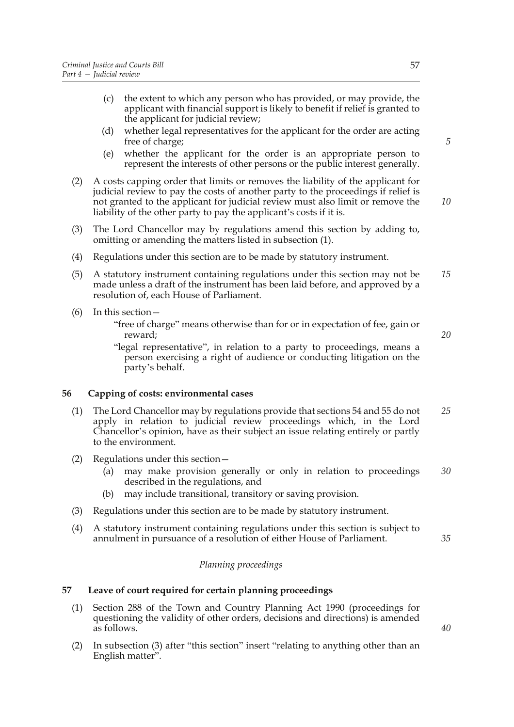- (c) the extent to which any person who has provided, or may provide, the applicant with financial support is likely to benefit if relief is granted to the applicant for judicial review;
- (d) whether legal representatives for the applicant for the order are acting free of charge;
- (e) whether the applicant for the order is an appropriate person to represent the interests of other persons or the public interest generally.
- (2) A costs capping order that limits or removes the liability of the applicant for judicial review to pay the costs of another party to the proceedings if relief is not granted to the applicant for judicial review must also limit or remove the liability of the other party to pay the applicant's costs if it is. *10*
- (3) The Lord Chancellor may by regulations amend this section by adding to, omitting or amending the matters listed in subsection (1).
- (4) Regulations under this section are to be made by statutory instrument.
- (5) A statutory instrument containing regulations under this section may not be made unless a draft of the instrument has been laid before, and approved by a resolution of, each House of Parliament. *15*
- (6) In this section—
	- "free of charge" means otherwise than for or in expectation of fee, gain or reward;
	- "legal representative", in relation to a party to proceedings, means a person exercising a right of audience or conducting litigation on the party's behalf.

# **56 Capping of costs: environmental cases**

- (1) The Lord Chancellor may by regulations provide that sections 54 and 55 do not apply in relation to judicial review proceedings which, in the Lord Chancellor's opinion, have as their subject an issue relating entirely or partly to the environment. *25*
- (2) Regulations under this section—
	- (a) may make provision generally or only in relation to proceedings described in the regulations, and *30*
	- (b) may include transitional, transitory or saving provision.
- (3) Regulations under this section are to be made by statutory instrument.
- (4) A statutory instrument containing regulations under this section is subject to annulment in pursuance of a resolution of either House of Parliament.

## *Planning proceedings*

## **57 Leave of court required for certain planning proceedings**

- (1) Section 288 of the Town and Country Planning Act 1990 (proceedings for questioning the validity of other orders, decisions and directions) is amended as follows.
- (2) In subsection (3) after "this section" insert "relating to anything other than an English matter".

*5*

*20*

*40*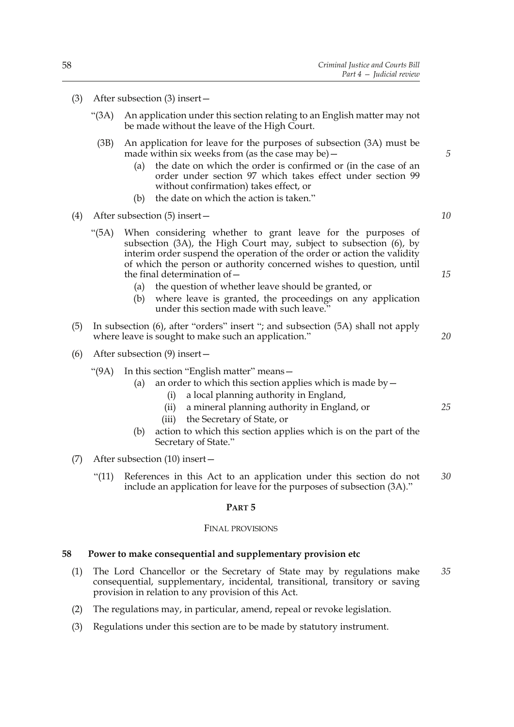- "(3A) An application under this section relating to an English matter may not be made without the leave of the High Court.
	- (3B) An application for leave for the purposes of subsection (3A) must be made within six weeks from (as the case may be)—
		- (a) the date on which the order is confirmed or (in the case of an order under section 97 which takes effect under section 99 without confirmation) takes effect, or
		- (b) the date on which the action is taken."
- (4) After subsection (5) insert—
	- "(5A) When considering whether to grant leave for the purposes of subsection (3A), the High Court may, subject to subsection (6), by interim order suspend the operation of the order or action the validity of which the person or authority concerned wishes to question, until the final determination of—
		- (a) the question of whether leave should be granted, or
		- (b) where leave is granted, the proceedings on any application under this section made with such leave."
- (5) In subsection (6), after "orders" insert "; and subsection (5A) shall not apply where leave is sought to make such an application."
- (6) After subsection (9) insert—
	- "(9A) In this section "English matter" means—
		- (a) an order to which this section applies which is made by  $-$ 
			- (i) a local planning authority in England,
			- (ii) a mineral planning authority in England, or
			- (iii) the Secretary of State, or
		- (b) action to which this section applies which is on the part of the Secretary of State."
- (7) After subsection (10) insert—
	- "(11) References in this Act to an application under this section do not include an application for leave for the purposes of subsection (3A)." *30*

## **PART 5**

#### FINAL PROVISIONS

#### **58 Power to make consequential and supplementary provision etc**

- (1) The Lord Chancellor or the Secretary of State may by regulations make consequential, supplementary, incidental, transitional, transitory or saving provision in relation to any provision of this Act. *35*
- (2) The regulations may, in particular, amend, repeal or revoke legislation.
- (3) Regulations under this section are to be made by statutory instrument.

*5*

*10*

*15*

*20*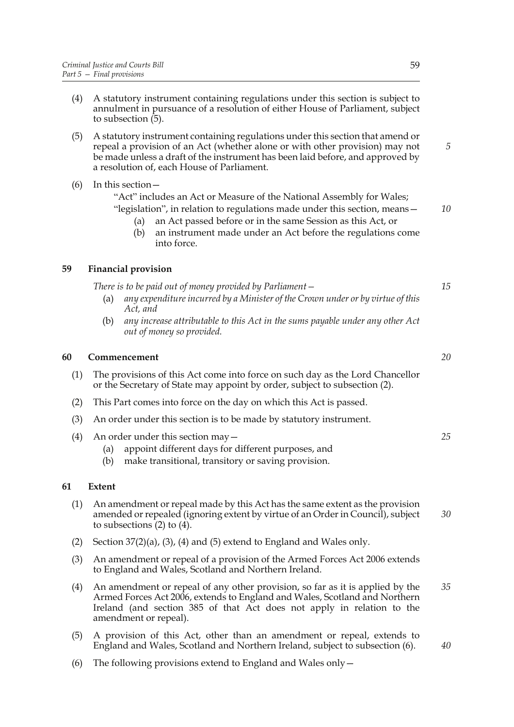- (4) A statutory instrument containing regulations under this section is subject to annulment in pursuance of a resolution of either House of Parliament, subject to subsection (5).
- (5) A statutory instrument containing regulations under this section that amend or repeal a provision of an Act (whether alone or with other provision) may not be made unless a draft of the instrument has been laid before, and approved by a resolution of, each House of Parliament.

(6) In this section—

"Act" includes an Act or Measure of the National Assembly for Wales; "legislation", in relation to regulations made under this section, means—

- (a) an Act passed before or in the same Session as this Act, or
- (b) an instrument made under an Act before the regulations come into force.

# **59 Financial provision**

*There is to be paid out of money provided by Parliament—*

- (a) *any expenditure incurred by a Minister of the Crown under or by virtue of this Act, and*
- (b) *any increase attributable to this Act in the sums payable under any other Act out of money so provided.*

# **60 Commencement**

- (1) The provisions of this Act come into force on such day as the Lord Chancellor or the Secretary of State may appoint by order, subject to subsection (2).
- (2) This Part comes into force on the day on which this Act is passed.
- (3) An order under this section is to be made by statutory instrument.
- (4) An order under this section may—
	- (a) appoint different days for different purposes, and
	- (b) make transitional, transitory or saving provision.

# **61 Extent**

- (1) An amendment or repeal made by this Act has the same extent as the provision amended or repealed (ignoring extent by virtue of an Order in Council), subject to subsections  $(2)$  to  $(4)$ . *30*
- (2) Section  $37(2)(a)$ , (3), (4) and (5) extend to England and Wales only.
- (3) An amendment or repeal of a provision of the Armed Forces Act 2006 extends to England and Wales, Scotland and Northern Ireland.
- (4) An amendment or repeal of any other provision, so far as it is applied by the Armed Forces Act 2006, extends to England and Wales, Scotland and Northern Ireland (and section 385 of that Act does not apply in relation to the amendment or repeal). *35*
- (5) A provision of this Act, other than an amendment or repeal, extends to England and Wales, Scotland and Northern Ireland, subject to subsection (6).
- (6) The following provisions extend to England and Wales only—

*20*

*25*

*5*

*10*

*15*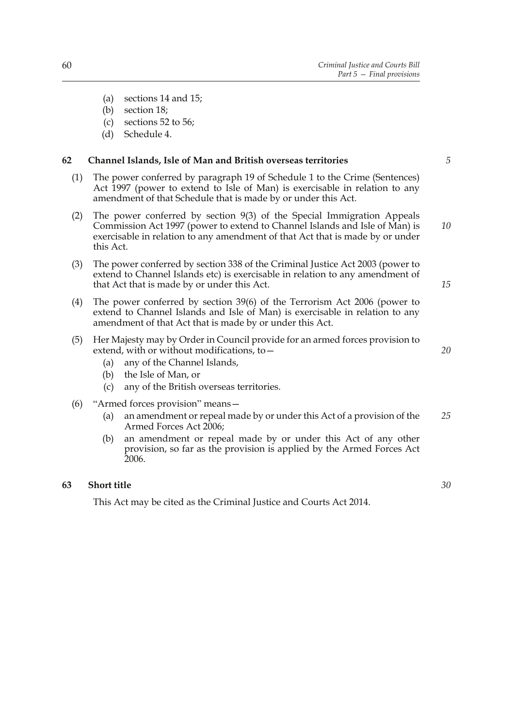- (a) sections 14 and 15;
- (b) section 18;
- (c) sections 52 to 56;
- (d) Schedule 4.

## **62 Channel Islands, Isle of Man and British overseas territories**

(1) The power conferred by paragraph 19 of Schedule 1 to the Crime (Sentences) Act 1997 (power to extend to Isle of Man) is exercisable in relation to any

amendment of that Schedule that is made by or under this Act.

- (2) The power conferred by section 9(3) of the Special Immigration Appeals Commission Act 1997 (power to extend to Channel Islands and Isle of Man) is exercisable in relation to any amendment of that Act that is made by or under this Act. *10*
- (3) The power conferred by section 338 of the Criminal Justice Act 2003 (power to extend to Channel Islands etc) is exercisable in relation to any amendment of that Act that is made by or under this Act.
- (4) The power conferred by section 39(6) of the Terrorism Act 2006 (power to extend to Channel Islands and Isle of Man) is exercisable in relation to any amendment of that Act that is made by or under this Act.
- (5) Her Majesty may by Order in Council provide for an armed forces provision to extend, with or without modifications, to—
	- (a) any of the Channel Islands,
	- (b) the Isle of Man, or
	- (c) any of the British overseas territories.
- (6) "Armed forces provision" means—
	- (a) an amendment or repeal made by or under this Act of a provision of the Armed Forces Act 2006; *25*
	- (b) an amendment or repeal made by or under this Act of any other provision, so far as the provision is applied by the Armed Forces Act 2006.

#### **63 Short title**

This Act may be cited as the Criminal Justice and Courts Act 2014.

60

*15*

*20*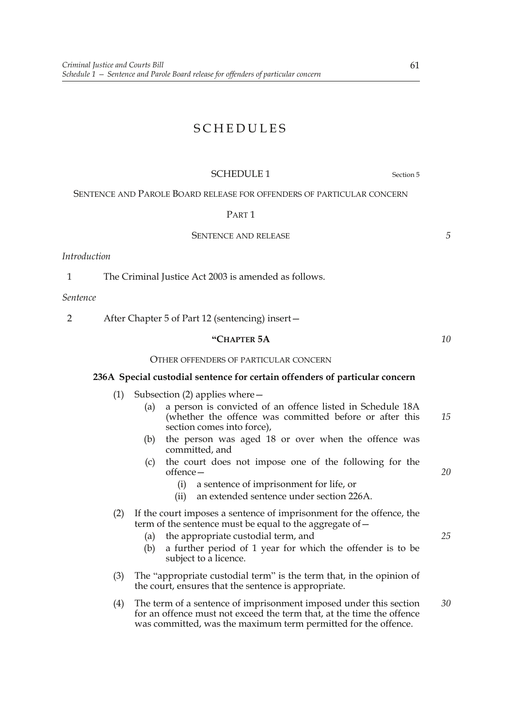# SCHEDULES

# SCHEDULE 1 Section 5

# SENTENCE AND PAROLE BOARD RELEASE FOR OFFENDERS OF PARTICULAR CONCERN

PART<sub>1</sub>

SENTENCE AND RELEASE

# *Introduction*

1 The Criminal Justice Act 2003 is amended as follows.

*Sentence*

2 After Chapter 5 of Part 12 (sentencing) insert—

# **"CHAPTER 5A**

## OTHER OFFENDERS OF PARTICULAR CONCERN

# **236A Special custodial sentence for certain offenders of particular concern**

- (1) Subsection (2) applies where—
	- (a) a person is convicted of an offence listed in Schedule 18A (whether the offence was committed before or after this section comes into force), *15*
	- (b) the person was aged 18 or over when the offence was committed, and
	- (c) the court does not impose one of the following for the offence—
		- (i) a sentence of imprisonment for life, or
		- (ii) an extended sentence under section 226A.
- (2) If the court imposes a sentence of imprisonment for the offence, the term of the sentence must be equal to the aggregate of—
	- (a) the appropriate custodial term, and
	- (b) a further period of 1 year for which the offender is to be subject to a licence.
- (3) The "appropriate custodial term" is the term that, in the opinion of the court, ensures that the sentence is appropriate.
- (4) The term of a sentence of imprisonment imposed under this section for an offence must not exceed the term that, at the time the offence was committed, was the maximum term permitted for the offence. *30*

*20*

*10*

*5*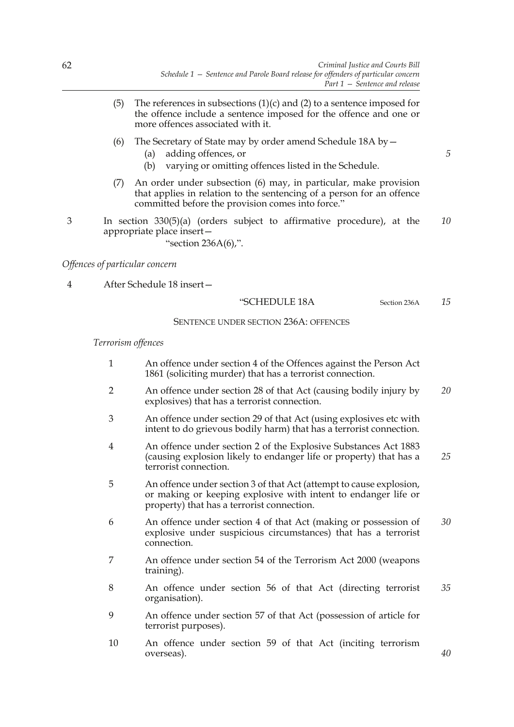- (5) The references in subsections  $(1)(c)$  and  $(2)$  to a sentence imposed for the offence include a sentence imposed for the offence and one or more offences associated with it.
- (6) The Secretary of State may by order amend Schedule 18A by—
	- (a) adding offences, or
	- (b) varying or omitting offences listed in the Schedule.
- (7) An order under subsection (6) may, in particular, make provision that applies in relation to the sentencing of a person for an offence committed before the provision comes into force."
- 3 In section 330(5)(a) (orders subject to affirmative procedure), at the appropriate place insert— *10*

"section 236A(6),".

*Offences of particular concern*

4 After Schedule 18 insert—

### "SCHEDULE 18A Section 236A

*15*

*5*

# SENTENCE UNDER SECTION 236A: OFFENCES

*Terrorism offences*

- 1 An offence under section 4 of the Offences against the Person Act 1861 (soliciting murder) that has a terrorist connection.
- 2 An offence under section 28 of that Act (causing bodily injury by explosives) that has a terrorist connection. *20*
- 3 An offence under section 29 of that Act (using explosives etc with intent to do grievous bodily harm) that has a terrorist connection.
- 4 An offence under section 2 of the Explosive Substances Act 1883 (causing explosion likely to endanger life or property) that has a terrorist connection. *25*
- 5 An offence under section 3 of that Act (attempt to cause explosion, or making or keeping explosive with intent to endanger life or property) that has a terrorist connection.
- 6 An offence under section 4 of that Act (making or possession of explosive under suspicious circumstances) that has a terrorist connection. *30*
- 7 An offence under section 54 of the Terrorism Act 2000 (weapons training).
- 8 An offence under section 56 of that Act (directing terrorist organisation). *35*
- 9 An offence under section 57 of that Act (possession of article for terrorist purposes).
- 10 An offence under section 59 of that Act (inciting terrorism overseas).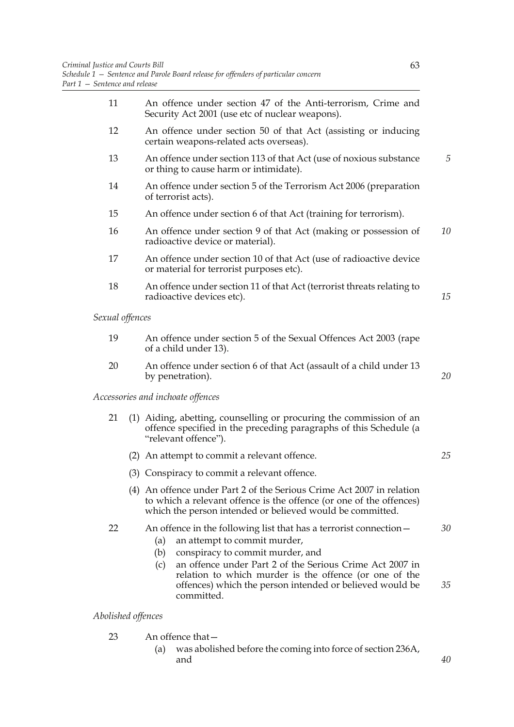| 11                                                                                            | An offence under section 47 of the Anti-terrorism, Crime and<br>Security Act 2001 (use etc of nuclear weapons).                                                                                                                                                                                                                                             |          |
|-----------------------------------------------------------------------------------------------|-------------------------------------------------------------------------------------------------------------------------------------------------------------------------------------------------------------------------------------------------------------------------------------------------------------------------------------------------------------|----------|
| 12                                                                                            | An offence under section 50 of that Act (assisting or inducing<br>certain weapons-related acts overseas).                                                                                                                                                                                                                                                   |          |
| 13                                                                                            | An offence under section 113 of that Act (use of noxious substance<br>or thing to cause harm or intimidate).                                                                                                                                                                                                                                                | 5        |
| 14                                                                                            | An offence under section 5 of the Terrorism Act 2006 (preparation<br>of terrorist acts).                                                                                                                                                                                                                                                                    |          |
| 15                                                                                            | An offence under section 6 of that Act (training for terrorism).                                                                                                                                                                                                                                                                                            |          |
| 16                                                                                            | An offence under section 9 of that Act (making or possession of<br>radioactive device or material).                                                                                                                                                                                                                                                         |          |
| 17                                                                                            | An offence under section 10 of that Act (use of radioactive device<br>or material for terrorist purposes etc).                                                                                                                                                                                                                                              |          |
| 18                                                                                            | An offence under section 11 of that Act (terrorist threats relating to<br>radioactive devices etc).                                                                                                                                                                                                                                                         |          |
| Sexual offences                                                                               |                                                                                                                                                                                                                                                                                                                                                             |          |
| 19                                                                                            | An offence under section 5 of the Sexual Offences Act 2003 (rape<br>of a child under 13).                                                                                                                                                                                                                                                                   |          |
| 20<br>An offence under section 6 of that Act (assault of a child under 13<br>by penetration). |                                                                                                                                                                                                                                                                                                                                                             | 20       |
|                                                                                               | Accessories and inchoate offences                                                                                                                                                                                                                                                                                                                           |          |
| 21                                                                                            | (1) Aiding, abetting, counselling or procuring the commission of an<br>offence specified in the preceding paragraphs of this Schedule (a<br>"relevant offence").                                                                                                                                                                                            |          |
|                                                                                               | (2) An attempt to commit a relevant offence.                                                                                                                                                                                                                                                                                                                | 25       |
|                                                                                               | (3) Conspiracy to commit a relevant offence.                                                                                                                                                                                                                                                                                                                |          |
|                                                                                               | (4) An offence under Part 2 of the Serious Crime Act 2007 in relation<br>to which a relevant offence is the offence (or one of the offences)<br>which the person intended or believed would be committed.                                                                                                                                                   |          |
| 22                                                                                            | An offence in the following list that has a terrorist connection -<br>(a)<br>an attempt to commit murder,<br>conspiracy to commit murder, and<br>(b)<br>an offence under Part 2 of the Serious Crime Act 2007 in<br>(c)<br>relation to which murder is the offence (or one of the<br>offences) which the person intended or believed would be<br>committed. | 30<br>35 |
| Abolished offences                                                                            |                                                                                                                                                                                                                                                                                                                                                             |          |

- 23 An offence that—
	- (a) was abolished before the coming into force of section 236A, and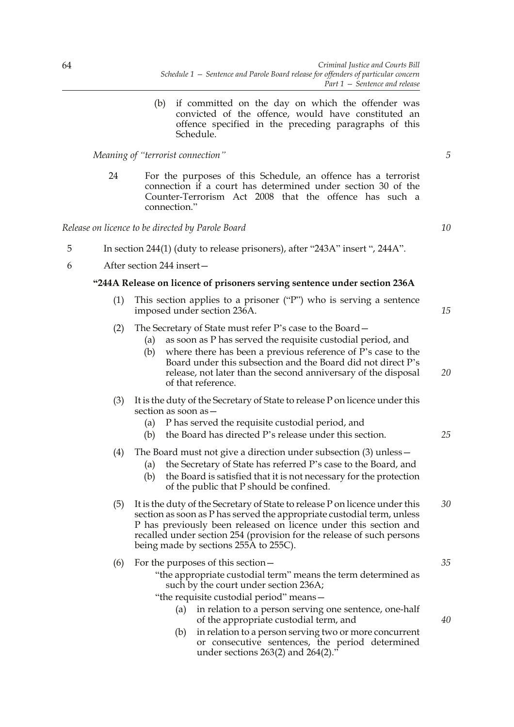(b) if committed on the day on which the offender was convicted of the offence, would have constituted an offence specified in the preceding paragraphs of this Schedule.

*Meaning of "terrorist connection"*

24 For the purposes of this Schedule, an offence has a terrorist connection if a court has determined under section 30 of the Counter-Terrorism Act 2008 that the offence has such a connection."

*Release on licence to be directed by Parole Board*

- 5 In section 244(1) (duty to release prisoners), after "243A" insert ", 244A".
- 6 After section 244 insert—

### **"244A Release on licence of prisoners serving sentence under section 236A**

- (1) This section applies to a prisoner ("P") who is serving a sentence imposed under section 236A.
- *15*

*20*

*25*

*40*

*5*

- (2) The Secretary of State must refer P's case to the Board—
	- (a) as soon as P has served the requisite custodial period, and
	- (b) where there has been a previous reference of P's case to the Board under this subsection and the Board did not direct P's release, not later than the second anniversary of the disposal of that reference.
- (3) It is the duty of the Secretary of State to release P on licence under this section as soon as -
	- (a) P has served the requisite custodial period, and
	- (b) the Board has directed P's release under this section.
- (4) The Board must not give a direction under subsection (3) unless—
	- (a) the Secretary of State has referred P's case to the Board, and
	- (b) the Board is satisfied that it is not necessary for the protection of the public that P should be confined.
- (5) It is the duty of the Secretary of State to release P on licence under this section as soon as P has served the appropriate custodial term, unless P has previously been released on licence under this section and recalled under section 254 (provision for the release of such persons being made by sections 255A to 255C). *30*

|  | (6) For the purposes of this section $-$                      | 35 |
|--|---------------------------------------------------------------|----|
|  | "the appropriate custodial term" means the term determined as |    |
|  | such by the court under section 236A;                         |    |
|  | "the requisite custodial period" means -                      |    |
|  | (a) in relation to a person serving one sentence, one-half    |    |

- of the appropriate custodial term, and
- (b) in relation to a person serving two or more concurrent or consecutive sentences, the period determined under sections  $263(2)$  and  $264(2)$ ."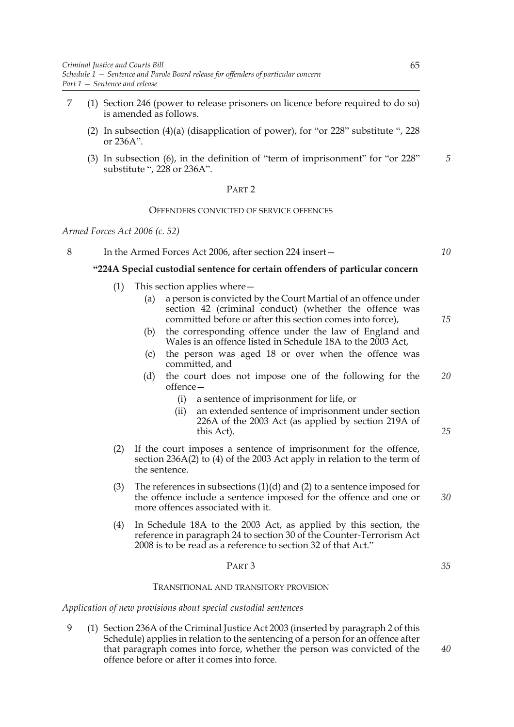- 7 (1) Section 246 (power to release prisoners on licence before required to do so) is amended as follows.
	- (2) In subsection (4)(a) (disapplication of power), for "or 228" substitute ", 228 or 236A".
	- (3) In subsection (6), in the definition of "term of imprisonment" for "or 228" substitute ", 228 or 236A".

#### PART 2

#### OFFENDERS CONVICTED OF SERVICE OFFENCES

#### *Armed Forces Act 2006 (c. 52)*

8 In the Armed Forces Act 2006, after section 224 insert—

# **"224A Special custodial sentence for certain offenders of particular concern**

- (1) This section applies where—
	- (a) a person is convicted by the Court Martial of an offence under section 42 (criminal conduct) (whether the offence was committed before or after this section comes into force),
	- (b) the corresponding offence under the law of England and Wales is an offence listed in Schedule 18A to the 2003 Act,
	- (c) the person was aged 18 or over when the offence was committed, and
	- (d) the court does not impose one of the following for the offence— *20*
		- (i) a sentence of imprisonment for life, or
		- (ii) an extended sentence of imprisonment under section 226A of the 2003 Act (as applied by section 219A of this Act).
- (2) If the court imposes a sentence of imprisonment for the offence, section  $236A(2)$  to (4) of the 2003 Act apply in relation to the term of the sentence.
- (3) The references in subsections  $(1)(d)$  and  $(2)$  to a sentence imposed for the offence include a sentence imposed for the offence and one or more offences associated with it. *30*
- (4) In Schedule 18A to the 2003 Act, as applied by this section, the reference in paragraph 24 to section 30 of the Counter-Terrorism Act 2008 is to be read as a reference to section 32 of that Act."

## PART 3

#### TRANSITIONAL AND TRANSITORY PROVISION

*Application of new provisions about special custodial sentences*

9 (1) Section 236A of the Criminal Justice Act 2003 (inserted by paragraph 2 of this Schedule) applies in relation to the sentencing of a person for an offence after that paragraph comes into force, whether the person was convicted of the offence before or after it comes into force.

*5*

*10*

*15*

*25*

*35*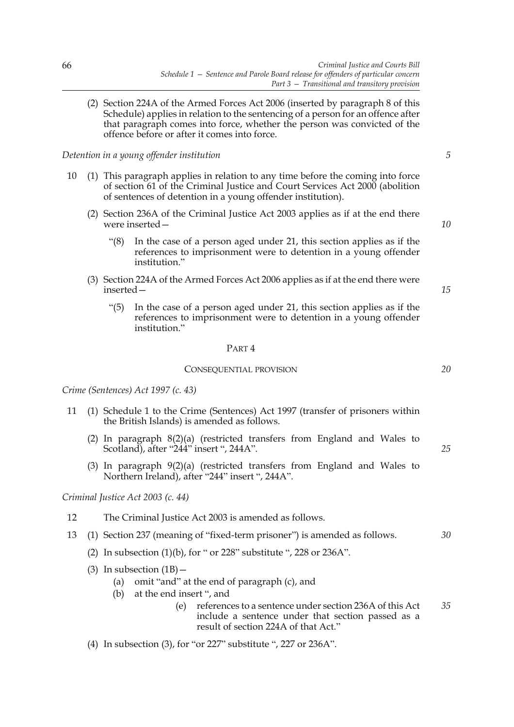(2) Section 224A of the Armed Forces Act 2006 (inserted by paragraph 8 of this Schedule) applies in relation to the sentencing of a person for an offence after that paragraph comes into force, whether the person was convicted of the offence before or after it comes into force.

*Detention in a young offender institution*

- 10 (1) This paragraph applies in relation to any time before the coming into force of section 61 of the Criminal Justice and Court Services Act 2000 (abolition of sentences of detention in a young offender institution).
	- (2) Section 236A of the Criminal Justice Act 2003 applies as if at the end there were inserted—
		- "(8) In the case of a person aged under 21, this section applies as if the references to imprisonment were to detention in a young offender institution."
	- (3) Section 224A of the Armed Forces Act 2006 applies as if at the end there were inserted—
		- "(5) In the case of a person aged under 21, this section applies as if the references to imprisonment were to detention in a young offender institution."

#### PART 4

## CONSEQUENTIAL PROVISION

*Crime (Sentences) Act 1997 (c. 43)*

- 11 (1) Schedule 1 to the Crime (Sentences) Act 1997 (transfer of prisoners within the British Islands) is amended as follows.
	- (2) In paragraph 8(2)(a) (restricted transfers from England and Wales to Scotland), after "244" insert ", 244A".
	- (3) In paragraph 9(2)(a) (restricted transfers from England and Wales to Northern Ireland), after "244" insert ", 244A".

*Criminal Justice Act 2003 (c. 44)*

- 12 The Criminal Justice Act 2003 is amended as follows.
- 13 (1) Section 237 (meaning of "fixed-term prisoner") is amended as follows.
	- (2) In subsection  $(1)(b)$ , for " or 228" substitute ", 228 or 236A".
	- (3) In subsection  $(1B)$  -
		- (a) omit "and" at the end of paragraph (c), and
		- (b) at the end insert ", and
			- (e) references to a sentence under section 236A of this Act include a sentence under that section passed as a result of section 224A of that Act." *35*
	- (4) In subsection (3), for "or 227" substitute ", 227 or 236A".

*10*

*15*

*5*

*20*

*25*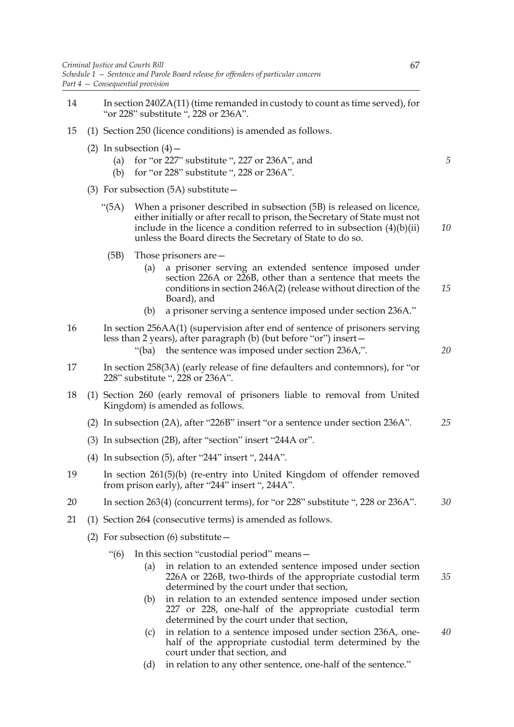- 14 In section 240ZA(11) (time remanded in custody to count as time served), for "or 228" substitute ", 228 or 236A".
- 15 (1) Section 250 (licence conditions) is amended as follows.
	- (2) In subsection  $(4)$ 
		- (a) for "or 227" substitute ", 227 or 236A", and
		- (b) for "or 228" substitute ", 228 or 236A".
	- (3) For subsection (5A) substitute—
		- "(5A) When a prisoner described in subsection (5B) is released on licence, either initially or after recall to prison, the Secretary of State must not include in the licence a condition referred to in subsection  $(4)(b)(ii)$ unless the Board directs the Secretary of State to do so. *10*
			- (5B) Those prisoners are—
				- (a) a prisoner serving an extended sentence imposed under section 226A or 226B, other than a sentence that meets the conditions in section 246A(2) (release without direction of the Board), and *15*
				- (b) a prisoner serving a sentence imposed under section 236A."

| 16 | In section 256AA(1) (supervision after end of sentence of prisoners serving |    |
|----|-----------------------------------------------------------------------------|----|
|    | less than 2 years), after paragraph (b) (but before "or") insert -          |    |
|    | "(ba) the sentence was imposed under section 236A,".                        | 20 |

- 17 In section 258(3A) (early release of fine defaulters and contemnors), for "or 228" substitute ", 228 or 236A".
- 18 (1) Section 260 (early removal of prisoners liable to removal from United Kingdom) is amended as follows.
	- (2) In subsection (2A), after "226B" insert "or a sentence under section 236A". *25*
	- (3) In subsection (2B), after "section" insert "244A or".
	- (4) In subsection (5), after "244" insert ", 244A".
- 19 In section 261(5)(b) (re-entry into United Kingdom of offender removed from prison early), after "244" insert ", 244A".
- 20 In section 263(4) (concurrent terms), for "or 228" substitute ", 228 or 236A". *30*
- 21 (1) Section 264 (consecutive terms) is amended as follows.
	- (2) For subsection  $(6)$  substitute  $-$ 
		- "(6) In this section "custodial period" means—
			- (a) in relation to an extended sentence imposed under section 226A or 226B, two-thirds of the appropriate custodial term determined by the court under that section, *35*
			- (b) in relation to an extended sentence imposed under section 227 or 228, one-half of the appropriate custodial term determined by the court under that section,
			- (c) in relation to a sentence imposed under section 236A, onehalf of the appropriate custodial term determined by the court under that section, and *40*
			- (d) in relation to any other sentence, one-half of the sentence."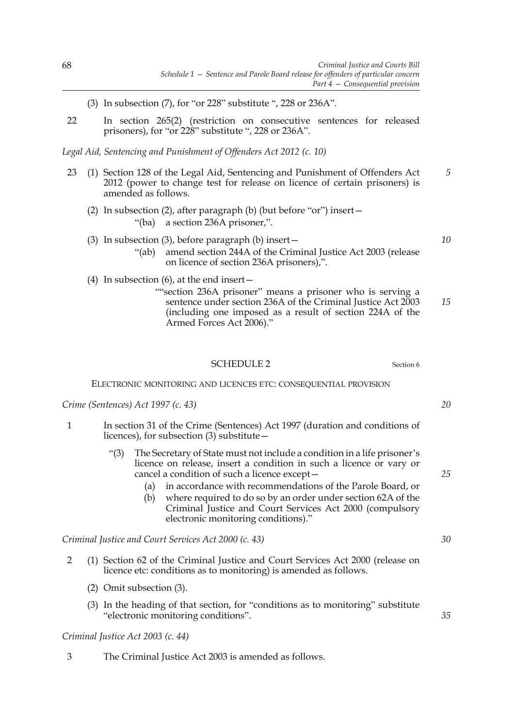- (3) In subsection (7), for "or 228" substitute ", 228 or 236A".
- 22 In section 265(2) (restriction on consecutive sentences for released prisoners), for "or 228" substitute ", 228 or 236A".

*Legal Aid, Sentencing and Punishment of Offenders Act 2012 (c. 10)*

- 23 (1) Section 128 of the Legal Aid, Sentencing and Punishment of Offenders Act 2012 (power to change test for release on licence of certain prisoners) is amended as follows. *5*
	- (2) In subsection (2), after paragraph (b) (but before "or") insert— "(ba) a section 236A prisoner,".
	- (3) In subsection (3), before paragraph (b) insert—
		- "(ab) amend section 244A of the Criminal Justice Act 2003 (release on licence of section 236A prisoners),".
	- (4) In subsection  $(6)$ , at the end insert
		- ""section 236A prisoner" means a prisoner who is serving a sentence under section 236A of the Criminal Justice Act 2003 (including one imposed as a result of section 224A of the Armed Forces Act 2006)."

SCHEDULE 2 Section 6

ELECTRONIC MONITORING AND LICENCES ETC: CONSEQUENTIAL PROVISION

*Crime (Sentences) Act 1997 (c. 43)*

- 1 In section 31 of the Crime (Sentences) Act 1997 (duration and conditions of licences), for subsection (3) substitute—
	- "(3) The Secretary of State must not include a condition in a life prisoner's licence on release, insert a condition in such a licence or vary or cancel a condition of such a licence except—
		- (a) in accordance with recommendations of the Parole Board, or
		- (b) where required to do so by an order under section 62A of the Criminal Justice and Court Services Act 2000 (compulsory electronic monitoring conditions)."

*Criminal Justice and Court Services Act 2000 (c. 43)*

- 2 (1) Section 62 of the Criminal Justice and Court Services Act 2000 (release on licence etc: conditions as to monitoring) is amended as follows.
	- (2) Omit subsection (3).
	- (3) In the heading of that section, for "conditions as to monitoring" substitute "electronic monitoring conditions".

*Criminal Justice Act 2003 (c. 44)*

3 The Criminal Justice Act 2003 is amended as follows.

*20*

*25*

*30*

*35*

*10*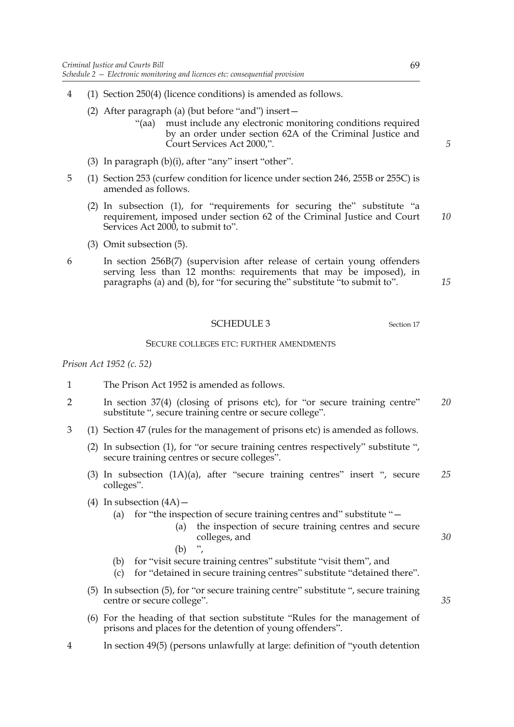- 4 (1) Section 250(4) (licence conditions) is amended as follows.
	- (2) After paragraph (a) (but before "and") insert—
		- "(aa) must include any electronic monitoring conditions required by an order under section 62A of the Criminal Justice and Court Services Act 2000,".
	- (3) In paragraph (b)(i), after "any" insert "other".
- 5 (1) Section 253 (curfew condition for licence under section 246, 255B or 255C) is amended as follows.
	- (2) In subsection (1), for "requirements for securing the" substitute "a requirement, imposed under section 62 of the Criminal Justice and Court Services Act 2000, to submit to".
	- (3) Omit subsection (5).
- 6 In section 256B(7) (supervision after release of certain young offenders serving less than 12 months: requirements that may be imposed), in paragraphs (a) and (b), for "for securing the" substitute "to submit to".

*15*

*30*

*35*

*10*

*5*

# SCHEDULE 3 Section 17

69

#### SECURE COLLEGES ETC: FURTHER AMENDMENTS

*Prison Act 1952 (c. 52)*

- 1 The Prison Act 1952 is amended as follows.
- 2 In section 37(4) (closing of prisons etc), for "or secure training centre" substitute ", secure training centre or secure college". *20*
- 3 (1) Section 47 (rules for the management of prisons etc) is amended as follows.
	- (2) In subsection (1), for "or secure training centres respectively" substitute ", secure training centres or secure colleges".
	- (3) In subsection (1A)(a), after "secure training centres" insert ", secure colleges". *25*
	- (4) In subsection  $(4A)$ 
		- (a) for "the inspection of secure training centres and" substitute "—
			- (a) the inspection of secure training centres and secure colleges, and
				- $(b)$  ",
		- (b) for "visit secure training centres" substitute "visit them", and
		- (c) for "detained in secure training centres" substitute "detained there".
	- (5) In subsection (5), for "or secure training centre" substitute ", secure training centre or secure college".
	- (6) For the heading of that section substitute "Rules for the management of prisons and places for the detention of young offenders".
- 4 In section 49(5) (persons unlawfully at large: definition of "youth detention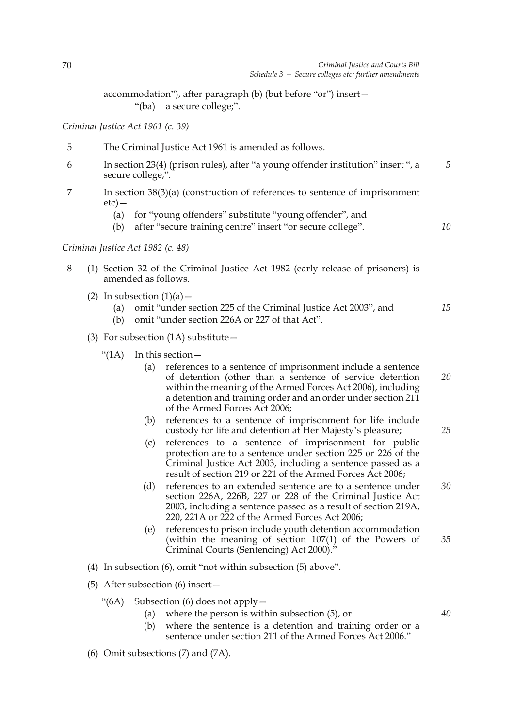accommodation"), after paragraph (b) (but before "or") insert— "(ba) a secure college;".

*Criminal Justice Act 1961 (c. 39)*

- 5 The Criminal Justice Act 1961 is amended as follows.
- 6 In section 23(4) (prison rules), after "a young offender institution" insert ", a secure college,". *5*
- 7 In section 38(3)(a) (construction of references to sentence of imprisonment etc)—
	- (a) for "young offenders" substitute "young offender", and
	- (b) after "secure training centre" insert "or secure college".

# *Criminal Justice Act 1982 (c. 48)*

- 8 (1) Section 32 of the Criminal Justice Act 1982 (early release of prisoners) is amended as follows.
	- (2) In subsection  $(1)(a)$ 
		- (a) omit "under section 225 of the Criminal Justice Act 2003", and
		- (b) omit "under section 226A or 227 of that Act".
	- (3) For subsection (1A) substitute—
		- " $(1)$  In this section -
			- (a) references to a sentence of imprisonment include a sentence of detention (other than a sentence of service detention within the meaning of the Armed Forces Act 2006), including a detention and training order and an order under section 211 of the Armed Forces Act 2006; *20*
			- (b) references to a sentence of imprisonment for life include custody for life and detention at Her Majesty's pleasure;
			- (c) references to a sentence of imprisonment for public protection are to a sentence under section 225 or 226 of the Criminal Justice Act 2003, including a sentence passed as a result of section 219 or 221 of the Armed Forces Act 2006;
			- (d) references to an extended sentence are to a sentence under section 226A, 226B, 227 or 228 of the Criminal Justice Act 2003, including a sentence passed as a result of section 219A, 220, 221A or 222 of the Armed Forces Act 2006; *30*
			- (e) references to prison include youth detention accommodation (within the meaning of section 107(1) of the Powers of Criminal Courts (Sentencing) Act 2000)." *35*
	- (4) In subsection (6), omit "not within subsection (5) above".
	- (5) After subsection (6) insert—
		- "(6A) Subsection (6) does not apply  $-$ 
			- (a) where the person is within subsection (5), or
			- (b) where the sentence is a detention and training order or a sentence under section 211 of the Armed Forces Act 2006."
	- (6) Omit subsections (7) and (7A).

*15*

*25*

*40*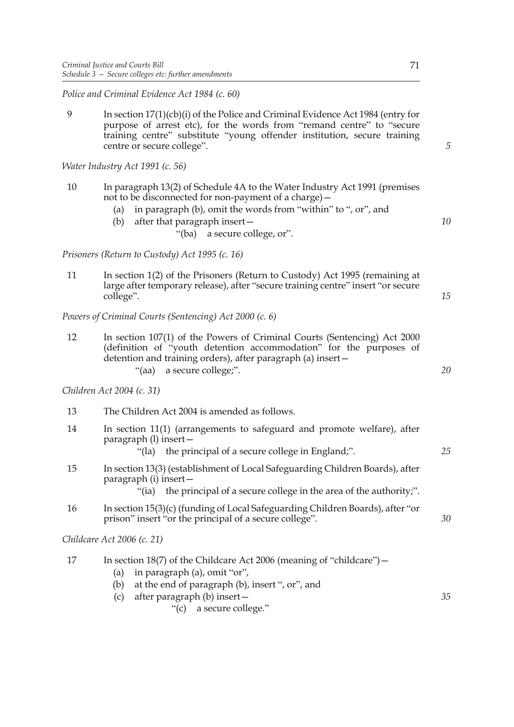*Police and Criminal Evidence Act 1984 (c. 60)*

9 In section 17(1)(cb)(i) of the Police and Criminal Evidence Act 1984 (entry for purpose of arrest etc), for the words from "remand centre" to "secure training centre" substitute "young offender institution, secure training centre or secure college".

*Water Industry Act 1991 (c. 56)*

- 10 In paragraph 13(2) of Schedule 4A to the Water Industry Act 1991 (premises not to be disconnected for non-payment of a charge)—
	- (a) in paragraph (b), omit the words from "within" to ", or", and
	- (b) after that paragraph insert—
		- "(ba) a secure college, or".

*Prisoners (Return to Custody) Act 1995 (c. 16)*

11 In section 1(2) of the Prisoners (Return to Custody) Act 1995 (remaining at large after temporary release), after "secure training centre" insert "or secure college".

*Powers of Criminal Courts (Sentencing) Act 2000 (c. 6)*

12 In section 107(1) of the Powers of Criminal Courts (Sentencing) Act 2000 (definition of "youth detention accommodation" for the purposes of detention and training orders), after paragraph (a) insert— "(aa) a secure college;".

*Children Act 2004 (c. 31)*

- 13 The Children Act 2004 is amended as follows.
- 14 In section 11(1) (arrangements to safeguard and promote welfare), after paragraph (l) insert—
	- "(la) the principal of a secure college in England;".
- 15 In section 13(3) (establishment of Local Safeguarding Children Boards), after paragraph (i) insert—
	- "(ia) the principal of a secure college in the area of the authority;".
- 16 In section 15(3)(c) (funding of Local Safeguarding Children Boards), after "or prison" insert "or the principal of a secure college".

*Childcare Act 2006 (c. 21)*

- 17 In section 18(7) of the Childcare Act 2006 (meaning of "childcare")
	- (a) in paragraph (a), omit "or",
	- (b) at the end of paragraph (b), insert ", or", and
	- (c) after paragraph (b) insert—
		- "(c) a secure college."

*5*

*15*

*20*

*25*

*30*

*35*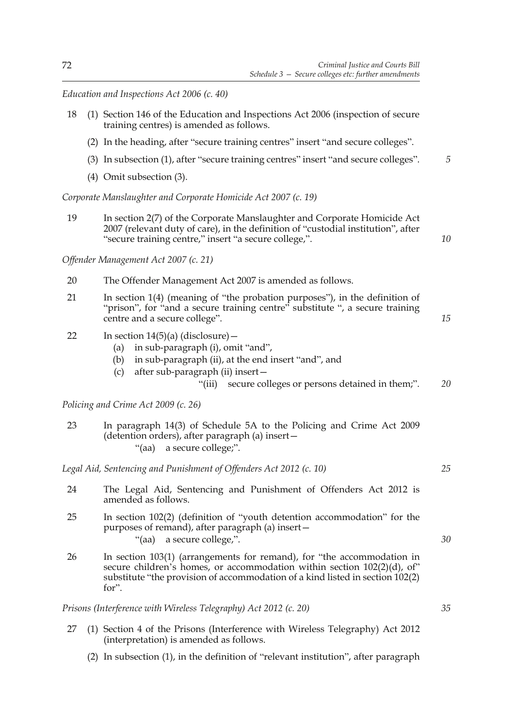*Education and Inspections Act 2006 (c. 40)*

- 18 (1) Section 146 of the Education and Inspections Act 2006 (inspection of secure training centres) is amended as follows.
	- (2) In the heading, after "secure training centres" insert "and secure colleges".
	- (3) In subsection (1), after "secure training centres" insert "and secure colleges". *5*
	- (4) Omit subsection (3).

*Corporate Manslaughter and Corporate Homicide Act 2007 (c. 19)*

19 In section 2(7) of the Corporate Manslaughter and Corporate Homicide Act 2007 (relevant duty of care), in the definition of "custodial institution", after "secure training centre," insert "a secure college,".

*Offender Management Act 2007 (c. 21)* 

- 20 The Offender Management Act 2007 is amended as follows.
- 21 In section 1(4) (meaning of "the probation purposes"), in the definition of "prison", for "and a secure training centre" substitute ", a secure training centre and a secure college".
- 22 In section  $14(5)(a)$  (disclosure)
	- (a) in sub-paragraph (i), omit "and",
	- (b) in sub-paragraph (ii), at the end insert "and", and
	- (c) after sub-paragraph (ii) insert—

"(iii) secure colleges or persons detained in them;". *20*

*Policing and Crime Act 2009 (c. 26)*

23 In paragraph 14(3) of Schedule 5A to the Policing and Crime Act 2009 (detention orders), after paragraph (a) insert— "(aa) a secure college;".

*Legal Aid, Sentencing and Punishment of Offenders Act 2012 (c. 10)*

- 24 The Legal Aid, Sentencing and Punishment of Offenders Act 2012 is amended as follows.
- 25 In section 102(2) (definition of "youth detention accommodation" for the purposes of remand), after paragraph (a) insert— "(aa) a secure college,".
- 26 In section 103(1) (arrangements for remand), for "the accommodation in secure children's homes, or accommodation within section 102(2)(d), of" substitute "the provision of accommodation of a kind listed in section 102(2) for".

*Prisons (Interference with Wireless Telegraphy) Act 2012 (c. 20)*

- 27 (1) Section 4 of the Prisons (Interference with Wireless Telegraphy) Act 2012 (interpretation) is amended as follows.
	- (2) In subsection (1), in the definition of "relevant institution", after paragraph

*35*

*30*

*25*

*10*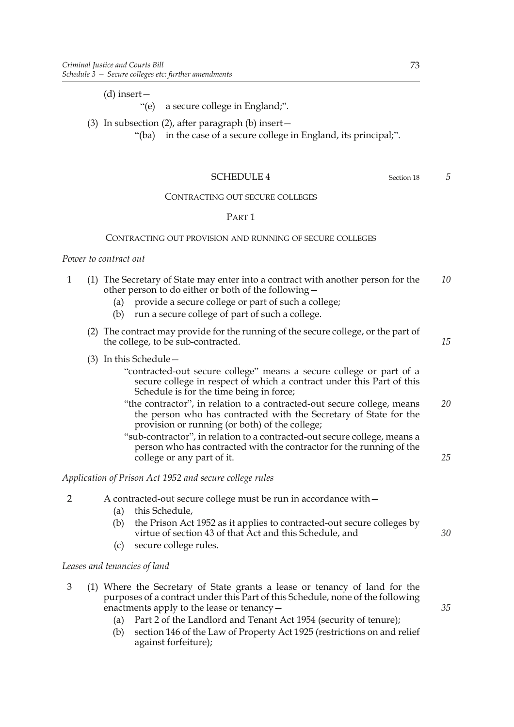(d) insert—

- "(e) a secure college in England;".
- (3) In subsection (2), after paragraph (b) insert—
	- "(ba) in the case of a secure college in England, its principal;".

#### SCHEDULE 4 Section 18

# CONTRACTING OUT SECURE COLLEGES

#### PART 1

#### CONTRACTING OUT PROVISION AND RUNNING OF SECURE COLLEGES

# *Power to contract out*

(3) In this Schedule—

- 1 (1) The Secretary of State may enter into a contract with another person for the other person to do either or both of the following— *10*
	- (a) provide a secure college or part of such a college;
	- (b) run a secure college of part of such a college.
	- (2) The contract may provide for the running of the secure college, or the part of the college, to be sub-contracted.

*15*

*25*

*5*

- "contracted-out secure college" means a secure college or part of a secure college in respect of which a contract under this Part of this Schedule is for the time being in force;
- "the contractor", in relation to a contracted-out secure college, means the person who has contracted with the Secretary of State for the provision or running (or both) of the college; *20*
- "sub-contractor", in relation to a contracted-out secure college, means a person who has contracted with the contractor for the running of the college or any part of it.

# *Application of Prison Act 1952 and secure college rules*

- 2 A contracted-out secure college must be run in accordance with—
	- (a) this Schedule,
	- (b) the Prison Act 1952 as it applies to contracted-out secure colleges by virtue of section 43 of that Act and this Schedule, and
	- (c) secure college rules.

# *Leases and tenancies of land*

- 3 (1) Where the Secretary of State grants a lease or tenancy of land for the purposes of a contract under this Part of this Schedule, none of the following enactments apply to the lease or tenancy—
	- (a) Part 2 of the Landlord and Tenant Act 1954 (security of tenure);
	- (b) section 146 of the Law of Property Act 1925 (restrictions on and relief against forfeiture);

*35*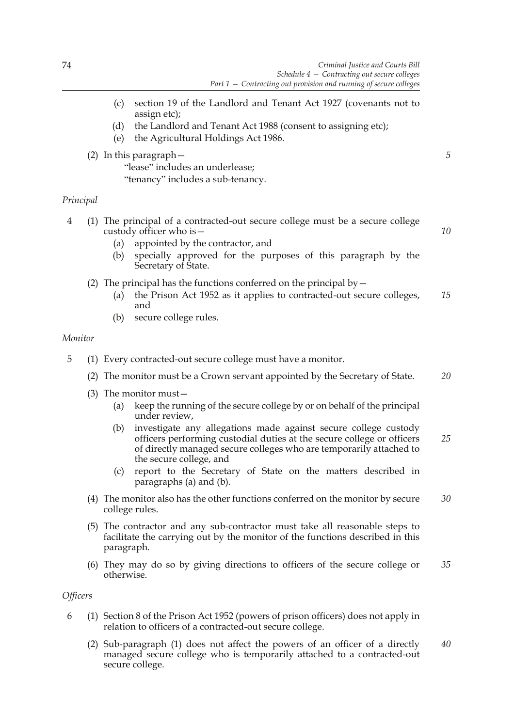- (c) section 19 of the Landlord and Tenant Act 1927 (covenants not to assign etc);
- (d) the Landlord and Tenant Act 1988 (consent to assigning etc);
- (e) the Agricultural Holdings Act 1986.
- (2) In this paragraph—

*5*

*10*

- "lease" includes an underlease;
- "tenancy" includes a sub-tenancy.

# *Principal*

- 4 (1) The principal of a contracted-out secure college must be a secure college custody officer who is—
	- (a) appointed by the contractor, and
	- (b) specially approved for the purposes of this paragraph by the Secretary of State.
	- (2) The principal has the functions conferred on the principal by  $-$ 
		- (a) the Prison Act 1952 as it applies to contracted-out secure colleges, and *15*
		- (b) secure college rules.

# *Monitor*

- 5 (1) Every contracted-out secure college must have a monitor.
	- (2) The monitor must be a Crown servant appointed by the Secretary of State. *20*
	- (3) The monitor must—
		- (a) keep the running of the secure college by or on behalf of the principal under review,
		- (b) investigate any allegations made against secure college custody officers performing custodial duties at the secure college or officers of directly managed secure colleges who are temporarily attached to the secure college, and *25*
		- (c) report to the Secretary of State on the matters described in paragraphs (a) and (b).
	- (4) The monitor also has the other functions conferred on the monitor by secure college rules. *30*
	- (5) The contractor and any sub-contractor must take all reasonable steps to facilitate the carrying out by the monitor of the functions described in this paragraph.
	- (6) They may do so by giving directions to officers of the secure college or otherwise. *35*

# *Officers*

- 6 (1) Section 8 of the Prison Act 1952 (powers of prison officers) does not apply in relation to officers of a contracted-out secure college.
	- (2) Sub-paragraph (1) does not affect the powers of an officer of a directly managed secure college who is temporarily attached to a contracted-out secure college. *40*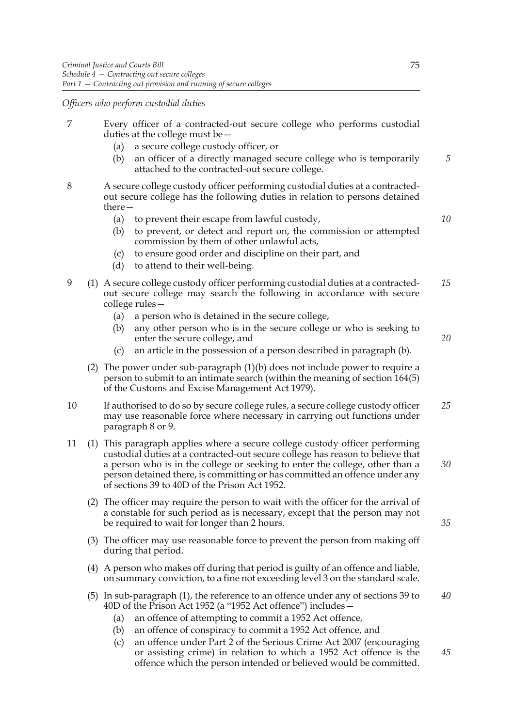*Officers who perform custodial duties*

- 7 Every officer of a contracted-out secure college who performs custodial duties at the college must be— (a) a secure college custody officer, or (b) an officer of a directly managed secure college who is temporarily attached to the contracted-out secure college. 8 A secure college custody officer performing custodial duties at a contractedout secure college has the following duties in relation to persons detained there— (a) to prevent their escape from lawful custody, (b) to prevent, or detect and report on, the commission or attempted commission by them of other unlawful acts, (c) to ensure good order and discipline on their part, and (d) to attend to their well-being. 9 (1) A secure college custody officer performing custodial duties at a contractedout secure college may search the following in accordance with secure college rules— (a) a person who is detained in the secure college, (b) any other person who is in the secure college or who is seeking to enter the secure college, and (c) an article in the possession of a person described in paragraph (b). (2) The power under sub-paragraph (1)(b) does not include power to require a person to submit to an intimate search (within the meaning of section 164(5) of the Customs and Excise Management Act 1979). 10 If authorised to do so by secure college rules, a secure college custody officer may use reasonable force where necessary in carrying out functions under paragraph 8 or 9. 11 (1) This paragraph applies where a secure college custody officer performing custodial duties at a contracted-out secure college has reason to believe that a person who is in the college or seeking to enter the college, other than a person detained there, is committing or has committed an offence under any of sections 39 to 40D of the Prison Act 1952. (2) The officer may require the person to wait with the officer for the arrival of a constable for such period as is necessary, except that the person may not be required to wait for longer than 2 hours. (3) The officer may use reasonable force to prevent the person from making off during that period. (4) A person who makes off during that period is guilty of an offence and liable, on summary conviction, to a fine not exceeding level 3 on the standard scale. (5) In sub-paragraph (1), the reference to an offence under any of sections 39 to *5 10 15 20 25 30 35 40*
	- 40D of the Prison Act 1952 (a "1952 Act offence") includes— (a) an offence of attempting to commit a 1952 Act offence,
		- (b) an offence of conspiracy to commit a 1952 Act offence, and
		- (c) an offence under Part 2 of the Serious Crime Act 2007 (encouraging or assisting crime) in relation to which a 1952 Act offence is the offence which the person intended or believed would be committed. *45*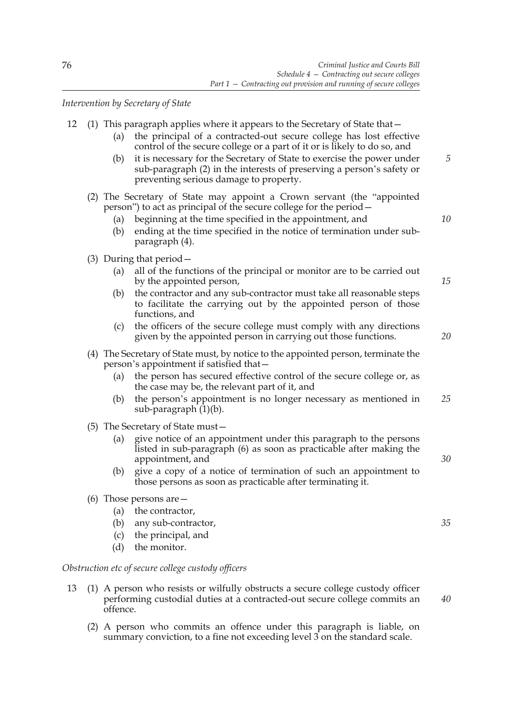*Intervention by Secretary of State*

| 12 | (a)        | (1) This paragraph applies where it appears to the Secretary of State that $-$<br>the principal of a contracted-out secure college has lost effective<br>control of the secure college or a part of it or is likely to do so, and |    |
|----|------------|-----------------------------------------------------------------------------------------------------------------------------------------------------------------------------------------------------------------------------------|----|
|    | (b)        | it is necessary for the Secretary of State to exercise the power under<br>sub-paragraph (2) in the interests of preserving a person's safety or<br>preventing serious damage to property.                                         | 5  |
|    |            | (2) The Secretary of State may appoint a Crown servant (the "appointed                                                                                                                                                            |    |
|    |            | person") to act as principal of the secure college for the period -                                                                                                                                                               |    |
|    | (a)<br>(b) | beginning at the time specified in the appointment, and<br>ending at the time specified in the notice of termination under sub-<br>paragraph (4).                                                                                 | 10 |
|    |            | $(3)$ During that period $-$                                                                                                                                                                                                      |    |
|    | (a)        | all of the functions of the principal or monitor are to be carried out<br>by the appointed person,                                                                                                                                | 15 |
|    | (b)        | the contractor and any sub-contractor must take all reasonable steps<br>to facilitate the carrying out by the appointed person of those<br>functions, and                                                                         |    |
|    | (c)        | the officers of the secure college must comply with any directions<br>given by the appointed person in carrying out those functions.                                                                                              | 20 |
|    |            | (4) The Secretary of State must, by notice to the appointed person, terminate the<br>person's appointment if satisfied that -                                                                                                     |    |
|    | (a)        | the person has secured effective control of the secure college or, as<br>the case may be, the relevant part of it, and                                                                                                            |    |
|    | (b)        | the person's appointment is no longer necessary as mentioned in<br>sub-paragraph $(1)(b)$ .                                                                                                                                       | 25 |
|    |            | (5) The Secretary of State must $-$                                                                                                                                                                                               |    |
|    | (a)        | give notice of an appointment under this paragraph to the persons<br>listed in sub-paragraph (6) as soon as practicable after making the<br>appointment, and                                                                      | 30 |
|    | (b)        | give a copy of a notice of termination of such an appointment to<br>those persons as soon as practicable after terminating it.                                                                                                    |    |
|    |            | (6) Those persons are-                                                                                                                                                                                                            |    |
|    | (a)        | the contractor,                                                                                                                                                                                                                   |    |
|    | (b)        | any sub-contractor,                                                                                                                                                                                                               | 35 |
|    | (c)        | the principal, and                                                                                                                                                                                                                |    |
|    | (d)        | the monitor.                                                                                                                                                                                                                      |    |
|    |            | Obstruction etc of secure college custody officers                                                                                                                                                                                |    |
| 13 | offence.   | (1) A person who resists or wilfully obstructs a secure college custody officer<br>performing custodial duties at a contracted-out secure college commits an                                                                      | 40 |
|    |            | (2) A person who commits an offence under this paragraph is liable, on<br>summary conviction, to a fine not exceeding level 3 on the standard scale.                                                                              |    |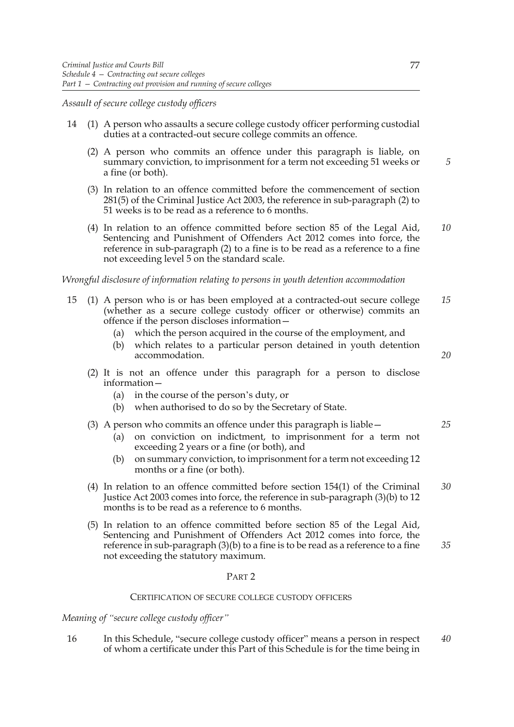*Assault of secure college custody officers*

- 14 (1) A person who assaults a secure college custody officer performing custodial duties at a contracted-out secure college commits an offence.
	- (2) A person who commits an offence under this paragraph is liable, on summary conviction, to imprisonment for a term not exceeding 51 weeks or a fine (or both).
	- (3) In relation to an offence committed before the commencement of section 281(5) of the Criminal Justice Act 2003, the reference in sub-paragraph (2) to 51 weeks is to be read as a reference to 6 months.
	- (4) In relation to an offence committed before section 85 of the Legal Aid, Sentencing and Punishment of Offenders Act 2012 comes into force, the reference in sub-paragraph (2) to a fine is to be read as a reference to a fine not exceeding level 5 on the standard scale. *10*

# *Wrongful disclosure of information relating to persons in youth detention accommodation*

- 15 (1) A person who is or has been employed at a contracted-out secure college (whether as a secure college custody officer or otherwise) commits an offence if the person discloses information— *15*
	- (a) which the person acquired in the course of the employment, and
	- (b) which relates to a particular person detained in youth detention accommodation.
	- (2) It is not an offence under this paragraph for a person to disclose information—
		- (a) in the course of the person's duty, or
		- (b) when authorised to do so by the Secretary of State.

# (3) A person who commits an offence under this paragraph is liable—

- (a) on conviction on indictment, to imprisonment for a term not exceeding 2 years or a fine (or both), and
- (b) on summary conviction, to imprisonment for a term not exceeding 12 months or a fine (or both).
- (4) In relation to an offence committed before section 154(1) of the Criminal Justice Act 2003 comes into force, the reference in sub-paragraph (3)(b) to 12 months is to be read as a reference to 6 months. *30*
- (5) In relation to an offence committed before section 85 of the Legal Aid, Sentencing and Punishment of Offenders Act 2012 comes into force, the reference in sub-paragraph (3)(b) to a fine is to be read as a reference to a fine not exceeding the statutory maximum.

#### PART 2

#### CERTIFICATION OF SECURE COLLEGE CUSTODY OFFICERS

*Meaning of "secure college custody officer"*

16 In this Schedule, "secure college custody officer" means a person in respect of whom a certificate under this Part of this Schedule is for the time being in *40*

*5*

*25*

*20*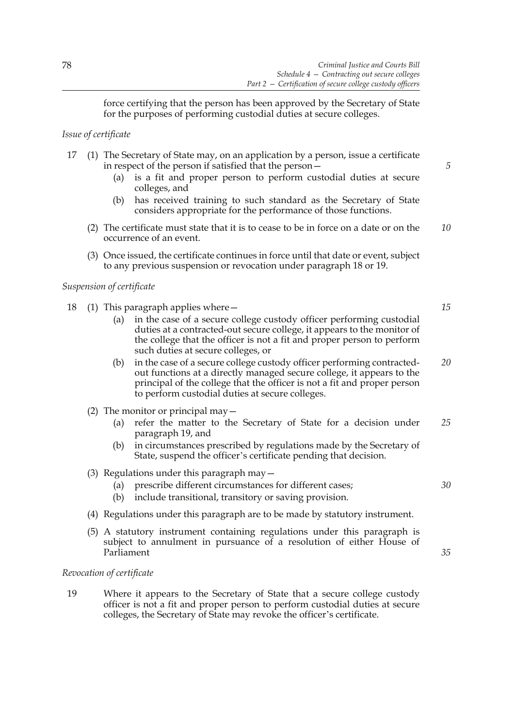force certifying that the person has been approved by the Secretary of State for the purposes of performing custodial duties at secure colleges.

# *Issue of certificate*

- 17 (1) The Secretary of State may, on an application by a person, issue a certificate in respect of the person if satisfied that the person—
	- (a) is a fit and proper person to perform custodial duties at secure colleges, and
	- (b) has received training to such standard as the Secretary of State considers appropriate for the performance of those functions.
	- (2) The certificate must state that it is to cease to be in force on a date or on the occurrence of an event. *10*
	- (3) Once issued, the certificate continues in force until that date or event, subject to any previous suspension or revocation under paragraph 18 or 19.

# *Suspension of certificate*

- 18 (1) This paragraph applies where—
	- (a) in the case of a secure college custody officer performing custodial duties at a contracted-out secure college, it appears to the monitor of the college that the officer is not a fit and proper person to perform such duties at secure colleges, or
	- (b) in the case of a secure college custody officer performing contractedout functions at a directly managed secure college, it appears to the principal of the college that the officer is not a fit and proper person to perform custodial duties at secure colleges. *20*
	- (2) The monitor or principal may—
		- (a) refer the matter to the Secretary of State for a decision under paragraph 19, and *25*
		- (b) in circumstances prescribed by regulations made by the Secretary of State, suspend the officer's certificate pending that decision.
	- (3) Regulations under this paragraph may—
		- (a) prescribe different circumstances for different cases;
		- (b) include transitional, transitory or saving provision.
	- (4) Regulations under this paragraph are to be made by statutory instrument.
	- (5) A statutory instrument containing regulations under this paragraph is subject to annulment in pursuance of a resolution of either House of Parliament

# *Revocation of certificate*

19 Where it appears to the Secretary of State that a secure college custody officer is not a fit and proper person to perform custodial duties at secure colleges, the Secretary of State may revoke the officer's certificate.

*5*

*15*

*30*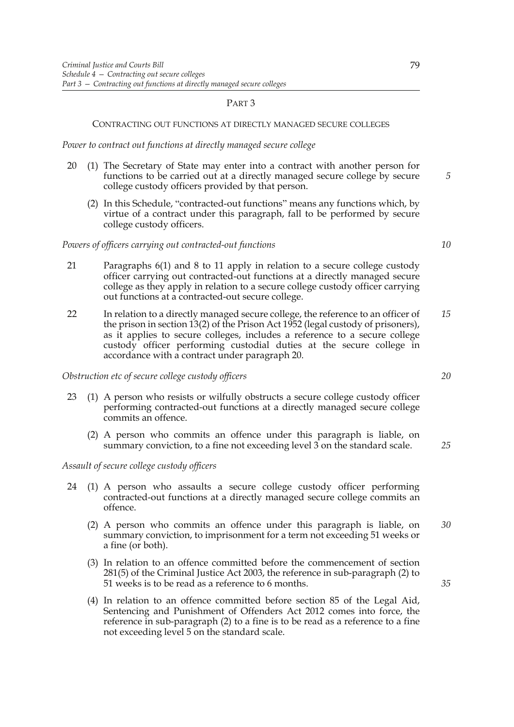### PART 3

## CONTRACTING OUT FUNCTIONS AT DIRECTLY MANAGED SECURE COLLEGES

### *Power to contract out functions at directly managed secure college*

- 20 (1) The Secretary of State may enter into a contract with another person for functions to be carried out at a directly managed secure college by secure college custody officers provided by that person.
	- (2) In this Schedule, "contracted-out functions" means any functions which, by virtue of a contract under this paragraph, fall to be performed by secure college custody officers.

# *Powers of officers carrying out contracted-out functions*

- 21 Paragraphs 6(1) and 8 to 11 apply in relation to a secure college custody officer carrying out contracted-out functions at a directly managed secure college as they apply in relation to a secure college custody officer carrying out functions at a contracted-out secure college.
- 22 In relation to a directly managed secure college, the reference to an officer of the prison in section 13(2) of the Prison Act 1952 (legal custody of prisoners), as it applies to secure colleges, includes a reference to a secure college custody officer performing custodial duties at the secure college in accordance with a contract under paragraph 20. *15*

# *Obstruction etc of secure college custody officers*

- 23 (1) A person who resists or wilfully obstructs a secure college custody officer performing contracted-out functions at a directly managed secure college commits an offence.
	- (2) A person who commits an offence under this paragraph is liable, on summary conviction, to a fine not exceeding level 3 on the standard scale.

### *Assault of secure college custody officers*

- 24 (1) A person who assaults a secure college custody officer performing contracted-out functions at a directly managed secure college commits an offence.
	- (2) A person who commits an offence under this paragraph is liable, on summary conviction, to imprisonment for a term not exceeding 51 weeks or a fine (or both). *30*
	- (3) In relation to an offence committed before the commencement of section 281(5) of the Criminal Justice Act 2003, the reference in sub-paragraph (2) to 51 weeks is to be read as a reference to 6 months.
	- (4) In relation to an offence committed before section 85 of the Legal Aid, Sentencing and Punishment of Offenders Act 2012 comes into force, the reference in sub-paragraph (2) to a fine is to be read as a reference to a fine not exceeding level 5 on the standard scale.

*20*

*5*

*10*

*25*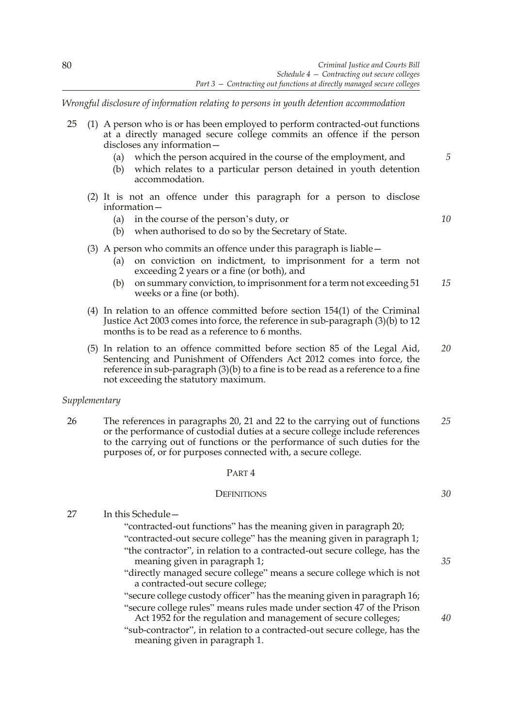*Wrongful disclosure of information relating to persons in youth detention accommodation*

| 25 (1) A person who is or has been employed to perform contracted-out functions |
|---------------------------------------------------------------------------------|
| at a directly managed secure college commits an offence if the person           |
| discloses any information-                                                      |

- (a) which the person acquired in the course of the employment, and
- (b) which relates to a particular person detained in youth detention accommodation.
- (2) It is not an offence under this paragraph for a person to disclose information—
	- (a) in the course of the person's duty, or

*10*

*5*

- (b) when authorised to do so by the Secretary of State.
- (3) A person who commits an offence under this paragraph is liable—
	- (a) on conviction on indictment, to imprisonment for a term not exceeding 2 years or a fine (or both), and
	- (b) on summary conviction, to imprisonment for a term not exceeding 51 weeks or a fine (or both). *15*
- (4) In relation to an offence committed before section 154(1) of the Criminal Justice Act 2003 comes into force, the reference in sub-paragraph (3)(b) to 12 months is to be read as a reference to 6 months.
- (5) In relation to an offence committed before section 85 of the Legal Aid, Sentencing and Punishment of Offenders Act 2012 comes into force, the reference in sub-paragraph (3)(b) to a fine is to be read as a reference to a fine not exceeding the statutory maximum. *20*

# *Supplementary*

26 The references in paragraphs 20, 21 and 22 to the carrying out of functions or the performance of custodial duties at a secure college include references to the carrying out of functions or the performance of such duties for the purposes of, or for purposes connected with, a secure college. *25*

# PART 4

#### **DEFINITIONS**

27 In this Schedule— "contracted-out functions" has the meaning given in paragraph 20;

- "contracted-out secure college" has the meaning given in paragraph 1; "the contractor", in relation to a contracted-out secure college, has the meaning given in paragraph 1;
- "directly managed secure college" means a secure college which is not a contracted-out secure college;
- "secure college custody officer" has the meaning given in paragraph 16; "secure college rules" means rules made under section 47 of the Prison
- Act 1952 for the regulation and management of secure colleges;
- "sub-contractor", in relation to a contracted-out secure college, has the meaning given in paragraph 1.

*30*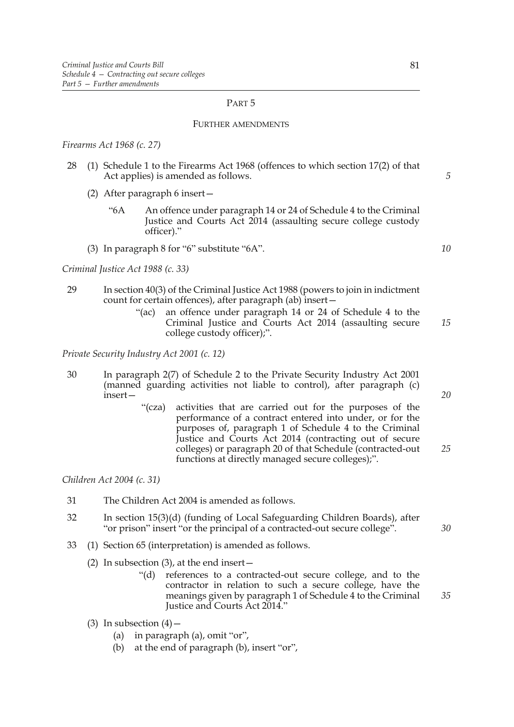# PART 5

#### FURTHER AMENDMENTS

*Firearms Act 1968 (c. 27)*

- 28 (1) Schedule 1 to the Firearms Act 1968 (offences to which section 17(2) of that Act applies) is amended as follows.
	- (2) After paragraph 6 insert—
		- "6A An offence under paragraph 14 or 24 of Schedule 4 to the Criminal Justice and Courts Act 2014 (assaulting secure college custody officer)."
	- (3) In paragraph 8 for "6" substitute "6A".

*Criminal Justice Act 1988 (c. 33)*

- 29 In section 40(3) of the Criminal Justice Act 1988 (powers to join in indictment count for certain offences), after paragraph (ab) insert—
	- "(ac) an offence under paragraph 14 or 24 of Schedule 4 to the Criminal Justice and Courts Act 2014 (assaulting secure college custody officer);". *15*

*Private Security Industry Act 2001 (c. 12)*

- 30 In paragraph 2(7) of Schedule 2 to the Private Security Industry Act 2001 (manned guarding activities not liable to control), after paragraph (c) insert—
	- "(cza) activities that are carried out for the purposes of the performance of a contract entered into under, or for the purposes of, paragraph 1 of Schedule 4 to the Criminal Justice and Courts Act 2014 (contracting out of secure colleges) or paragraph 20 of that Schedule (contracted-out functions at directly managed secure colleges);".

*Children Act 2004 (c. 31)*

- 31 The Children Act 2004 is amended as follows.
- 32 In section 15(3)(d) (funding of Local Safeguarding Children Boards), after "or prison" insert "or the principal of a contracted-out secure college".
- 33 (1) Section 65 (interpretation) is amended as follows.
	- (2) In subsection  $(3)$ , at the end insert
		- "(d) references to a contracted-out secure college, and to the contractor in relation to such a secure college, have the meanings given by paragraph 1 of Schedule 4 to the Criminal Justice and Courts Act 2014."
	- (3) In subsection  $(4)$ 
		- (a) in paragraph (a), omit "or",
		- (b) at the end of paragraph (b), insert "or",

*5*

*10*

*20*

*25*

*30*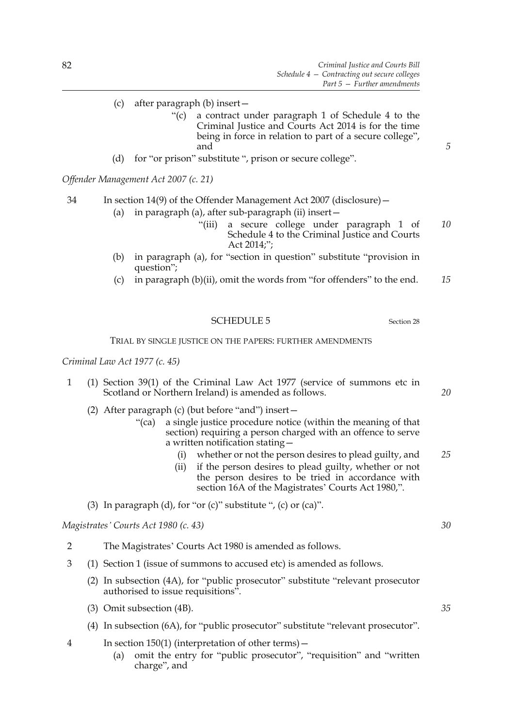- (c) after paragraph (b) insert—
	- "(c) a contract under paragraph 1 of Schedule 4 to the Criminal Justice and Courts Act 2014 is for the time being in force in relation to part of a secure college", and
- (d) for "or prison" substitute ", prison or secure college".

*Offender Management Act 2007 (c. 21)* 

34 In section 14(9) of the Offender Management Act 2007 (disclosure)—

- (a) in paragraph (a), after sub-paragraph (ii) insert—
	- "(iii) a secure college under paragraph 1 of Schedule 4 to the Criminal Justice and Courts Act 2014;"; *10*
- (b) in paragraph (a), for "section in question" substitute "provision in question";
- (c) in paragraph (b)(ii), omit the words from "for offenders" to the end. *15*

# SCHEDULE 5 Section 28

TRIAL BY SINGLE JUSTICE ON THE PAPERS: FURTHER AMENDMENTS

*Criminal Law Act 1977 (c. 45)*

- 1 (1) Section 39(1) of the Criminal Law Act 1977 (service of summons etc in Scotland or Northern Ireland) is amended as follows.
	- (2) After paragraph (c) (but before "and") insert—
		- "(ca) a single justice procedure notice (within the meaning of that section) requiring a person charged with an offence to serve a written notification stating—
			- (i) whether or not the person desires to plead guilty, and *25*
			- (ii) if the person desires to plead guilty, whether or not the person desires to be tried in accordance with section 16A of the Magistrates' Courts Act 1980,".
	- (3) In paragraph (d), for "or  $(c)$ " substitute ",  $(c)$  or  $(ca)$ ".

*Magistrates' Courts Act 1980 (c. 43)*

- 2 The Magistrates' Courts Act 1980 is amended as follows.
- 3 (1) Section 1 (issue of summons to accused etc) is amended as follows.
	- (2) In subsection (4A), for "public prosecutor" substitute "relevant prosecutor authorised to issue requisitions".
	- (3) Omit subsection (4B).
	- (4) In subsection (6A), for "public prosecutor" substitute "relevant prosecutor".
- 4 In section 150(1) (interpretation of other terms)—
	- (a) omit the entry for "public prosecutor", "requisition" and "written charge", and

*30*

*35*

*20*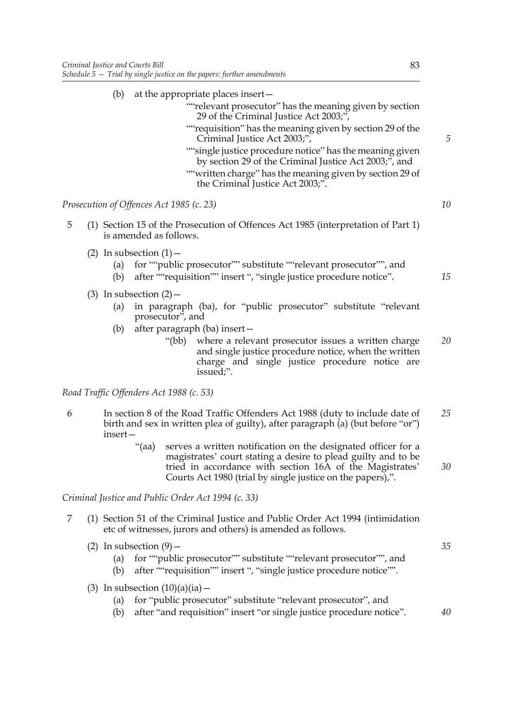- (b) at the appropriate places insert— ""relevant prosecutor" has the meaning given by section 29 of the Criminal Justice Act 2003;", ""requisition" has the meaning given by section 29 of the Criminal Justice Act 2003;", ""single justice procedure notice" has the meaning given by section 29 of the Criminal Justice Act 2003;", and ""written charge" has the meaning given by section 29 of the Criminal Justice Act 2003;". *Prosecution of Offences Act 1985 (c. 23)*
- 5 (1) Section 15 of the Prosecution of Offences Act 1985 (interpretation of Part 1) is amended as follows.
	- (2) In subsection  $(1)$  -
		- (a) for ""public prosecutor"" substitute ""relevant prosecutor"", and
		- (b) after ""requisition"" insert ", "single justice procedure notice".
	- (3) In subsection  $(2)$ 
		- (a) in paragraph (ba), for "public prosecutor" substitute "relevant prosecutor", and
		- (b) after paragraph (ba) insert—
			- "(bb) where a relevant prosecutor issues a written charge and single justice procedure notice, when the written charge and single justice procedure notice are issued;". *20*

*Road Traffic Offenders Act 1988 (c. 53)*

- 6 In section 8 of the Road Traffic Offenders Act 1988 (duty to include date of birth and sex in written plea of guilty), after paragraph (a) (but before "or") insert— *25*
	- "(aa) serves a written notification on the designated officer for a magistrates' court stating a desire to plead guilty and to be tried in accordance with section 16A of the Magistrates' Courts Act 1980 (trial by single justice on the papers),".

*Criminal Justice and Public Order Act 1994 (c. 33)*

- 7 (1) Section 51 of the Criminal Justice and Public Order Act 1994 (intimidation etc of witnesses, jurors and others) is amended as follows.
	- (2) In subsection  $(9)$ 
		- (a) for ""public prosecutor"" substitute ""relevant prosecutor"", and
		- (b) after ""requisition"" insert ", "single justice procedure notice"".
	- (3) In subsection  $(10)(a)(ia)$ 
		- (a) for "public prosecutor" substitute "relevant prosecutor", and
		- (b) after "and requisition" insert "or single justice procedure notice". *40*

*10*

*5*

*15*

*30*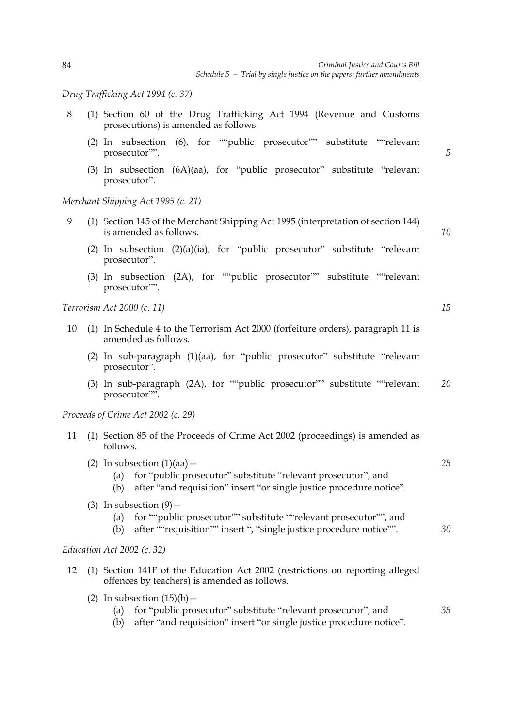*Drug Trafficking Act 1994 (c. 37)*

84

- 8 (1) Section 60 of the Drug Trafficking Act 1994 (Revenue and Customs prosecutions) is amended as follows.
	- (2) In subsection (6), for ""public prosecutor"" substitute ""relevant prosecutor"".
	- (3) In subsection (6A)(aa), for "public prosecutor" substitute "relevant prosecutor".

*Merchant Shipping Act 1995 (c. 21)*

- 9 (1) Section 145 of the Merchant Shipping Act 1995 (interpretation of section 144) is amended as follows.
	- (2) In subsection  $(2)(a)(ia)$ , for "public prosecutor" substitute "relevant prosecutor".
	- (3) In subsection (2A), for ""public prosecutor"" substitute ""relevant prosecutor"".

*Terrorism Act 2000 (c. 11)*

- 10 (1) In Schedule 4 to the Terrorism Act 2000 (forfeiture orders), paragraph 11 is amended as follows.
	- (2) In sub-paragraph (1)(aa), for "public prosecutor" substitute "relevant prosecutor".
	- (3) In sub-paragraph (2A), for ""public prosecutor"" substitute ""relevant prosecutor"". *20*

*Proceeds of Crime Act 2002 (c. 29)*

| 11 | follows.   | (1) Section 85 of the Proceeds of Crime Act 2002 (proceedings) is amended as                                                                                                |    |
|----|------------|-----------------------------------------------------------------------------------------------------------------------------------------------------------------------------|----|
|    | (a)<br>(b) | (2) In subsection $(1)(aa)$ –<br>for "public prosecutor" substitute "relevant prosecutor", and<br>after "and requisition" insert "or single justice procedure notice".      | 25 |
|    | (b)        | $(3)$ In subsection $(9)$ –<br>(a) for ""public prosecutor"" substitute ""relevant prosecutor"", and<br>after ""requisition"" insert ", "single justice procedure notice"". | 30 |
|    |            | <i>Education Act 2002 (c. 32)</i>                                                                                                                                           |    |
| 12 |            | (1) Section 141F of the Education Act 2002 (restrictions on reporting alleged<br>offences by teachers) is amended as follows.                                               |    |
|    | (b)        | (2) In subsection $(15)(b)$ –<br>(a) for "public prosecutor" substitute "relevant prosecutor", and<br>after "and requisition" insert "or single justice procedure notice".  | 35 |

*10*

*5*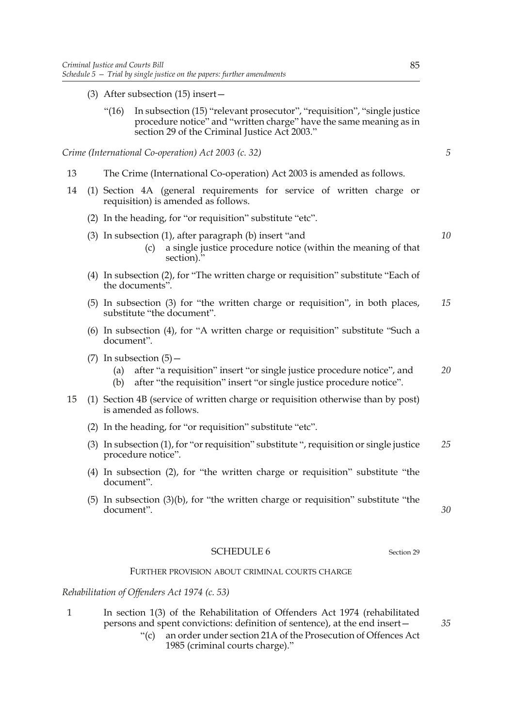- (3) After subsection (15) insert—
	- "(16) In subsection (15) "relevant prosecutor", "requisition", "single justice procedure notice" and "written charge" have the same meaning as in section 29 of the Criminal Justice Act 2003."

*Crime (International Co-operation) Act 2003 (c. 32)*

- 13 The Crime (International Co-operation) Act 2003 is amended as follows.
- 14 (1) Section 4A (general requirements for service of written charge or requisition) is amended as follows.
	- (2) In the heading, for "or requisition" substitute "etc".

(3) In subsection (1), after paragraph (b) insert "and

- (c) a single justice procedure notice (within the meaning of that section)."
- (4) In subsection (2), for "The written charge or requisition" substitute "Each of the documents".
- (5) In subsection (3) for "the written charge or requisition", in both places, substitute "the document". *15*
- (6) In subsection (4), for "A written charge or requisition" substitute "Such a document".
- $(7)$  In subsection  $(5)$ 
	- (a) after "a requisition" insert "or single justice procedure notice", and *20*
	- (b) after "the requisition" insert "or single justice procedure notice".
- 15 (1) Section 4B (service of written charge or requisition otherwise than by post) is amended as follows.
	- (2) In the heading, for "or requisition" substitute "etc".
	- (3) In subsection (1), for "or requisition" substitute ", requisition or single justice procedure notice". *25*
	- (4) In subsection (2), for "the written charge or requisition" substitute "the document".
	- (5) In subsection (3)(b), for "the written charge or requisition" substitute "the document".

SCHEDULE 6 Section 29

# FURTHER PROVISION ABOUT CRIMINAL COURTS CHARGE

*Rehabilitation of Offenders Act 1974 (c. 53)*

- 1 In section 1(3) of the Rehabilitation of Offenders Act 1974 (rehabilitated persons and spent convictions: definition of sentence), at the end insert—
	- "(c) an order under section 21A of the Prosecution of Offences Act 1985 (criminal courts charge)."

*5*

*10*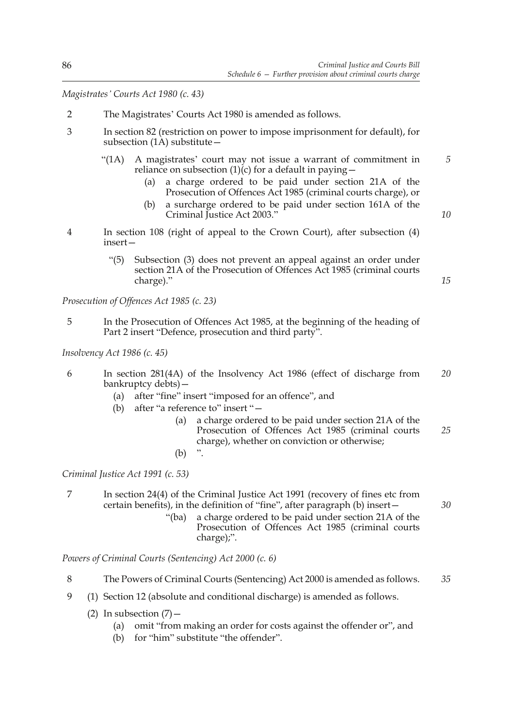*Magistrates' Courts Act 1980 (c. 43)*

- 2 The Magistrates' Courts Act 1980 is amended as follows.
- 3 In section 82 (restriction on power to impose imprisonment for default), for subsection (1A) substitute—
	- "(1A) A magistrates' court may not issue a warrant of commitment in reliance on subsection  $(1)(c)$  for a default in paying — *5*
		- (a) a charge ordered to be paid under section 21A of the Prosecution of Offences Act 1985 (criminal courts charge), or
		- (b) a surcharge ordered to be paid under section 161A of the Criminal Justice Act 2003."
- 4 In section 108 (right of appeal to the Crown Court), after subsection (4) insert—
	- "(5) Subsection (3) does not prevent an appeal against an order under section 21A of the Prosecution of Offences Act 1985 (criminal courts charge)."

*Prosecution of Offences Act 1985 (c. 23)*

5 In the Prosecution of Offences Act 1985, at the beginning of the heading of Part 2 insert "Defence, prosecution and third party".

*Insolvency Act 1986 (c. 45)*

- 6 In section 281(4A) of the Insolvency Act 1986 (effect of discharge from bankruptcy debts)— *20*
	- (a) after "fine" insert "imposed for an offence", and
	- (b) after "a reference to" insert "—
		- (a) a charge ordered to be paid under section 21A of the Prosecution of Offences Act 1985 (criminal courts charge), whether on conviction or otherwise; *25*
		- $(b)$  ".

*Criminal Justice Act 1991 (c. 53)*

7 In section 24(4) of the Criminal Justice Act 1991 (recovery of fines etc from certain benefits), in the definition of "fine", after paragraph (b) insert—

"(ba) a charge ordered to be paid under section 21A of the Prosecution of Offences Act 1985 (criminal courts charge);".

*Powers of Criminal Courts (Sentencing) Act 2000 (c. 6)*

- 8 The Powers of Criminal Courts (Sentencing) Act 2000 is amended as follows. *35*
- 9 (1) Section 12 (absolute and conditional discharge) is amended as follows.
	- (2) In subsection  $(7)$ 
		- (a) omit "from making an order for costs against the offender or", and
		- (b) for "him" substitute "the offender".

*10*

*15*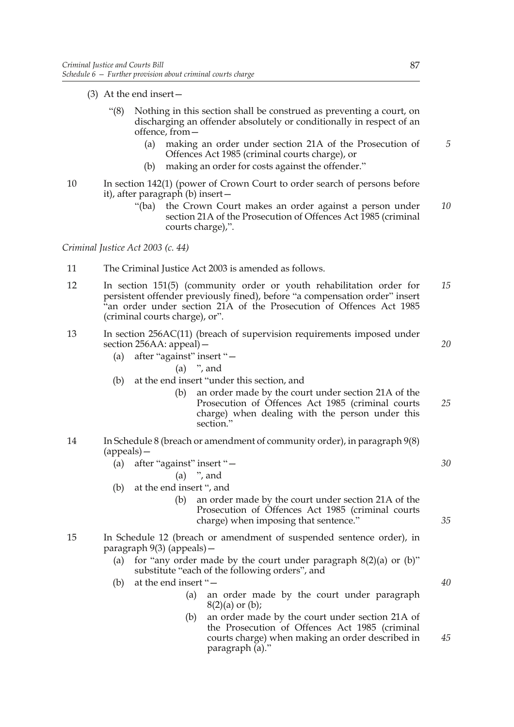- (3) At the end insert—
	- "(8) Nothing in this section shall be construed as preventing a court, on discharging an offender absolutely or conditionally in respect of an offence, from—
		- (a) making an order under section 21A of the Prosecution of Offences Act 1985 (criminal courts charge), or
		- (b) making an order for costs against the offender."
- 10 In section 142(1) (power of Crown Court to order search of persons before it), after paragraph (b) insert—
	- "(ba) the Crown Court makes an order against a person under section 21A of the Prosecution of Offences Act 1985 (criminal courts charge),". *10*

*Criminal Justice Act 2003 (c. 44)*

- 11 The Criminal Justice Act 2003 is amended as follows.
- 12 In section 151(5) (community order or youth rehabilitation order for persistent offender previously fined), before "a compensation order" insert "an order under section 21A of the Prosecution of Offences Act 1985 (criminal courts charge), or". *15*
- 13 In section 256AC(11) (breach of supervision requirements imposed under section 256AA: appeal)— *20*
	- (a) after "against" insert "—
		- (a) ", and
	- (b) at the end insert "under this section, and
		- (b) an order made by the court under section 21A of the Prosecution of Offences Act 1985 (criminal courts charge) when dealing with the person under this section." *25*
- 14 In Schedule 8 (breach or amendment of community order), in paragraph 9(8) (appeals)—
	- (a) after "against" insert "—
		- (a) ", and
	- (b) at the end insert ", and
		- (b) an order made by the court under section 21A of the Prosecution of Offences Act 1985 (criminal courts charge) when imposing that sentence."
- 15 In Schedule 12 (breach or amendment of suspended sentence order), in paragraph 9(3) (appeals)—
	- (a) for "any order made by the court under paragraph  $8(2)(a)$  or  $(b)$ " substitute "each of the following orders", and
	- (b) at the end insert "—
		- (a) an order made by the court under paragraph  $8(2)(a)$  or  $(b)$ ;
		- (b) an order made by the court under section 21A of the Prosecution of Offences Act 1985 (criminal courts charge) when making an order described in paragraph (a)."

*5*

*30*

*35*

*40*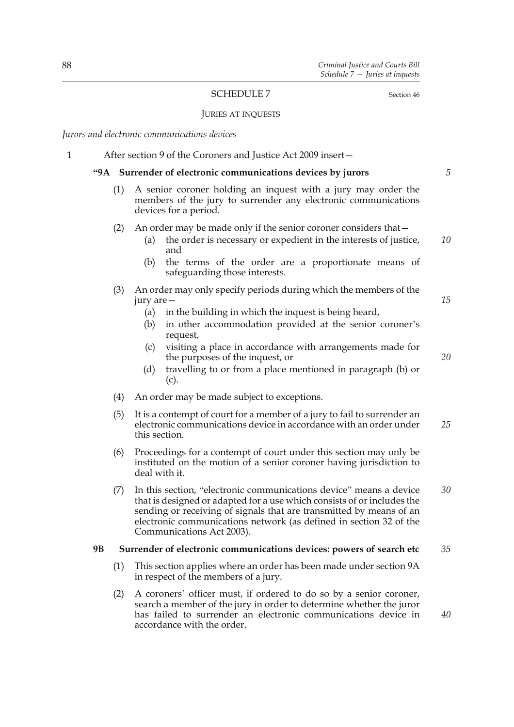### SCHEDULE 7 Section 46

*5*

*15*

*20*

*40*

#### JURIES AT INQUESTS

*Jurors and electronic communications devices*

1 After section 9 of the Coroners and Justice Act 2009 insert—

# **"9A Surrender of electronic communications devices by jurors**

- (1) A senior coroner holding an inquest with a jury may order the members of the jury to surrender any electronic communications devices for a period.
- (2) An order may be made only if the senior coroner considers that
	- the order is necessary or expedient in the interests of justice, and *10*
	- (b) the terms of the order are a proportionate means of safeguarding those interests.
- (3) An order may only specify periods during which the members of the jury are—
	- (a) in the building in which the inquest is being heard,
	- (b) in other accommodation provided at the senior coroner's request,
	- (c) visiting a place in accordance with arrangements made for the purposes of the inquest, or
	- (d) travelling to or from a place mentioned in paragraph (b) or (c).
- (4) An order may be made subject to exceptions.
- (5) It is a contempt of court for a member of a jury to fail to surrender an electronic communications device in accordance with an order under this section. *25*
- (6) Proceedings for a contempt of court under this section may only be instituted on the motion of a senior coroner having jurisdiction to deal with it.
- (7) In this section, "electronic communications device" means a device that is designed or adapted for a use which consists of or includes the sending or receiving of signals that are transmitted by means of an electronic communications network (as defined in section 32 of the Communications Act 2003). *30*

#### **9B Surrender of electronic communications devices: powers of search etc** *35*

- (1) This section applies where an order has been made under section 9A in respect of the members of a jury.
- (2) A coroners' officer must, if ordered to do so by a senior coroner, search a member of the jury in order to determine whether the juror has failed to surrender an electronic communications device in accordance with the order.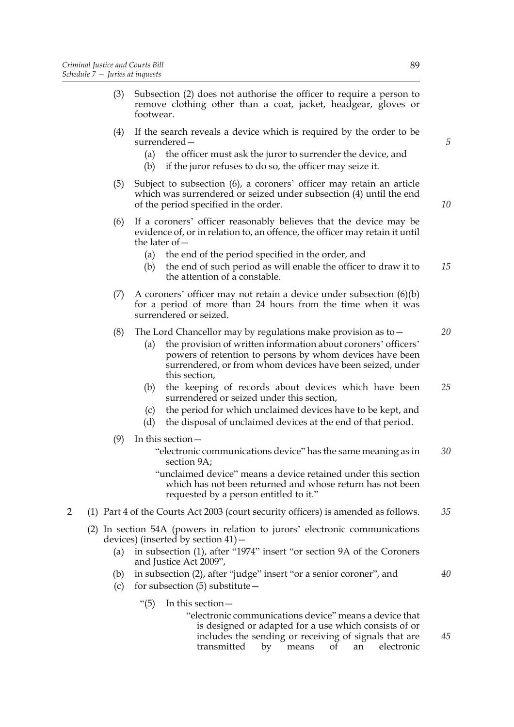- (3) Subsection (2) does not authorise the officer to require a person to remove clothing other than a coat, jacket, headgear, gloves or footwear.
- (4) If the search reveals a device which is required by the order to be surrendered—
	- (a) the officer must ask the juror to surrender the device, and
	- (b) if the juror refuses to do so, the officer may seize it.
- (5) Subject to subsection (6), a coroners' officer may retain an article which was surrendered or seized under subsection (4) until the end of the period specified in the order.
- (6) If a coroners' officer reasonably believes that the device may be evidence of, or in relation to, an offence, the officer may retain it until the later of—
	- (a) the end of the period specified in the order, and
	- (b) the end of such period as will enable the officer to draw it to the attention of a constable. *15*
- (7) A coroners' officer may not retain a device under subsection (6)(b) for a period of more than 24 hours from the time when it was surrendered or seized.
- (8) The Lord Chancellor may by regulations make provision as to  $-$ 
	- (a) the provision of written information about coroners' officers' powers of retention to persons by whom devices have been surrendered, or from whom devices have been seized, under this section,
	- (b) the keeping of records about devices which have been surrendered or seized under this section, *25*
	- (c) the period for which unclaimed devices have to be kept, and
	- (d) the disposal of unclaimed devices at the end of that period.
- (9) In this section—
	- "electronic communications device" has the same meaning as in section 9A; *30*
	- "unclaimed device" means a device retained under this section which has not been returned and whose return has not been requested by a person entitled to it."
- 2 (1) Part 4 of the Courts Act 2003 (court security officers) is amended as follows. *35*
	- (2) In section 54A (powers in relation to jurors' electronic communications devices) (inserted by section 41)—
		- (a) in subsection (1), after "1974" insert "or section 9A of the Coroners and Justice Act 2009",
		- (b) in subsection (2), after "judge" insert "or a senior coroner", and
		- (c) for subsection  $(5)$  substitute
			- "(5) In this section—
				- "electronic communications device" means a device that is designed or adapted for a use which consists of or includes the sending or receiving of signals that are transmitted by means of an electronic

*45*

*40*

*5*

*10*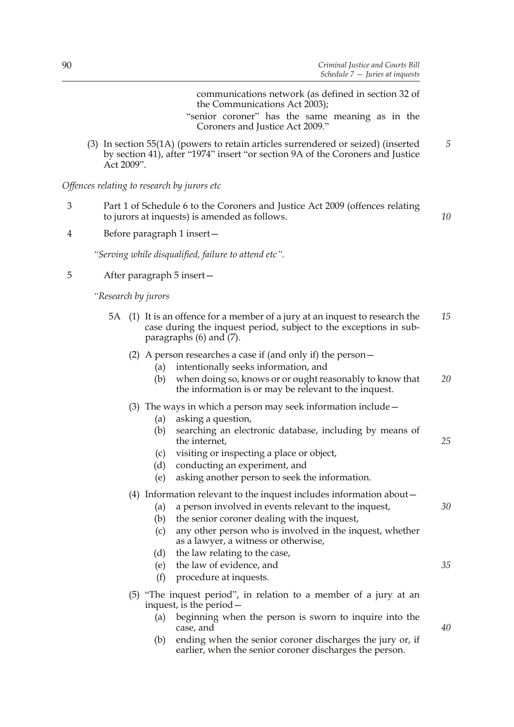communications network (as defined in section 32 of the Communications Act 2003);

"senior coroner" has the same meaning as in the Coroners and Justice Act 2009."

(3) In section 55(1A) (powers to retain articles surrendered or seized) (inserted by section 41), after "1974" insert "or section 9A of the Coroners and Justice Act 2009".

*Offences relating to research by jurors etc*

3 Part 1 of Schedule 6 to the Coroners and Justice Act 2009 (offences relating to jurors at inquests) is amended as follows.

*10*

*5*

4 Before paragraph 1 insert—

*"Serving while disqualified, failure to attend etc".*

5 After paragraph 5 insert—

*"Research by jurors*

- 5A (1) It is an offence for a member of a jury at an inquest to research the case during the inquest period, subject to the exceptions in subparagraphs  $(6)$  and  $(7)$ . *15*
	- (2) A person researches a case if (and only if) the person—
		- (a) intentionally seeks information, and
		- (b) when doing so, knows or or ought reasonably to know that the information is or may be relevant to the inquest. *20*

# (3) The ways in which a person may seek information include—

(a) asking a question, (b) searching an electronic database, including by means of the internet, (c) visiting or inspecting a place or object, (d) conducting an experiment, and (e) asking another person to seek the information. *25*

# (4) Information relevant to the inquest includes information about—

- (a) a person involved in events relevant to the inquest,
- (b) the senior coroner dealing with the inquest,
- (c) any other person who is involved in the inquest, whether as a lawyer, a witness or otherwise,
- (d) the law relating to the case,
- (e) the law of evidence, and
- (f) procedure at inquests.
- (5) "The inquest period", in relation to a member of a jury at an inquest, is the period—
	- (a) beginning when the person is sworn to inquire into the case, and
	- (b) ending when the senior coroner discharges the jury or, if earlier, when the senior coroner discharges the person.

*40*

*30*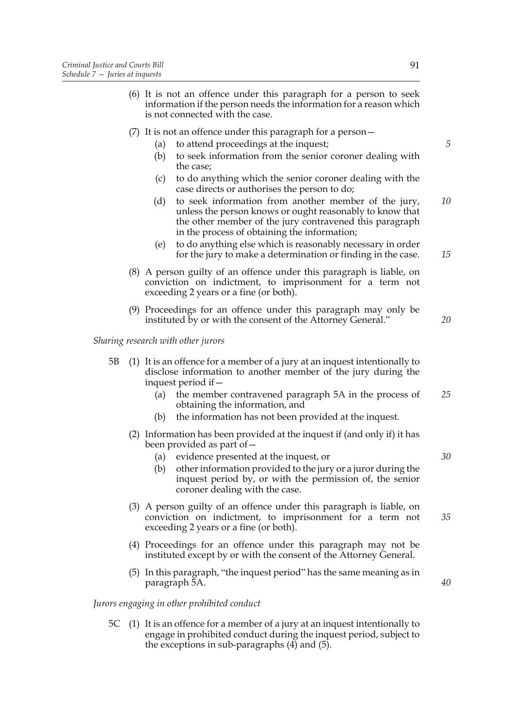- (6) It is not an offence under this paragraph for a person to seek information if the person needs the information for a reason which is not connected with the case.
- (7) It is not an offence under this paragraph for a person—
	- (a) to attend proceedings at the inquest;
	- (b) to seek information from the senior coroner dealing with the case;
	- (c) to do anything which the senior coroner dealing with the case directs or authorises the person to do;
	- (d) to seek information from another member of the jury, unless the person knows or ought reasonably to know that the other member of the jury contravened this paragraph in the process of obtaining the information; *10*
	- (e) to do anything else which is reasonably necessary in order for the jury to make a determination or finding in the case.
- (8) A person guilty of an offence under this paragraph is liable, on conviction on indictment, to imprisonment for a term not exceeding 2 years or a fine (or both).
- (9) Proceedings for an offence under this paragraph may only be instituted by or with the consent of the Attorney General."

*Sharing research with other jurors*

- 5B (1) It is an offence for a member of a jury at an inquest intentionally to disclose information to another member of the jury during the inquest period if—
	- (a) the member contravened paragraph 5A in the process of obtaining the information, and *25*
	- (b) the information has not been provided at the inquest.
	- (2) Information has been provided at the inquest if (and only if) it has been provided as part of—
		- (a) evidence presented at the inquest, or
		- (b) other information provided to the jury or a juror during the inquest period by, or with the permission of, the senior coroner dealing with the case.
	- (3) A person guilty of an offence under this paragraph is liable, on conviction on indictment, to imprisonment for a term not exceeding 2 years or a fine (or both).
	- (4) Proceedings for an offence under this paragraph may not be instituted except by or with the consent of the Attorney General.
	- (5) In this paragraph, "the inquest period" has the same meaning as in paragraph 5A.

*Jurors engaging in other prohibited conduct*

5C (1) It is an offence for a member of a jury at an inquest intentionally to engage in prohibited conduct during the inquest period, subject to the exceptions in sub-paragraphs  $(4)$  and  $(5)$ .

*40*

*30*

*35*

*15*

*20*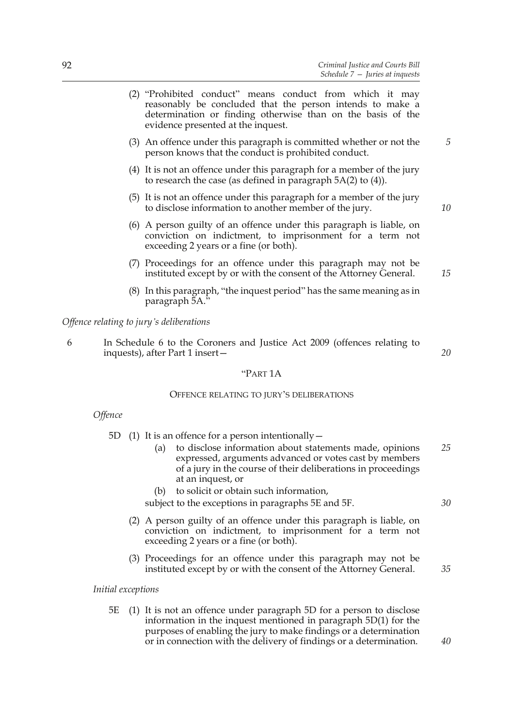- (2) "Prohibited conduct" means conduct from which it may reasonably be concluded that the person intends to make a determination or finding otherwise than on the basis of the evidence presented at the inquest.
- (3) An offence under this paragraph is committed whether or not the person knows that the conduct is prohibited conduct.
- (4) It is not an offence under this paragraph for a member of the jury to research the case (as defined in paragraph 5A(2) to (4)).
- (5) It is not an offence under this paragraph for a member of the jury to disclose information to another member of the jury.
- (6) A person guilty of an offence under this paragraph is liable, on conviction on indictment, to imprisonment for a term not exceeding 2 years or a fine (or both).
- (7) Proceedings for an offence under this paragraph may not be instituted except by or with the consent of the Attorney General.
- (8) In this paragraph, "the inquest period" has the same meaning as in paragraph 5A."

# *Offence relating to jury's deliberations*

6 In Schedule 6 to the Coroners and Justice Act 2009 (offences relating to inquests), after Part 1 insert—

#### "PART 1A

#### OFFENCE RELATING TO JURY'S DELIBERATIONS

### *Offence*

- 5D (1) It is an offence for a person intentionally—
	- (a) to disclose information about statements made, opinions expressed, arguments advanced or votes cast by members of a jury in the course of their deliberations in proceedings at an inquest, or *25*
	- (b) to solicit or obtain such information,

subject to the exceptions in paragraphs 5E and 5F.

- (2) A person guilty of an offence under this paragraph is liable, on conviction on indictment, to imprisonment for a term not exceeding 2 years or a fine (or both).
- (3) Proceedings for an offence under this paragraph may not be instituted except by or with the consent of the Attorney General.

#### *Initial exceptions*

5E (1) It is not an offence under paragraph 5D for a person to disclose information in the inquest mentioned in paragraph 5D(1) for the purposes of enabling the jury to make findings or a determination or in connection with the delivery of findings or a determination.

*40*

*30*

*35*

*10*

*15*

*5*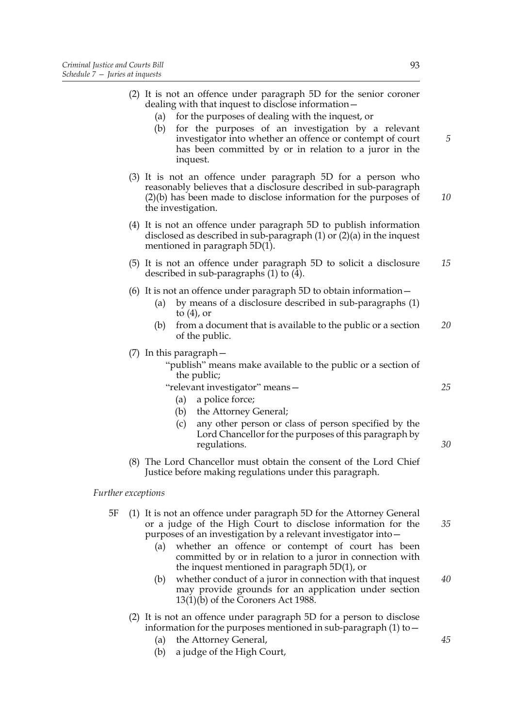|                    | (2) It is not an offence under paragraph 5D for the senior coroner<br>dealing with that inquest to disclose information -                                                                                                                                                                                                                                                        |    |
|--------------------|----------------------------------------------------------------------------------------------------------------------------------------------------------------------------------------------------------------------------------------------------------------------------------------------------------------------------------------------------------------------------------|----|
|                    | for the purposes of dealing with the inquest, or<br>(a)                                                                                                                                                                                                                                                                                                                          |    |
|                    | for the purposes of an investigation by a relevant<br>(b)<br>investigator into whether an offence or contempt of court<br>has been committed by or in relation to a juror in the<br>inquest.                                                                                                                                                                                     | 5  |
|                    | (3) It is not an offence under paragraph 5D for a person who<br>reasonably believes that a disclosure described in sub-paragraph<br>$(2)(b)$ has been made to disclose information for the purposes of<br>the investigation.                                                                                                                                                     | 10 |
|                    | (4) It is not an offence under paragraph 5D to publish information<br>disclosed as described in sub-paragraph $(1)$ or $(2)(a)$ in the inquest<br>mentioned in paragraph $5D(1)$ .                                                                                                                                                                                               |    |
|                    | (5) It is not an offence under paragraph 5D to solicit a disclosure<br>described in sub-paragraphs $(1)$ to $(4)$ .                                                                                                                                                                                                                                                              | 15 |
|                    | (6) It is not an offence under paragraph 5D to obtain information -<br>by means of a disclosure described in sub-paragraphs (1)<br>(a)<br>to $(4)$ , or                                                                                                                                                                                                                          |    |
|                    | (b)<br>from a document that is available to the public or a section<br>of the public.                                                                                                                                                                                                                                                                                            | 20 |
|                    | $(7)$ In this paragraph $-$<br>"publish" means make available to the public or a section of<br>the public;                                                                                                                                                                                                                                                                       |    |
|                    | "relevant investigator" means-                                                                                                                                                                                                                                                                                                                                                   | 25 |
|                    | (a) a police force;                                                                                                                                                                                                                                                                                                                                                              |    |
|                    | the Attorney General;<br>(b)                                                                                                                                                                                                                                                                                                                                                     |    |
|                    | any other person or class of person specified by the<br>(c)<br>Lord Chancellor for the purposes of this paragraph by<br>regulations.                                                                                                                                                                                                                                             | 30 |
|                    | (8) The Lord Chancellor must obtain the consent of the Lord Chief<br>Justice before making regulations under this paragraph.                                                                                                                                                                                                                                                     |    |
| Further exceptions |                                                                                                                                                                                                                                                                                                                                                                                  |    |
| 5F                 | (1) It is not an offence under paragraph 5D for the Attorney General<br>or a judge of the High Court to disclose information for the<br>purposes of an investigation by a relevant investigator into-<br>whether an offence or contempt of court has been<br>(a)<br>committed by or in relation to a juror in connection with<br>the inquest mentioned in paragraph $5D(1)$ , or | 35 |
|                    | whether conduct of a juror in connection with that inquest<br>(b)<br>may provide grounds for an application under section<br>$13(1)(b)$ of the Coroners Act 1988.                                                                                                                                                                                                                | 40 |
|                    | (2) It is not an offence under paragraph 5D for a person to disclose                                                                                                                                                                                                                                                                                                             |    |

- (2) It is not an offence under paragraph 5D for a person to disclose information for the purposes mentioned in sub-paragraph (1) to—
	- (a) the Attorney General,
	- (b) a judge of the High Court,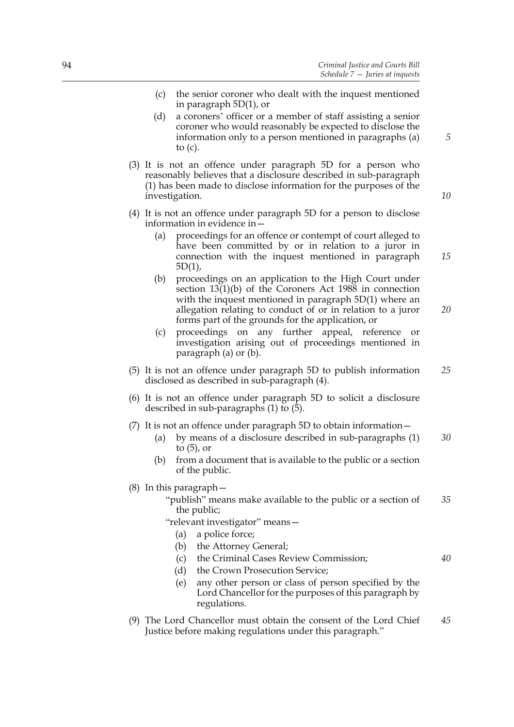- (c) the senior coroner who dealt with the inquest mentioned in paragraph 5D(1), or
- (d) a coroners' officer or a member of staff assisting a senior coroner who would reasonably be expected to disclose the information only to a person mentioned in paragraphs (a) to (c).
- (3) It is not an offence under paragraph 5D for a person who reasonably believes that a disclosure described in sub-paragraph (1) has been made to disclose information for the purposes of the investigation.
- (4) It is not an offence under paragraph 5D for a person to disclose information in evidence in—
	- (a) proceedings for an offence or contempt of court alleged to have been committed by or in relation to a juror in connection with the inquest mentioned in paragraph 5D(1), *15*
	- (b) proceedings on an application to the High Court under section  $13(1)(b)$  of the Coroners Act 1988 in connection with the inquest mentioned in paragraph 5D(1) where an allegation relating to conduct of or in relation to a juror forms part of the grounds for the application, or *20*
	- (c) proceedings on any further appeal, reference or investigation arising out of proceedings mentioned in paragraph (a) or (b).
- (5) It is not an offence under paragraph 5D to publish information disclosed as described in sub-paragraph (4). *25*
- (6) It is not an offence under paragraph 5D to solicit a disclosure described in sub-paragraphs  $(1)$  to  $(5)$ .
- (7) It is not an offence under paragraph 5D to obtain information—
	- (a) by means of a disclosure described in sub-paragraphs (1) to (5), or *30*
	- (b) from a document that is available to the public or a section of the public.
- (8) In this paragraph—

"publish" means make available to the public or a section of the public; *35*

"relevant investigator" means—

- (a) a police force;
- (b) the Attorney General;
- (c) the Criminal Cases Review Commission;
- (d) the Crown Prosecution Service;
- (e) any other person or class of person specified by the Lord Chancellor for the purposes of this paragraph by regulations.
- (9) The Lord Chancellor must obtain the consent of the Lord Chief Justice before making regulations under this paragraph." *45*

*10*

*40*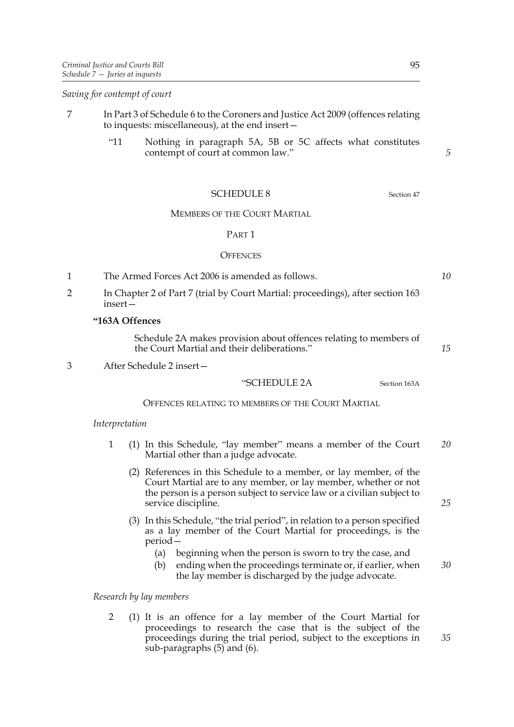*Saving for contempt of court*

- 7 In Part 3 of Schedule 6 to the Coroners and Justice Act 2009 (offences relating to inquests: miscellaneous), at the end insert—
	- "11 Nothing in paragraph 5A, 5B or 5C affects what constitutes contempt of court at common law."

# SCHEDULE 8 Section 47

# MEMBERS OF THE COURT MARTIAL

#### PART 1

#### **OFFENCES**

- 1 The Armed Forces Act 2006 is amended as follows.
- 2 In Chapter 2 of Part 7 (trial by Court Martial: proceedings), after section 163 insert—

# **"163A Offences**

Schedule 2A makes provision about offences relating to members of the Court Martial and their deliberations."

3 After Schedule 2 insert—

# "SCHEDULE 2A Section 163A

# OFFENCES RELATING TO MEMBERS OF THE COURT MARTIAL

#### *Interpretation*

- 1 (1) In this Schedule, "lay member" means a member of the Court Martial other than a judge advocate. *20*
	- (2) References in this Schedule to a member, or lay member, of the Court Martial are to any member, or lay member, whether or not the person is a person subject to service law or a civilian subject to service discipline.
	- (3) In this Schedule, "the trial period", in relation to a person specified as a lay member of the Court Martial for proceedings, is the period—
		- (a) beginning when the person is sworn to try the case, and
		- (b) ending when the proceedings terminate or, if earlier, when the lay member is discharged by the judge advocate. *30*

*Research by lay members*

2 (1) It is an offence for a lay member of the Court Martial for proceedings to research the case that is the subject of the proceedings during the trial period, subject to the exceptions in sub-paragraphs (5) and (6).

*5*

*10*

*15*

*25*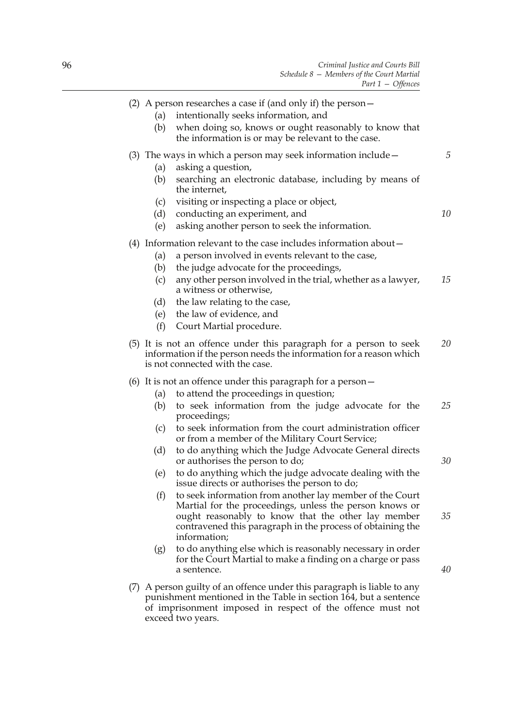|     | (2) A person researches a case if (and only if) the person $-$<br>intentionally seeks information, and<br>(a)<br>when doing so, knows or ought reasonably to know that<br>(b)<br>the information is or may be relevant to the case.                                                                                                    |         |
|-----|----------------------------------------------------------------------------------------------------------------------------------------------------------------------------------------------------------------------------------------------------------------------------------------------------------------------------------------|---------|
|     | $(3)$ The ways in which a person may seek information include $-$<br>asking a question,<br>(a)<br>searching an electronic database, including by means of<br>(b)<br>the internet,<br>visiting or inspecting a place or object,<br>(c)<br>conducting an experiment, and<br>(d)<br>asking another person to seek the information.<br>(e) | 5<br>10 |
|     | $(4)$ Information relevant to the case includes information about $-$<br>a person involved in events relevant to the case,<br>(a)<br>the judge advocate for the proceedings,<br>(b)<br>any other person involved in the trial, whether as a lawyer,<br>(c)<br>a witness or otherwise,                                                  | 15      |
|     | the law relating to the case,<br>(d)<br>the law of evidence, and<br>(e)<br>(f)<br>Court Martial procedure.                                                                                                                                                                                                                             |         |
|     | (5) It is not an offence under this paragraph for a person to seek<br>information if the person needs the information for a reason which<br>is not connected with the case.                                                                                                                                                            | 20      |
|     | (6) It is not an offence under this paragraph for a person $-$<br>to attend the proceedings in question;<br>(a)<br>to seek information from the judge advocate for the<br>(b)<br>proceedings;<br>to seek information from the court administration officer<br>(c)                                                                      | 25      |
|     | or from a member of the Military Court Service;<br>to do anything which the Judge Advocate General directs<br>(d)<br>or authorises the person to do;                                                                                                                                                                                   | 30      |
|     | to do anything which the judge advocate dealing with the<br>(e)<br>issue directs or authorises the person to do;                                                                                                                                                                                                                       |         |
|     | (f)<br>to seek information from another lay member of the Court<br>Martial for the proceedings, unless the person knows or<br>ought reasonably to know that the other lay member<br>contravened this paragraph in the process of obtaining the<br>information;                                                                         | 35      |
|     | to do anything else which is reasonably necessary in order<br>(g)<br>for the Court Martial to make a finding on a charge or pass<br>a sentence.                                                                                                                                                                                        | 40      |
| (7) | A person guilty of an offence under this paragraph is liable to any<br>punishment mentioned in the Table in section 164, but a sentence<br>of imprisonment imposed in respect of the offence must not<br>exceed two years.                                                                                                             |         |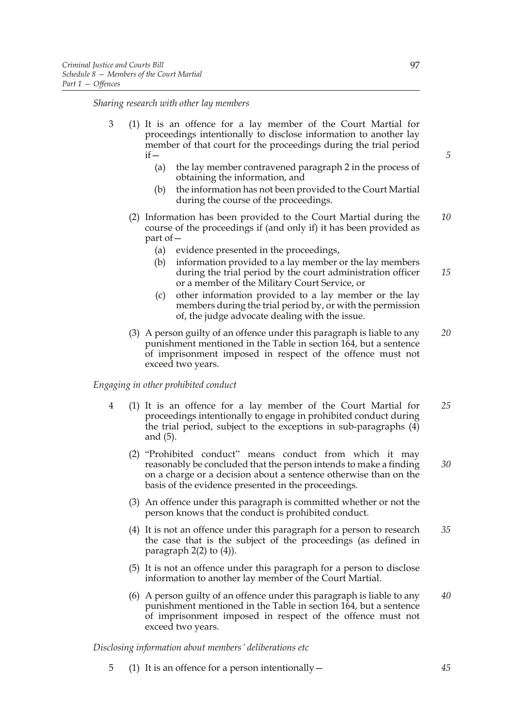*Sharing research with other lay members*

- 3 (1) It is an offence for a lay member of the Court Martial for proceedings intentionally to disclose information to another lay member of that court for the proceedings during the trial period  $if -$ 
	- (a) the lay member contravened paragraph 2 in the process of obtaining the information, and
	- (b) the information has not been provided to the Court Martial during the course of the proceedings.
	- (2) Information has been provided to the Court Martial during the course of the proceedings if (and only if) it has been provided as part of— *10*
		- (a) evidence presented in the proceedings,
		- (b) information provided to a lay member or the lay members during the trial period by the court administration officer or a member of the Military Court Service, or
		- (c) other information provided to a lay member or the lay members during the trial period by, or with the permission of, the judge advocate dealing with the issue.
	- (3) A person guilty of an offence under this paragraph is liable to any punishment mentioned in the Table in section 164, but a sentence of imprisonment imposed in respect of the offence must not exceed two years. *20*

*Engaging in other prohibited conduct*

- 4 (1) It is an offence for a lay member of the Court Martial for proceedings intentionally to engage in prohibited conduct during the trial period, subject to the exceptions in sub-paragraphs (4) and (5). *25*
	- (2) "Prohibited conduct" means conduct from which it may reasonably be concluded that the person intends to make a finding on a charge or a decision about a sentence otherwise than on the basis of the evidence presented in the proceedings. *30*
	- (3) An offence under this paragraph is committed whether or not the person knows that the conduct is prohibited conduct.
	- (4) It is not an offence under this paragraph for a person to research the case that is the subject of the proceedings (as defined in paragraph  $2(2)$  to  $(4)$ ). *35*
	- (5) It is not an offence under this paragraph for a person to disclose information to another lay member of the Court Martial.
	- (6) A person guilty of an offence under this paragraph is liable to any punishment mentioned in the Table in section 164, but a sentence of imprisonment imposed in respect of the offence must not exceed two years. *40*

*Disclosing information about members' deliberations etc*

5 (1) It is an offence for a person intentionally—

*5*

*15*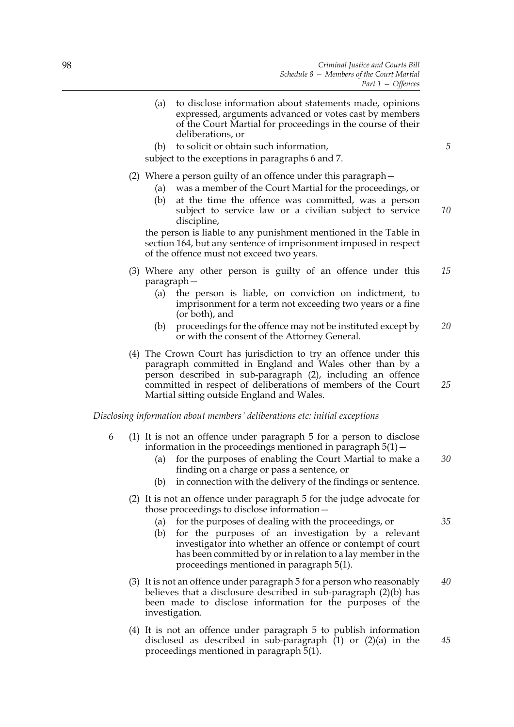- (a) to disclose information about statements made, opinions expressed, arguments advanced or votes cast by members of the Court Martial for proceedings in the course of their deliberations, or
- (b) to solicit or obtain such information,

subject to the exceptions in paragraphs 6 and 7.

- (2) Where a person guilty of an offence under this paragraph—
	- (a) was a member of the Court Martial for the proceedings, or
	- (b) at the time the offence was committed, was a person subject to service law or a civilian subject to service discipline,

the person is liable to any punishment mentioned in the Table in section 164, but any sentence of imprisonment imposed in respect of the offence must not exceed two years.

- (3) Where any other person is guilty of an offence under this paragraph— *15*
	- (a) the person is liable, on conviction on indictment, to imprisonment for a term not exceeding two years or a fine (or both), and
	- (b) proceedings for the offence may not be instituted except by or with the consent of the Attorney General. *20*
- (4) The Crown Court has jurisdiction to try an offence under this paragraph committed in England and Wales other than by a person described in sub-paragraph (2), including an offence committed in respect of deliberations of members of the Court Martial sitting outside England and Wales.

*Disclosing information about members' deliberations etc: initial exceptions*

- 6 (1) It is not an offence under paragraph 5 for a person to disclose information in the proceedings mentioned in paragraph  $5(1)$  -
	- (a) for the purposes of enabling the Court Martial to make a finding on a charge or pass a sentence, or *30*
	- (b) in connection with the delivery of the findings or sentence.
	- (2) It is not an offence under paragraph 5 for the judge advocate for those proceedings to disclose information—
		- (a) for the purposes of dealing with the proceedings, or
		- (b) for the purposes of an investigation by a relevant investigator into whether an offence or contempt of court has been committed by or in relation to a lay member in the proceedings mentioned in paragraph 5(1).
	- (3) It is not an offence under paragraph 5 for a person who reasonably believes that a disclosure described in sub-paragraph (2)(b) has been made to disclose information for the purposes of the investigation. *40*
	- (4) It is not an offence under paragraph 5 to publish information disclosed as described in sub-paragraph  $(1)$  or  $(2)(a)$  in the proceedings mentioned in paragraph 5(1).

*5*

*10*

*25*

*35*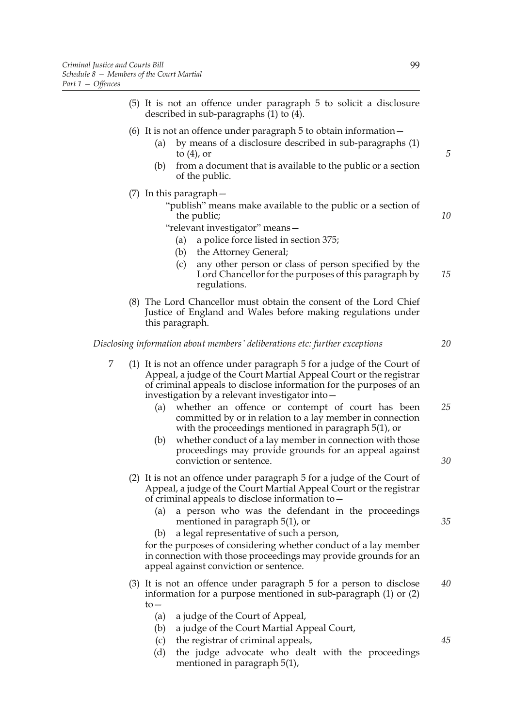|   | (5) It is not an offence under paragraph 5 to solicit a disclosure<br>described in sub-paragraphs $(1)$ to $(4)$ .                                                                                                                                                                                                                                                                                                                                                                                                                                                                                              |          |
|---|-----------------------------------------------------------------------------------------------------------------------------------------------------------------------------------------------------------------------------------------------------------------------------------------------------------------------------------------------------------------------------------------------------------------------------------------------------------------------------------------------------------------------------------------------------------------------------------------------------------------|----------|
|   | (6) It is not an offence under paragraph $5$ to obtain information $-$<br>by means of a disclosure described in sub-paragraphs (1)<br>(a)<br>to $(4)$ , or<br>from a document that is available to the public or a section<br>(b)                                                                                                                                                                                                                                                                                                                                                                               |          |
|   | of the public.                                                                                                                                                                                                                                                                                                                                                                                                                                                                                                                                                                                                  |          |
|   | $(7)$ In this paragraph $-$<br>"publish" means make available to the public or a section of<br>the public;<br>"relevant investigator" means-<br>a police force listed in section 375;<br>(a)<br>the Attorney General;<br>(b)<br>any other person or class of person specified by the<br>(c)<br>Lord Chancellor for the purposes of this paragraph by<br>regulations.                                                                                                                                                                                                                                            | 10<br>15 |
|   | (8) The Lord Chancellor must obtain the consent of the Lord Chief<br>Justice of England and Wales before making regulations under<br>this paragraph.                                                                                                                                                                                                                                                                                                                                                                                                                                                            |          |
|   | Disclosing information about members' deliberations etc: further exceptions                                                                                                                                                                                                                                                                                                                                                                                                                                                                                                                                     | 20       |
| 7 | (1) It is not an offence under paragraph 5 for a judge of the Court of<br>Appeal, a judge of the Court Martial Appeal Court or the registrar<br>of criminal appeals to disclose information for the purposes of an<br>investigation by a relevant investigator into -<br>whether an offence or contempt of court has been<br>(a)<br>committed by or in relation to a lay member in connection<br>with the proceedings mentioned in paragraph $5(1)$ , or<br>whether conduct of a lay member in connection with those<br>(b)<br>proceedings may provide grounds for an appeal against<br>conviction or sentence. | 25<br>30 |
|   | (2) It is not an offence under paragraph 5 for a judge of the Court of<br>Appeal, a judge of the Court Martial Appeal Court or the registrar<br>of criminal appeals to disclose information to -<br>a person who was the defendant in the proceedings<br>(a)<br>mentioned in paragraph $5(1)$ , or<br>a legal representative of such a person,<br>(b)<br>for the purposes of considering whether conduct of a lay member<br>in connection with those proceedings may provide grounds for an<br>appeal against conviction or sentence.                                                                           | 35       |
|   | (3) It is not an offence under paragraph 5 for a person to disclose<br>information for a purpose mentioned in sub-paragraph $(1)$ or $(2)$<br>$to-$<br>a judge of the Court of Appeal,<br>(a)                                                                                                                                                                                                                                                                                                                                                                                                                   | 40       |

- (b) a judge of the Court Martial Appeal Court,
- (c) the registrar of criminal appeals,
- (d) the judge advocate who dealt with the proceedings mentioned in paragraph 5(1),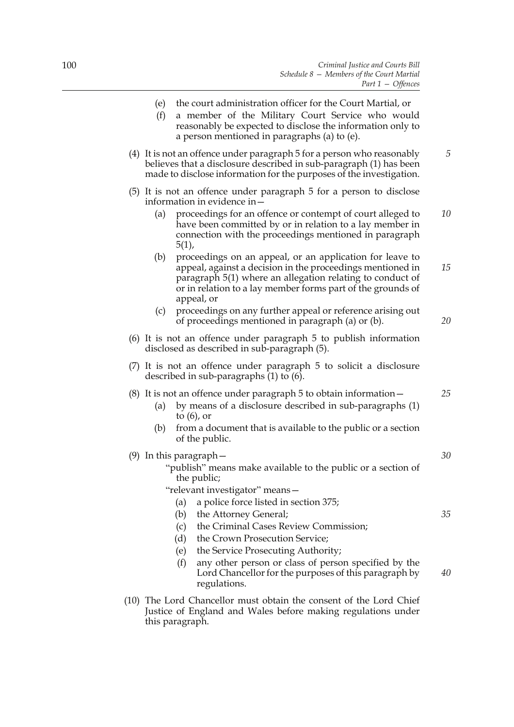(e) the court administration officer for the Court Martial, or (f) a member of the Military Court Service who would reasonably be expected to disclose the information only to a person mentioned in paragraphs (a) to (e). (4) It is not an offence under paragraph 5 for a person who reasonably believes that a disclosure described in sub-paragraph (1) has been made to disclose information for the purposes of the investigation. (5) It is not an offence under paragraph 5 for a person to disclose information in evidence in— (a) proceedings for an offence or contempt of court alleged to have been committed by or in relation to a lay member in connection with the proceedings mentioned in paragraph 5(1), (b) proceedings on an appeal, or an application for leave to appeal, against a decision in the proceedings mentioned in paragraph 5(1) where an allegation relating to conduct of or in relation to a lay member forms part of the grounds of appeal, or (c) proceedings on any further appeal or reference arising out of proceedings mentioned in paragraph (a) or (b). (6) It is not an offence under paragraph 5 to publish information disclosed as described in sub-paragraph (5). (7) It is not an offence under paragraph 5 to solicit a disclosure described in sub-paragraphs (1) to (6). (8) It is not an offence under paragraph 5 to obtain information— (a) by means of a disclosure described in sub-paragraphs (1) to (6), or (b) from a document that is available to the public or a section of the public. (9) In this paragraph— "publish" means make available to the public or a section of the public; "relevant investigator" means— (a) a police force listed in section 375; (b) the Attorney General; (c) the Criminal Cases Review Commission; (d) the Crown Prosecution Service; (e) the Service Prosecuting Authority; (f) any other person or class of person specified by the Lord Chancellor for the purposes of this paragraph by regulations. (10) The Lord Chancellor must obtain the consent of the Lord Chief Justice of England and Wales before making regulations under this paragraph. *5 10 15 20 25 30 35 40*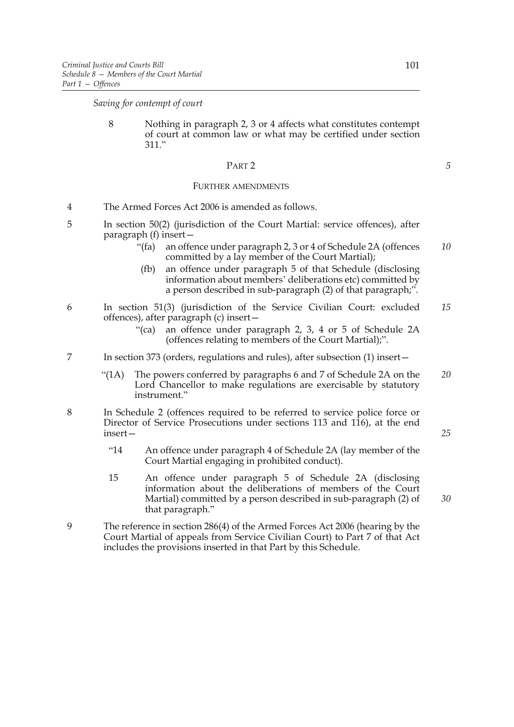*Saving for contempt of court*

8 Nothing in paragraph 2, 3 or 4 affects what constitutes contempt of court at common law or what may be certified under section 311."

# PART 2

#### FURTHER AMENDMENTS

- 4 The Armed Forces Act 2006 is amended as follows.
- 5 In section 50(2) (jurisdiction of the Court Martial: service offences), after paragraph (f) insert—
	- "(fa) an offence under paragraph 2, 3 or 4 of Schedule 2A (offences committed by a lay member of the Court Martial); *10*
	- (fb) an offence under paragraph 5 of that Schedule (disclosing information about members' deliberations etc) committed by a person described in sub-paragraph (2) of that paragraph;".
- 6 In section 51(3) (jurisdiction of the Service Civilian Court: excluded offences), after paragraph (c) insert— *15*
	- "(ca) an offence under paragraph 2, 3, 4 or 5 of Schedule 2A (offences relating to members of the Court Martial);".
- 7 In section 373 (orders, regulations and rules), after subsection (1) insert—
	- "(1A) The powers conferred by paragraphs 6 and 7 of Schedule 2A on the Lord Chancellor to make regulations are exercisable by statutory instrument." *20*
- 8 In Schedule 2 (offences required to be referred to service police force or Director of Service Prosecutions under sections 113 and 116), at the end insert—
	- "14 An offence under paragraph 4 of Schedule 2A (lay member of the Court Martial engaging in prohibited conduct).
	- 15 An offence under paragraph 5 of Schedule 2A (disclosing information about the deliberations of members of the Court Martial) committed by a person described in sub-paragraph (2) of that paragraph."
- 9 The reference in section 286(4) of the Armed Forces Act 2006 (hearing by the Court Martial of appeals from Service Civilian Court) to Part 7 of that Act includes the provisions inserted in that Part by this Schedule.

*25*

*30*